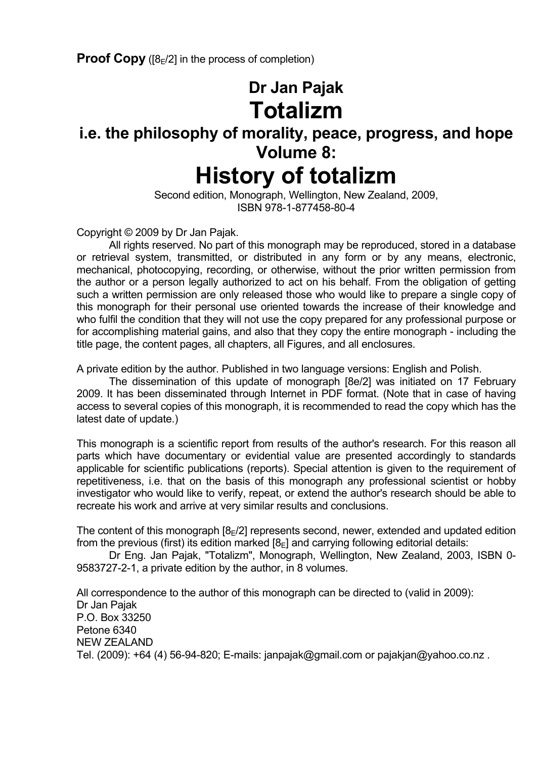**Proof Copy** ( $[8E/2]$  in the process of completion)

## **Dr Jan Pajak Totalizm**

### **i.e. the philosophy of morality, peace, progress, and hope Volume 8:**

# **History of totalizm**

 Second edition, Monograph, Wellington, New Zealand, 2009, ISBN 978-1-877458-80-4

Copyright © 2009 by Dr Jan Pajak.

 All rights reserved. No part of this monograph may be reproduced, stored in a database or retrieval system, transmitted, or distributed in any form or by any means, electronic, mechanical, photocopying, recording, or otherwise, without the prior written permission from the author or a person legally authorized to act on his behalf. From the obligation of getting such a written permission are only released those who would like to prepare a single copy of this monograph for their personal use oriented towards the increase of their knowledge and who fulfil the condition that they will not use the copy prepared for any professional purpose or for accomplishing material gains, and also that they copy the entire monograph - including the title page, the content pages, all chapters, all Figures, and all enclosures.

A private edition by the author. Published in two language versions: English and Polish.

 The dissemination of this update of monograph [8e/2] was initiated on 17 February 2009. It has been disseminated through Internet in PDF format. (Note that in case of having access to several copies of this monograph, it is recommended to read the copy which has the latest date of update.)

This monograph is a scientific report from results of the author's research. For this reason all parts which have documentary or evidential value are presented accordingly to standards applicable for scientific publications (reports). Special attention is given to the requirement of repetitiveness, i.e. that on the basis of this monograph any professional scientist or hobby investigator who would like to verify, repeat, or extend the author's research should be able to recreate his work and arrive at very similar results and conclusions.

The content of this monograph  $[8_F/2]$  represents second, newer, extended and updated edition from the previous (first) its edition marked  $[8<sub>E</sub>]$  and carrying following editorial details:

 Dr Eng. Jan Pajak, "Totalizm", Monograph, Wellington, New Zealand, 2003, ISBN 0- 9583727-2-1, a private edition by the author, in 8 volumes.

All correspondence to the author of this monograph can be directed to (valid in 2009): Dr Jan Pajak P.O. Box 33250 Petone 6340 NEW ZEALAND Tel. (2009): +64 (4) 56-94-820; E-mails: janpajak@gmail.com or pajakjan@yahoo.co.nz .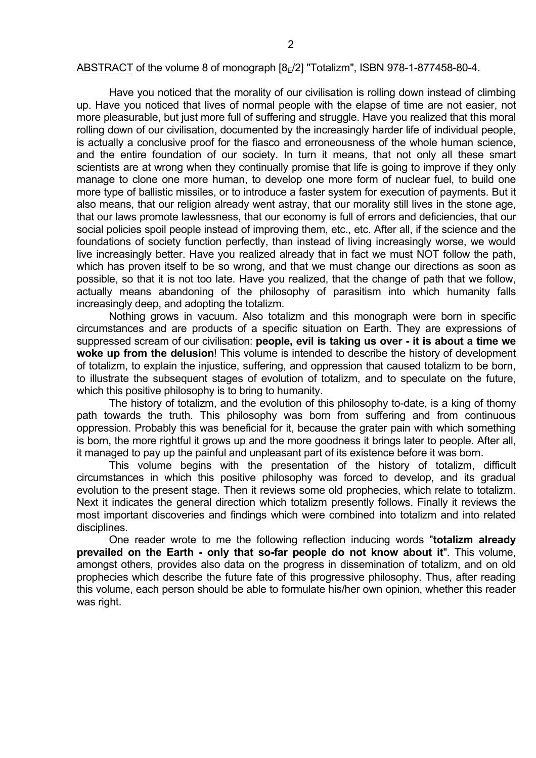#### ABSTRACT of the volume 8 of monograph  $[8_F/2]$  "Totalizm", ISBN 978-1-877458-80-4.

 Have you noticed that the morality of our civilisation is rolling down instead of climbing up. Have you noticed that lives of normal people with the elapse of time are not easier, not more pleasurable, but just more full of suffering and struggle. Have you realized that this moral rolling down of our civilisation, documented by the increasingly harder life of individual people, is actually a conclusive proof for the fiasco and erroneousness of the whole human science, and the entire foundation of our society. In turn it means, that not only all these smart scientists are at wrong when they continually promise that life is going to improve if they only manage to clone one more human, to develop one more form of nuclear fuel, to build one more type of ballistic missiles, or to introduce a faster system for execution of payments. But it also means, that our religion already went astray, that our morality still lives in the stone age, that our laws promote lawlessness, that our economy is full of errors and deficiencies, that our social policies spoil people instead of improving them, etc., etc. After all, if the science and the foundations of society function perfectly, than instead of living increasingly worse, we would live increasingly better. Have you realized already that in fact we must NOT follow the path, which has proven itself to be so wrong, and that we must change our directions as soon as possible, so that it is not too late. Have you realized, that the change of path that we follow, actually means abandoning of the philosophy of parasitism into which humanity falls increasingly deep, and adopting the totalizm.

 Nothing grows in vacuum. Also totalizm and this monograph were born in specific circumstances and are products of a specific situation on Earth. They are expressions of suppressed scream of our civilisation: **people, evil is taking us over - it is about a time we woke up from the delusion**! This volume is intended to describe the history of development of totalizm, to explain the injustice, suffering, and oppression that caused totalizm to be born, to illustrate the subsequent stages of evolution of totalizm, and to speculate on the future, which this positive philosophy is to bring to humanity.

 The history of totalizm, and the evolution of this philosophy to-date, is a king of thorny path towards the truth. This philosophy was born from suffering and from continuous oppression. Probably this was beneficial for it, because the grater pain with which something is born, the more rightful it grows up and the more goodness it brings later to people. After all, it managed to pay up the painful and unpleasant part of its existence before it was born.

 This volume begins with the presentation of the history of totalizm, difficult circumstances in which this positive philosophy was forced to develop, and its gradual evolution to the present stage. Then it reviews some old prophecies, which relate to totalizm. Next it indicates the general direction which totalizm presently follows. Finally it reviews the most important discoveries and findings which were combined into totalizm and into related disciplines.

 One reader wrote to me the following reflection inducing words "**totalizm already prevailed on the Earth - only that so-far people do not know about it**". This volume, amongst others, provides also data on the progress in dissemination of totalizm, and on old prophecies which describe the future fate of this progressive philosophy. Thus, after reading this volume, each person should be able to formulate his/her own opinion, whether this reader was right.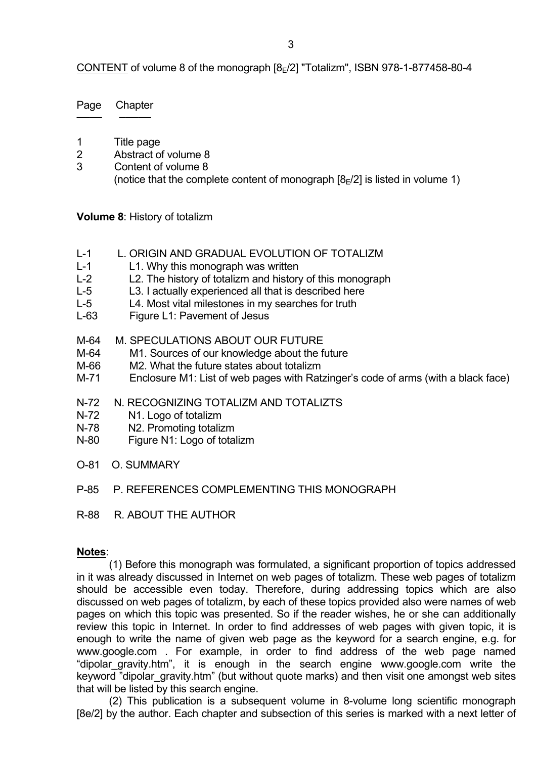CONTENT of volume 8 of the monograph [8 $E/2$ ] "Totalizm", ISBN 978-1-877458-80-4

Page Chapter ──── ─────

- 1 Title page
- 2 Abstract of volume 8
- 3 Content of volume 8 (notice that the complete content of monograph  $[8_F/2]$  is listed in volume 1)

**Volume 8**: History of totalizm

- L-1 L. ORIGIN AND GRADUAL EVOLUTION OF TOTALIZM
- L-1 L1. Why this monograph was written
- L-2 L2. The history of totalizm and history of this monograph
- L-5 L3. I actually experienced all that is described here
- L-5 L4. Most vital milestones in my searches for truth
- L-63 Figure L1: Pavement of Jesus
- M-64 M. SPECULATIONS ABOUT OUR FUTURE
- M-64 M1. Sources of our knowledge about the future
- M-66 M2. What the future states about totalizm
- M-71 Enclosure M1: List of web pages with Ratzinger's code of arms (with a black face)
- N-72 N. RECOGNIZING TOTALIZM AND TOTALIZTS
- N-72 N1. Logo of totalizm
- N-78 N2. Promoting totalizm
- N-80 Figure N1: Logo of totalizm
- O-81 O. SUMMARY
- P-85 P. REFERENCES COMPLEMENTING THIS MONOGRAPH
- R-88 R. ABOUT THE AUTHOR

### **Notes**:

 (1) Before this monograph was formulated, a significant proportion of topics addressed in it was already discussed in Internet on web pages of totalizm. These web pages of totalizm should be accessible even today. Therefore, during addressing topics which are also discussed on web pages of totalizm, by each of these topics provided also were names of web pages on which this topic was presented. So if the reader wishes, he or she can additionally review this topic in Internet. In order to find addresses of web pages with given topic, it is enough to write the name of given web page as the keyword for a search engine, e.g. for www.google.com . For example, in order to find address of the web page named "dipolar\_gravity.htm", it is enough in the search engine www.google.com write the keyword "dipolar gravity.htm" (but without quote marks) and then visit one amongst web sites that will be listed by this search engine.

 (2) This publication is a subsequent volume in 8-volume long scientific monograph [8e/2] by the author. Each chapter and subsection of this series is marked with a next letter of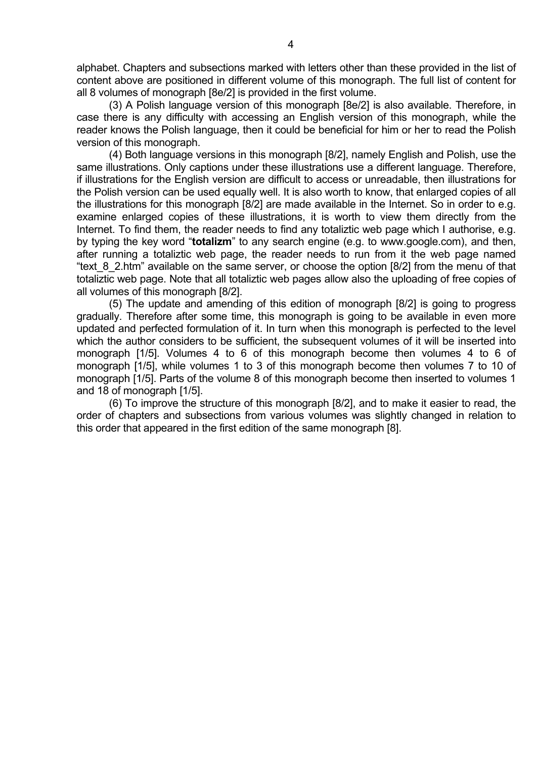alphabet. Chapters and subsections marked with letters other than these provided in the list of content above are positioned in different volume of this monograph. The full list of content for all 8 volumes of monograph [8e/2] is provided in the first volume.

 (3) A Polish language version of this monograph [8e/2] is also available. Therefore, in case there is any difficulty with accessing an English version of this monograph, while the reader knows the Polish language, then it could be beneficial for him or her to read the Polish version of this monograph.

 (4) Both language versions in this monograph [8/2], namely English and Polish, use the same illustrations. Only captions under these illustrations use a different language. Therefore, if illustrations for the English version are difficult to access or unreadable, then illustrations for the Polish version can be used equally well. It is also worth to know, that enlarged copies of all the illustrations for this monograph [8/2] are made available in the Internet. So in order to e.g. examine enlarged copies of these illustrations, it is worth to view them directly from the Internet. To find them, the reader needs to find any totaliztic web page which I authorise, e.g. by typing the key word "**totalizm**" to any search engine (e.g. to www.google.com), and then, after running a totaliztic web page, the reader needs to run from it the web page named "text 8 2.htm" available on the same server, or choose the option [8/2] from the menu of that totaliztic web page. Note that all totaliztic web pages allow also the uploading of free copies of all volumes of this monograph [8/2].

 (5) The update and amending of this edition of monograph [8/2] is going to progress gradually. Therefore after some time, this monograph is going to be available in even more updated and perfected formulation of it. In turn when this monograph is perfected to the level which the author considers to be sufficient, the subsequent volumes of it will be inserted into monograph [1/5]. Volumes 4 to 6 of this monograph become then volumes 4 to 6 of monograph [1/5], while volumes 1 to 3 of this monograph become then volumes 7 to 10 of monograph [1/5]. Parts of the volume 8 of this monograph become then inserted to volumes 1 and 18 of monograph [1/5].

 (6) To improve the structure of this monograph [8/2], and to make it easier to read, the order of chapters and subsections from various volumes was slightly changed in relation to this order that appeared in the first edition of the same monograph [8].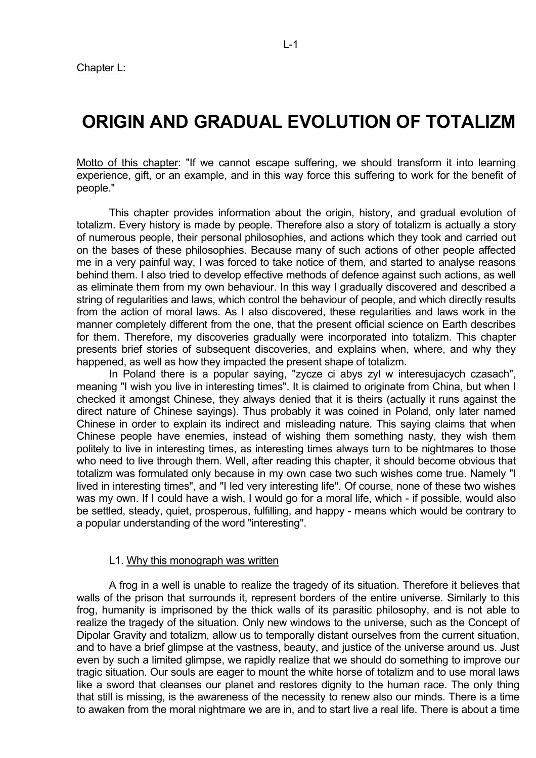### **ORIGIN AND GRADUAL EVOLUTION OF TOTALIZM**

Motto of this chapter: "If we cannot escape suffering, we should transform it into learning experience, gift, or an example, and in this way force this suffering to work for the benefit of people."

 This chapter provides information about the origin, history, and gradual evolution of totalizm. Every history is made by people. Therefore also a story of totalizm is actually a story of numerous people, their personal philosophies, and actions which they took and carried out on the bases of these philosophies. Because many of such actions of other people affected me in a very painful way, I was forced to take notice of them, and started to analyse reasons behind them. I also tried to develop effective methods of defence against such actions, as well as eliminate them from my own behaviour. In this way I gradually discovered and described a string of regularities and laws, which control the behaviour of people, and which directly results from the action of moral laws. As I also discovered, these regularities and laws work in the manner completely different from the one, that the present official science on Earth describes for them. Therefore, my discoveries gradually were incorporated into totalizm. This chapter presents brief stories of subsequent discoveries, and explains when, where, and why they happened, as well as how they impacted the present shape of totalizm.

 In Poland there is a popular saying, "zycze ci abys zyl w interesujacych czasach", meaning "I wish you live in interesting times". It is claimed to originate from China, but when I checked it amongst Chinese, they always denied that it is theirs (actually it runs against the direct nature of Chinese sayings). Thus probably it was coined in Poland, only later named Chinese in order to explain its indirect and misleading nature. This saying claims that when Chinese people have enemies, instead of wishing them something nasty, they wish them politely to live in interesting times, as interesting times always turn to be nightmares to those who need to live through them. Well, after reading this chapter, it should become obvious that totalizm was formulated only because in my own case two such wishes come true. Namely "I lived in interesting times", and "I led very interesting life". Of course, none of these two wishes was my own. If I could have a wish, I would go for a moral life, which - if possible, would also be settled, steady, quiet, prosperous, fulfilling, and happy - means which would be contrary to a popular understanding of the word "interesting".

#### L1. Why this monograph was written

 A frog in a well is unable to realize the tragedy of its situation. Therefore it believes that walls of the prison that surrounds it, represent borders of the entire universe. Similarly to this frog, humanity is imprisoned by the thick walls of its parasitic philosophy, and is not able to realize the tragedy of the situation. Only new windows to the universe, such as the Concept of Dipolar Gravity and totalizm, allow us to temporally distant ourselves from the current situation, and to have a brief glimpse at the vastness, beauty, and justice of the universe around us. Just even by such a limited glimpse, we rapidly realize that we should do something to improve our tragic situation. Our souls are eager to mount the white horse of totalizm and to use moral laws like a sword that cleanses our planet and restores dignity to the human race. The only thing that still is missing, is the awareness of the necessity to renew also our minds. There is a time to awaken from the moral nightmare we are in, and to start live a real life. There is about a time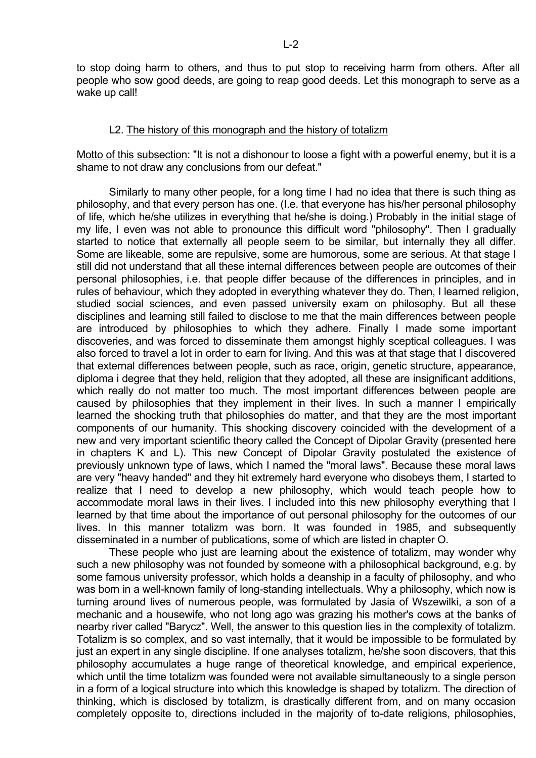to stop doing harm to others, and thus to put stop to receiving harm from others. After all people who sow good deeds, are going to reap good deeds. Let this monograph to serve as a wake up call!

### L2. The history of this monograph and the history of totalizm

Motto of this subsection: "It is not a dishonour to loose a fight with a powerful enemy, but it is a shame to not draw any conclusions from our defeat."

 Similarly to many other people, for a long time I had no idea that there is such thing as philosophy, and that every person has one. (I.e. that everyone has his/her personal philosophy of life, which he/she utilizes in everything that he/she is doing.) Probably in the initial stage of my life, I even was not able to pronounce this difficult word "philosophy". Then I gradually started to notice that externally all people seem to be similar, but internally they all differ. Some are likeable, some are repulsive, some are humorous, some are serious. At that stage I still did not understand that all these internal differences between people are outcomes of their personal philosophies, i.e. that people differ because of the differences in principles, and in rules of behaviour, which they adopted in everything whatever they do. Then, I learned religion, studied social sciences, and even passed university exam on philosophy. But all these disciplines and learning still failed to disclose to me that the main differences between people are introduced by philosophies to which they adhere. Finally I made some important discoveries, and was forced to disseminate them amongst highly sceptical colleagues. I was also forced to travel a lot in order to earn for living. And this was at that stage that I discovered that external differences between people, such as race, origin, genetic structure, appearance, diploma i degree that they held, religion that they adopted, all these are insignificant additions, which really do not matter too much. The most important differences between people are caused by philosophies that they implement in their lives. In such a manner I empirically learned the shocking truth that philosophies do matter, and that they are the most important components of our humanity. This shocking discovery coincided with the development of a new and very important scientific theory called the Concept of Dipolar Gravity (presented here in chapters K and L). This new Concept of Dipolar Gravity postulated the existence of previously unknown type of laws, which I named the "moral laws". Because these moral laws are very "heavy handed" and they hit extremely hard everyone who disobeys them, I started to realize that I need to develop a new philosophy, which would teach people how to accommodate moral laws in their lives. I included into this new philosophy everything that I learned by that time about the importance of out personal philosophy for the outcomes of our lives. In this manner totalizm was born. It was founded in 1985, and subsequently disseminated in a number of publications, some of which are listed in chapter O.

 These people who just are learning about the existence of totalizm, may wonder why such a new philosophy was not founded by someone with a philosophical background, e.g. by some famous university professor, which holds a deanship in a faculty of philosophy, and who was born in a well-known family of long-standing intellectuals. Why a philosophy, which now is turning around lives of numerous people, was formulated by Jasia of Wszewilki, a son of a mechanic and a housewife, who not long ago was grazing his mother's cows at the banks of nearby river called "Barycz". Well, the answer to this question lies in the complexity of totalizm. Totalizm is so complex, and so vast internally, that it would be impossible to be formulated by just an expert in any single discipline. If one analyses totalizm, he/she soon discovers, that this philosophy accumulates a huge range of theoretical knowledge, and empirical experience, which until the time totalizm was founded were not available simultaneously to a single person in a form of a logical structure into which this knowledge is shaped by totalizm. The direction of thinking, which is disclosed by totalizm, is drastically different from, and on many occasion completely opposite to, directions included in the majority of to-date religions, philosophies,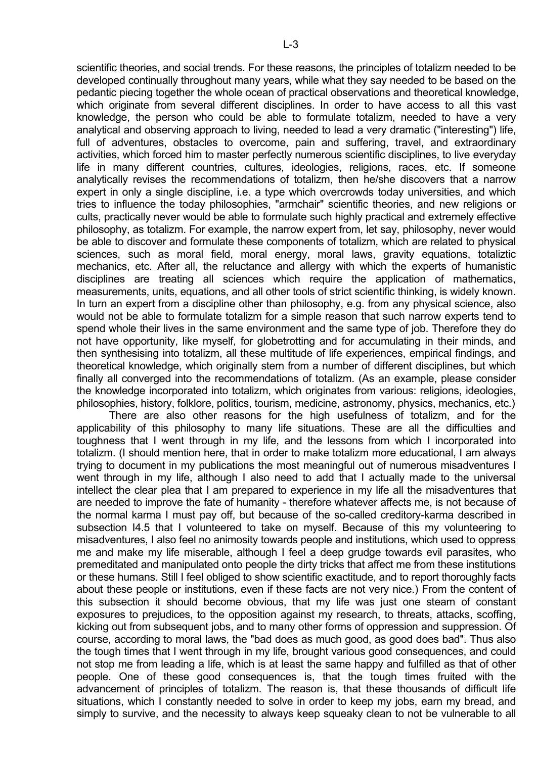scientific theories, and social trends. For these reasons, the principles of totalizm needed to be developed continually throughout many years, while what they say needed to be based on the pedantic piecing together the whole ocean of practical observations and theoretical knowledge, which originate from several different disciplines. In order to have access to all this vast knowledge, the person who could be able to formulate totalizm, needed to have a very analytical and observing approach to living, needed to lead a very dramatic ("interesting") life, full of adventures, obstacles to overcome, pain and suffering, travel, and extraordinary activities, which forced him to master perfectly numerous scientific disciplines, to live everyday life in many different countries, cultures, ideologies, religions, races, etc. If someone analytically revises the recommendations of totalizm, then he/she discovers that a narrow expert in only a single discipline, i.e. a type which overcrowds today universities, and which tries to influence the today philosophies, "armchair" scientific theories, and new religions or cults, practically never would be able to formulate such highly practical and extremely effective philosophy, as totalizm. For example, the narrow expert from, let say, philosophy, never would be able to discover and formulate these components of totalizm, which are related to physical sciences, such as moral field, moral energy, moral laws, gravity equations, totaliztic mechanics, etc. After all, the reluctance and allergy with which the experts of humanistic disciplines are treating all sciences which require the application of mathematics, measurements, units, equations, and all other tools of strict scientific thinking, is widely known. In turn an expert from a discipline other than philosophy, e.g. from any physical science, also would not be able to formulate totalizm for a simple reason that such narrow experts tend to spend whole their lives in the same environment and the same type of job. Therefore they do not have opportunity, like myself, for globetrotting and for accumulating in their minds, and then synthesising into totalizm, all these multitude of life experiences, empirical findings, and theoretical knowledge, which originally stem from a number of different disciplines, but which finally all converged into the recommendations of totalizm. (As an example, please consider the knowledge incorporated into totalizm, which originates from various: religions, ideologies, philosophies, history, folklore, politics, tourism, medicine, astronomy, physics, mechanics, etc.)

 There are also other reasons for the high usefulness of totalizm, and for the applicability of this philosophy to many life situations. These are all the difficulties and toughness that I went through in my life, and the lessons from which I incorporated into totalizm. (I should mention here, that in order to make totalizm more educational, I am always trying to document in my publications the most meaningful out of numerous misadventures I went through in my life, although I also need to add that I actually made to the universal intellect the clear plea that I am prepared to experience in my life all the misadventures that are needed to improve the fate of humanity - therefore whatever affects me, is not because of the normal karma I must pay off, but because of the so-called creditory-karma described in subsection I4.5 that I volunteered to take on myself. Because of this my volunteering to misadventures, I also feel no animosity towards people and institutions, which used to oppress me and make my life miserable, although I feel a deep grudge towards evil parasites, who premeditated and manipulated onto people the dirty tricks that affect me from these institutions or these humans. Still I feel obliged to show scientific exactitude, and to report thoroughly facts about these people or institutions, even if these facts are not very nice.) From the content of this subsection it should become obvious, that my life was just one steam of constant exposures to prejudices, to the opposition against my research, to threats, attacks, scoffing, kicking out from subsequent jobs, and to many other forms of oppression and suppression. Of course, according to moral laws, the "bad does as much good, as good does bad". Thus also the tough times that I went through in my life, brought various good consequences, and could not stop me from leading a life, which is at least the same happy and fulfilled as that of other people. One of these good consequences is, that the tough times fruited with the advancement of principles of totalizm. The reason is, that these thousands of difficult life situations, which I constantly needed to solve in order to keep my jobs, earn my bread, and simply to survive, and the necessity to always keep squeaky clean to not be vulnerable to all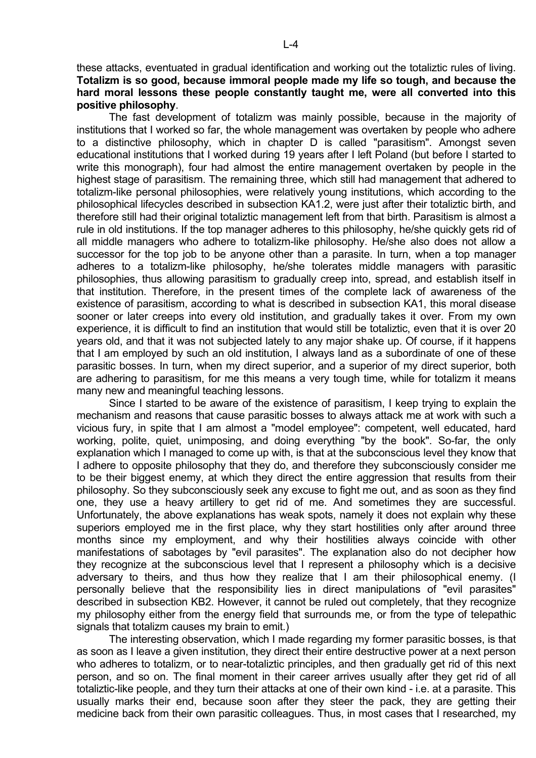these attacks, eventuated in gradual identification and working out the totaliztic rules of living. **Totalizm is so good, because immoral people made my life so tough, and because the hard moral lessons these people constantly taught me, were all converted into this positive philosophy**.

 The fast development of totalizm was mainly possible, because in the majority of institutions that I worked so far, the whole management was overtaken by people who adhere to a distinctive philosophy, which in chapter D is called "parasitism". Amongst seven educational institutions that I worked during 19 years after I left Poland (but before I started to write this monograph), four had almost the entire management overtaken by people in the highest stage of parasitism. The remaining three, which still had management that adhered to totalizm-like personal philosophies, were relatively young institutions, which according to the philosophical lifecycles described in subsection KA1.2, were just after their totaliztic birth, and therefore still had their original totaliztic management left from that birth. Parasitism is almost a rule in old institutions. If the top manager adheres to this philosophy, he/she quickly gets rid of all middle managers who adhere to totalizm-like philosophy. He/she also does not allow a successor for the top job to be anyone other than a parasite. In turn, when a top manager adheres to a totalizm-like philosophy, he/she tolerates middle managers with parasitic philosophies, thus allowing parasitism to gradually creep into, spread, and establish itself in that institution. Therefore, in the present times of the complete lack of awareness of the existence of parasitism, according to what is described in subsection KA1, this moral disease sooner or later creeps into every old institution, and gradually takes it over. From my own experience, it is difficult to find an institution that would still be totaliztic, even that it is over 20 years old, and that it was not subjected lately to any major shake up. Of course, if it happens that I am employed by such an old institution, I always land as a subordinate of one of these parasitic bosses. In turn, when my direct superior, and a superior of my direct superior, both are adhering to parasitism, for me this means a very tough time, while for totalizm it means many new and meaningful teaching lessons.

 Since I started to be aware of the existence of parasitism, I keep trying to explain the mechanism and reasons that cause parasitic bosses to always attack me at work with such a vicious fury, in spite that I am almost a "model employee": competent, well educated, hard working, polite, quiet, unimposing, and doing everything "by the book". So-far, the only explanation which I managed to come up with, is that at the subconscious level they know that I adhere to opposite philosophy that they do, and therefore they subconsciously consider me to be their biggest enemy, at which they direct the entire aggression that results from their philosophy. So they subconsciously seek any excuse to fight me out, and as soon as they find one, they use a heavy artillery to get rid of me. And sometimes they are successful. Unfortunately, the above explanations has weak spots, namely it does not explain why these superiors employed me in the first place, why they start hostilities only after around three months since my employment, and why their hostilities always coincide with other manifestations of sabotages by "evil parasites". The explanation also do not decipher how they recognize at the subconscious level that I represent a philosophy which is a decisive adversary to theirs, and thus how they realize that I am their philosophical enemy. (I personally believe that the responsibility lies in direct manipulations of "evil parasites" described in subsection KB2. However, it cannot be ruled out completely, that they recognize my philosophy either from the energy field that surrounds me, or from the type of telepathic signals that totalizm causes my brain to emit.)

 The interesting observation, which I made regarding my former parasitic bosses, is that as soon as I leave a given institution, they direct their entire destructive power at a next person who adheres to totalizm, or to near-totaliztic principles, and then gradually get rid of this next person, and so on. The final moment in their career arrives usually after they get rid of all totaliztic-like people, and they turn their attacks at one of their own kind - i.e. at a parasite. This usually marks their end, because soon after they steer the pack, they are getting their medicine back from their own parasitic colleagues. Thus, in most cases that I researched, my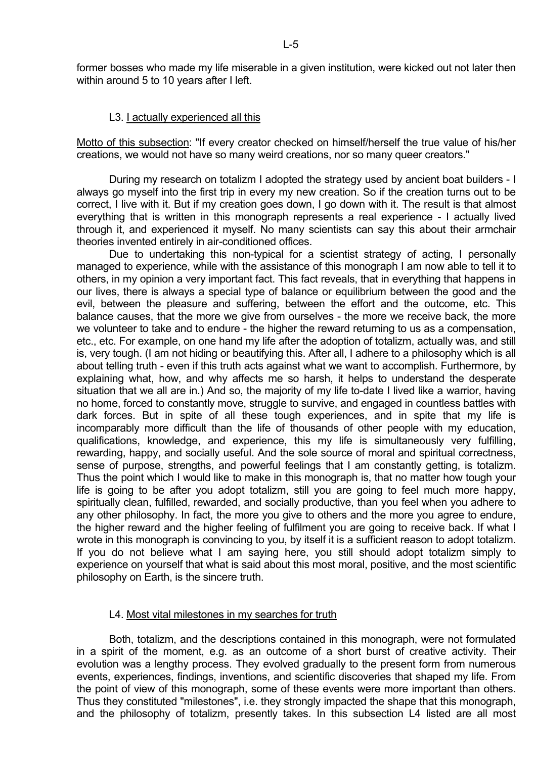former bosses who made my life miserable in a given institution, were kicked out not later then within around 5 to 10 years after I left.

### L3. I actually experienced all this

Motto of this subsection: "If every creator checked on himself/herself the true value of his/her creations, we would not have so many weird creations, nor so many queer creators."

 During my research on totalizm I adopted the strategy used by ancient boat builders - I always go myself into the first trip in every my new creation. So if the creation turns out to be correct, I live with it. But if my creation goes down, I go down with it. The result is that almost everything that is written in this monograph represents a real experience - I actually lived through it, and experienced it myself. No many scientists can say this about their armchair theories invented entirely in air-conditioned offices.

 Due to undertaking this non-typical for a scientist strategy of acting, I personally managed to experience, while with the assistance of this monograph I am now able to tell it to others, in my opinion a very important fact. This fact reveals, that in everything that happens in our lives, there is always a special type of balance or equilibrium between the good and the evil, between the pleasure and suffering, between the effort and the outcome, etc. This balance causes, that the more we give from ourselves - the more we receive back, the more we volunteer to take and to endure - the higher the reward returning to us as a compensation, etc., etc. For example, on one hand my life after the adoption of totalizm, actually was, and still is, very tough. (I am not hiding or beautifying this. After all, I adhere to a philosophy which is all about telling truth - even if this truth acts against what we want to accomplish. Furthermore, by explaining what, how, and why affects me so harsh, it helps to understand the desperate situation that we all are in.) And so, the majority of my life to-date I lived like a warrior, having no home, forced to constantly move, struggle to survive, and engaged in countless battles with dark forces. But in spite of all these tough experiences, and in spite that my life is incomparably more difficult than the life of thousands of other people with my education, qualifications, knowledge, and experience, this my life is simultaneously very fulfilling, rewarding, happy, and socially useful. And the sole source of moral and spiritual correctness, sense of purpose, strengths, and powerful feelings that I am constantly getting, is totalizm. Thus the point which I would like to make in this monograph is, that no matter how tough your life is going to be after you adopt totalizm, still you are going to feel much more happy, spiritually clean, fulfilled, rewarded, and socially productive, than you feel when you adhere to any other philosophy. In fact, the more you give to others and the more you agree to endure, the higher reward and the higher feeling of fulfilment you are going to receive back. If what I wrote in this monograph is convincing to you, by itself it is a sufficient reason to adopt totalizm. If you do not believe what I am saying here, you still should adopt totalizm simply to experience on yourself that what is said about this most moral, positive, and the most scientific philosophy on Earth, is the sincere truth.

### L4. Most vital milestones in my searches for truth

 Both, totalizm, and the descriptions contained in this monograph, were not formulated in a spirit of the moment, e.g. as an outcome of a short burst of creative activity. Their evolution was a lengthy process. They evolved gradually to the present form from numerous events, experiences, findings, inventions, and scientific discoveries that shaped my life. From the point of view of this monograph, some of these events were more important than others. Thus they constituted "milestones", i.e. they strongly impacted the shape that this monograph, and the philosophy of totalizm, presently takes. In this subsection L4 listed are all most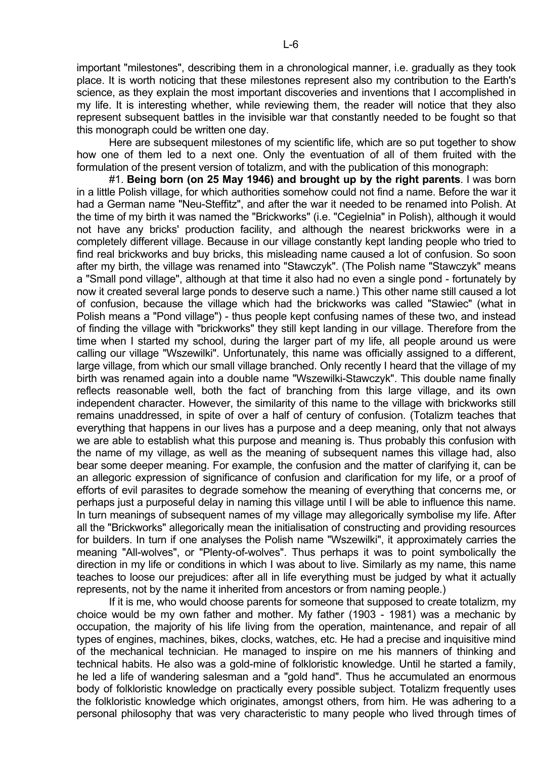important "milestones", describing them in a chronological manner, i.e. gradually as they took place. It is worth noticing that these milestones represent also my contribution to the Earth's science, as they explain the most important discoveries and inventions that I accomplished in my life. It is interesting whether, while reviewing them, the reader will notice that they also represent subsequent battles in the invisible war that constantly needed to be fought so that this monograph could be written one day.

 Here are subsequent milestones of my scientific life, which are so put together to show how one of them led to a next one. Only the eventuation of all of them fruited with the formulation of the present version of totalizm, and with the publication of this monograph:

 #1. **Being born (on 25 May 1946) and brought up by the right parents**. I was born in a little Polish village, for which authorities somehow could not find a name. Before the war it had a German name "Neu-Steffitz", and after the war it needed to be renamed into Polish. At the time of my birth it was named the "Brickworks" (i.e. "Cegielnia" in Polish), although it would not have any bricks' production facility, and although the nearest brickworks were in a completely different village. Because in our village constantly kept landing people who tried to find real brickworks and buy bricks, this misleading name caused a lot of confusion. So soon after my birth, the village was renamed into "Stawczyk". (The Polish name "Stawczyk" means a "Small pond village", although at that time it also had no even a single pond - fortunately by now it created several large ponds to deserve such a name.) This other name still caused a lot of confusion, because the village which had the brickworks was called "Stawiec" (what in Polish means a "Pond village") - thus people kept confusing names of these two, and instead of finding the village with "brickworks" they still kept landing in our village. Therefore from the time when I started my school, during the larger part of my life, all people around us were calling our village "Wszewilki". Unfortunately, this name was officially assigned to a different, large village, from which our small village branched. Only recently I heard that the village of my birth was renamed again into a double name "Wszewilki-Stawczyk". This double name finally reflects reasonable well, both the fact of branching from this large village, and its own independent character. However, the similarity of this name to the village with brickworks still remains unaddressed, in spite of over a half of century of confusion. (Totalizm teaches that everything that happens in our lives has a purpose and a deep meaning, only that not always we are able to establish what this purpose and meaning is. Thus probably this confusion with the name of my village, as well as the meaning of subsequent names this village had, also bear some deeper meaning. For example, the confusion and the matter of clarifying it, can be an allegoric expression of significance of confusion and clarification for my life, or a proof of efforts of evil parasites to degrade somehow the meaning of everything that concerns me, or perhaps just a purposeful delay in naming this village until I will be able to influence this name. In turn meanings of subsequent names of my village may allegorically symbolise my life. After all the "Brickworks" allegorically mean the initialisation of constructing and providing resources for builders. In turn if one analyses the Polish name "Wszewilki", it approximately carries the meaning "All-wolves", or "Plenty-of-wolves". Thus perhaps it was to point symbolically the direction in my life or conditions in which I was about to live. Similarly as my name, this name teaches to loose our prejudices: after all in life everything must be judged by what it actually represents, not by the name it inherited from ancestors or from naming people.)

 If it is me, who would choose parents for someone that supposed to create totalizm, my choice would be my own father and mother. My father (1903 - 1981) was a mechanic by occupation, the majority of his life living from the operation, maintenance, and repair of all types of engines, machines, bikes, clocks, watches, etc. He had a precise and inquisitive mind of the mechanical technician. He managed to inspire on me his manners of thinking and technical habits. He also was a gold-mine of folkloristic knowledge. Until he started a family, he led a life of wandering salesman and a "gold hand". Thus he accumulated an enormous body of folkloristic knowledge on practically every possible subject. Totalizm frequently uses the folkloristic knowledge which originates, amongst others, from him. He was adhering to a personal philosophy that was very characteristic to many people who lived through times of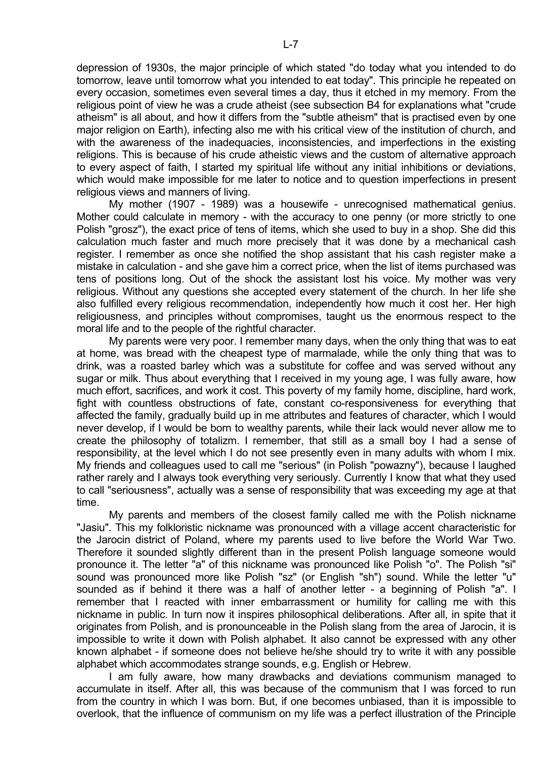depression of 1930s, the major principle of which stated "do today what you intended to do tomorrow, leave until tomorrow what you intended to eat today". This principle he repeated on every occasion, sometimes even several times a day, thus it etched in my memory. From the religious point of view he was a crude atheist (see subsection B4 for explanations what "crude atheism" is all about, and how it differs from the "subtle atheism" that is practised even by one major religion on Earth), infecting also me with his critical view of the institution of church, and with the awareness of the inadequacies, inconsistencies, and imperfections in the existing religions. This is because of his crude atheistic views and the custom of alternative approach to every aspect of faith, I started my spiritual life without any initial inhibitions or deviations, which would make impossible for me later to notice and to question imperfections in present religious views and manners of living.

 My mother (1907 - 1989) was a housewife - unrecognised mathematical genius. Mother could calculate in memory - with the accuracy to one penny (or more strictly to one Polish "grosz"), the exact price of tens of items, which she used to buy in a shop. She did this calculation much faster and much more precisely that it was done by a mechanical cash register. I remember as once she notified the shop assistant that his cash register make a mistake in calculation - and she gave him a correct price, when the list of items purchased was tens of positions long. Out of the shock the assistant lost his voice. My mother was very religious. Without any questions she accepted every statement of the church. In her life she also fulfilled every religious recommendation, independently how much it cost her. Her high religiousness, and principles without compromises, taught us the enormous respect to the moral life and to the people of the rightful character.

 My parents were very poor. I remember many days, when the only thing that was to eat at home, was bread with the cheapest type of marmalade, while the only thing that was to drink, was a roasted barley which was a substitute for coffee and was served without any sugar or milk. Thus about everything that I received in my young age, I was fully aware, how much effort, sacrifices, and work it cost. This poverty of my family home, discipline, hard work, fight with countless obstructions of fate, constant co-responsiveness for everything that affected the family, gradually build up in me attributes and features of character, which I would never develop, if I would be born to wealthy parents, while their lack would never allow me to create the philosophy of totalizm. I remember, that still as a small boy I had a sense of responsibility, at the level which I do not see presently even in many adults with whom I mix. My friends and colleagues used to call me "serious" (in Polish "powazny"), because I laughed rather rarely and I always took everything very seriously. Currently I know that what they used to call "seriousness", actually was a sense of responsibility that was exceeding my age at that time.

 My parents and members of the closest family called me with the Polish nickname "Jasiu". This my folkloristic nickname was pronounced with a village accent characteristic for the Jarocin district of Poland, where my parents used to live before the World War Two. Therefore it sounded slightly different than in the present Polish language someone would pronounce it. The letter "a" of this nickname was pronounced like Polish "o". The Polish "si" sound was pronounced more like Polish "sz" (or English "sh") sound. While the letter "u" sounded as if behind it there was a half of another letter - a beginning of Polish "a". I remember that I reacted with inner embarrassment or humility for calling me with this nickname in public. In turn now it inspires philosophical deliberations. After all, in spite that it originates from Polish, and is pronounceable in the Polish slang from the area of Jarocin, it is impossible to write it down with Polish alphabet. It also cannot be expressed with any other known alphabet - if someone does not believe he/she should try to write it with any possible alphabet which accommodates strange sounds, e.g. English or Hebrew.

 I am fully aware, how many drawbacks and deviations communism managed to accumulate in itself. After all, this was because of the communism that I was forced to run from the country in which I was born. But, if one becomes unbiased, than it is impossible to overlook, that the influence of communism on my life was a perfect illustration of the Principle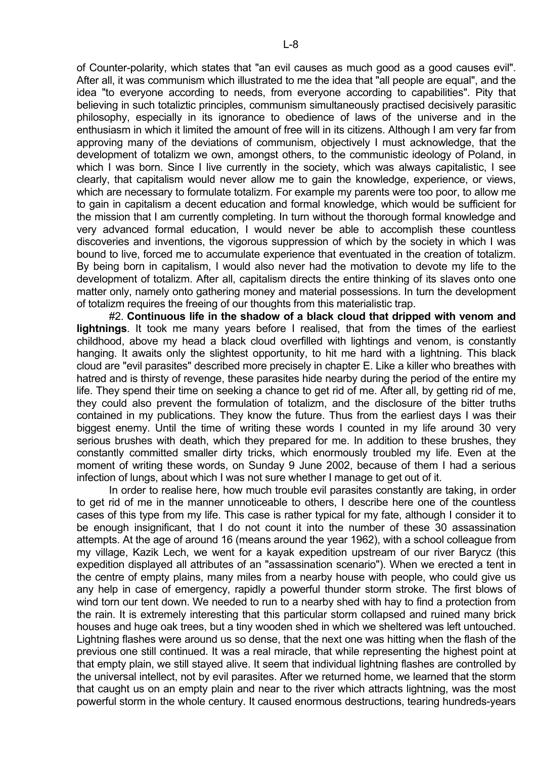of Counter-polarity, which states that "an evil causes as much good as a good causes evil". After all, it was communism which illustrated to me the idea that "all people are equal", and the idea "to everyone according to needs, from everyone according to capabilities". Pity that believing in such totaliztic principles, communism simultaneously practised decisively parasitic philosophy, especially in its ignorance to obedience of laws of the universe and in the enthusiasm in which it limited the amount of free will in its citizens. Although I am very far from approving many of the deviations of communism, objectively I must acknowledge, that the development of totalizm we own, amongst others, to the communistic ideology of Poland, in which I was born. Since I live currently in the society, which was always capitalistic, I see clearly, that capitalism would never allow me to gain the knowledge, experience, or views, which are necessary to formulate totalizm. For example my parents were too poor, to allow me to gain in capitalism a decent education and formal knowledge, which would be sufficient for the mission that I am currently completing. In turn without the thorough formal knowledge and very advanced formal education, I would never be able to accomplish these countless discoveries and inventions, the vigorous suppression of which by the society in which I was bound to live, forced me to accumulate experience that eventuated in the creation of totalizm. By being born in capitalism, I would also never had the motivation to devote my life to the development of totalizm. After all, capitalism directs the entire thinking of its slaves onto one matter only, namely onto gathering money and material possessions. In turn the development of totalizm requires the freeing of our thoughts from this materialistic trap.

 #2. **Continuous life in the shadow of a black cloud that dripped with venom and lightnings**. It took me many years before I realised, that from the times of the earliest childhood, above my head a black cloud overfilled with lightings and venom, is constantly hanging. It awaits only the slightest opportunity, to hit me hard with a lightning. This black cloud are "evil parasites" described more precisely in chapter E. Like a killer who breathes with hatred and is thirsty of revenge, these parasites hide nearby during the period of the entire my life. They spend their time on seeking a chance to get rid of me. After all, by getting rid of me, they could also prevent the formulation of totalizm, and the disclosure of the bitter truths contained in my publications. They know the future. Thus from the earliest days I was their biggest enemy. Until the time of writing these words I counted in my life around 30 very serious brushes with death, which they prepared for me. In addition to these brushes, they constantly committed smaller dirty tricks, which enormously troubled my life. Even at the moment of writing these words, on Sunday 9 June 2002, because of them I had a serious infection of lungs, about which I was not sure whether I manage to get out of it.

 In order to realise here, how much trouble evil parasites constantly are taking, in order to get rid of me in the manner unnoticeable to others, I describe here one of the countless cases of this type from my life. This case is rather typical for my fate, although I consider it to be enough insignificant, that I do not count it into the number of these 30 assassination attempts. At the age of around 16 (means around the year 1962), with a school colleague from my village, Kazik Lech, we went for a kayak expedition upstream of our river Barycz (this expedition displayed all attributes of an "assassination scenario"). When we erected a tent in the centre of empty plains, many miles from a nearby house with people, who could give us any help in case of emergency, rapidly a powerful thunder storm stroke. The first blows of wind torn our tent down. We needed to run to a nearby shed with hay to find a protection from the rain. It is extremely interesting that this particular storm collapsed and ruined many brick houses and huge oak trees, but a tiny wooden shed in which we sheltered was left untouched. Lightning flashes were around us so dense, that the next one was hitting when the flash of the previous one still continued. It was a real miracle, that while representing the highest point at that empty plain, we still stayed alive. It seem that individual lightning flashes are controlled by the universal intellect, not by evil parasites. After we returned home, we learned that the storm that caught us on an empty plain and near to the river which attracts lightning, was the most powerful storm in the whole century. It caused enormous destructions, tearing hundreds-years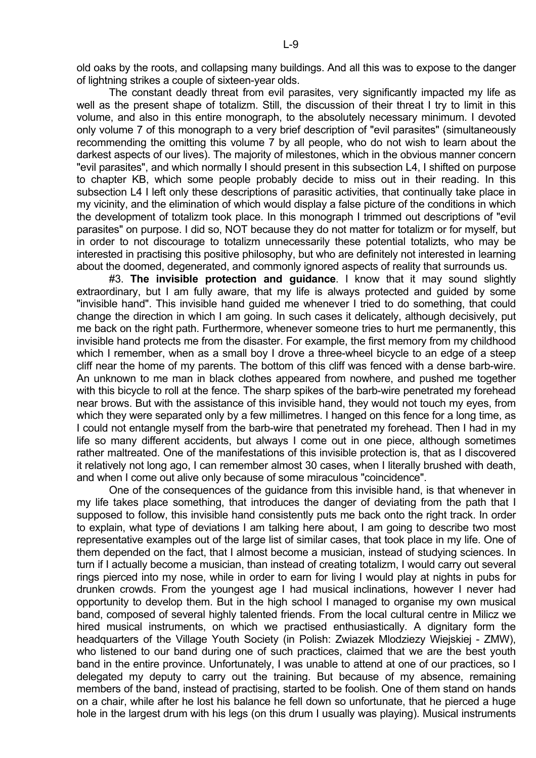old oaks by the roots, and collapsing many buildings. And all this was to expose to the danger of lightning strikes a couple of sixteen-year olds.

 The constant deadly threat from evil parasites, very significantly impacted my life as well as the present shape of totalizm. Still, the discussion of their threat I try to limit in this volume, and also in this entire monograph, to the absolutely necessary minimum. I devoted only volume 7 of this monograph to a very brief description of "evil parasites" (simultaneously recommending the omitting this volume 7 by all people, who do not wish to learn about the darkest aspects of our lives). The majority of milestones, which in the obvious manner concern "evil parasites", and which normally I should present in this subsection L4, I shifted on purpose to chapter KB, which some people probably decide to miss out in their reading. In this subsection L4 I left only these descriptions of parasitic activities, that continually take place in my vicinity, and the elimination of which would display a false picture of the conditions in which the development of totalizm took place. In this monograph I trimmed out descriptions of "evil parasites" on purpose. I did so, NOT because they do not matter for totalizm or for myself, but in order to not discourage to totalizm unnecessarily these potential totalizts, who may be interested in practising this positive philosophy, but who are definitely not interested in learning about the doomed, degenerated, and commonly ignored aspects of reality that surrounds us.

 #3. **The invisible protection and guidance**. I know that it may sound slightly extraordinary, but I am fully aware, that my life is always protected and guided by some "invisible hand". This invisible hand guided me whenever I tried to do something, that could change the direction in which I am going. In such cases it delicately, although decisively, put me back on the right path. Furthermore, whenever someone tries to hurt me permanently, this invisible hand protects me from the disaster. For example, the first memory from my childhood which I remember, when as a small boy I drove a three-wheel bicycle to an edge of a steep cliff near the home of my parents. The bottom of this cliff was fenced with a dense barb-wire. An unknown to me man in black clothes appeared from nowhere, and pushed me together with this bicycle to roll at the fence. The sharp spikes of the barb-wire penetrated my forehead near brows. But with the assistance of this invisible hand, they would not touch my eyes, from which they were separated only by a few millimetres. I hanged on this fence for a long time, as I could not entangle myself from the barb-wire that penetrated my forehead. Then I had in my life so many different accidents, but always I come out in one piece, although sometimes rather maltreated. One of the manifestations of this invisible protection is, that as I discovered it relatively not long ago, I can remember almost 30 cases, when I literally brushed with death, and when I come out alive only because of some miraculous "coincidence".

 One of the consequences of the guidance from this invisible hand, is that whenever in my life takes place something, that introduces the danger of deviating from the path that I supposed to follow, this invisible hand consistently puts me back onto the right track. In order to explain, what type of deviations I am talking here about, I am going to describe two most representative examples out of the large list of similar cases, that took place in my life. One of them depended on the fact, that I almost become a musician, instead of studying sciences. In turn if I actually become a musician, than instead of creating totalizm, I would carry out several rings pierced into my nose, while in order to earn for living I would play at nights in pubs for drunken crowds. From the youngest age I had musical inclinations, however I never had opportunity to develop them. But in the high school I managed to organise my own musical band, composed of several highly talented friends. From the local cultural centre in Milicz we hired musical instruments, on which we practised enthusiastically. A dignitary form the headquarters of the Village Youth Society (in Polish: Zwiazek Mlodziezy Wiejskiej - ZMW), who listened to our band during one of such practices, claimed that we are the best youth band in the entire province. Unfortunately, I was unable to attend at one of our practices, so I delegated my deputy to carry out the training. But because of my absence, remaining members of the band, instead of practising, started to be foolish. One of them stand on hands on a chair, while after he lost his balance he fell down so unfortunate, that he pierced a huge hole in the largest drum with his legs (on this drum I usually was playing). Musical instruments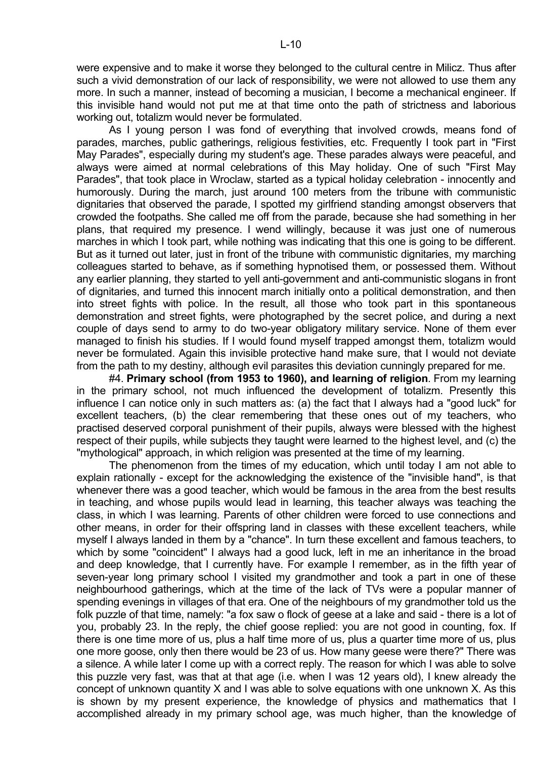were expensive and to make it worse they belonged to the cultural centre in Milicz. Thus after such a vivid demonstration of our lack of responsibility, we were not allowed to use them any more. In such a manner, instead of becoming a musician, I become a mechanical engineer. If this invisible hand would not put me at that time onto the path of strictness and laborious working out, totalizm would never be formulated.

 As I young person I was fond of everything that involved crowds, means fond of parades, marches, public gatherings, religious festivities, etc. Frequently I took part in "First May Parades", especially during my student's age. These parades always were peaceful, and always were aimed at normal celebrations of this May holiday. One of such "First May Parades", that took place in Wroclaw, started as a typical holiday celebration - innocently and humorously. During the march, just around 100 meters from the tribune with communistic dignitaries that observed the parade, I spotted my girlfriend standing amongst observers that crowded the footpaths. She called me off from the parade, because she had something in her plans, that required my presence. I wend willingly, because it was just one of numerous marches in which I took part, while nothing was indicating that this one is going to be different. But as it turned out later, just in front of the tribune with communistic dignitaries, my marching colleagues started to behave, as if something hypnotised them, or possessed them. Without any earlier planning, they started to yell anti-government and anti-communistic slogans in front of dignitaries, and turned this innocent march initially onto a political demonstration, and then into street fights with police. In the result, all those who took part in this spontaneous demonstration and street fights, were photographed by the secret police, and during a next couple of days send to army to do two-year obligatory military service. None of them ever managed to finish his studies. If I would found myself trapped amongst them, totalizm would never be formulated. Again this invisible protective hand make sure, that I would not deviate from the path to my destiny, although evil parasites this deviation cunningly prepared for me.

 #4. **Primary school (from 1953 to 1960), and learning of religion**. From my learning in the primary school, not much influenced the development of totalizm. Presently this influence I can notice only in such matters as: (a) the fact that I always had a "good luck" for excellent teachers, (b) the clear remembering that these ones out of my teachers, who practised deserved corporal punishment of their pupils, always were blessed with the highest respect of their pupils, while subjects they taught were learned to the highest level, and (c) the "mythological" approach, in which religion was presented at the time of my learning.

 The phenomenon from the times of my education, which until today I am not able to explain rationally - except for the acknowledging the existence of the "invisible hand", is that whenever there was a good teacher, which would be famous in the area from the best results in teaching, and whose pupils would lead in learning, this teacher always was teaching the class, in which I was learning. Parents of other children were forced to use connections and other means, in order for their offspring land in classes with these excellent teachers, while myself I always landed in them by a "chance". In turn these excellent and famous teachers, to which by some "coincident" I always had a good luck, left in me an inheritance in the broad and deep knowledge, that I currently have. For example I remember, as in the fifth year of seven-year long primary school I visited my grandmother and took a part in one of these neighbourhood gatherings, which at the time of the lack of TVs were a popular manner of spending evenings in villages of that era. One of the neighbours of my grandmother told us the folk puzzle of that time, namely: "a fox saw o flock of geese at a lake and said - there is a lot of you, probably 23. In the reply, the chief goose replied: you are not good in counting, fox. If there is one time more of us, plus a half time more of us, plus a quarter time more of us, plus one more goose, only then there would be 23 of us. How many geese were there?" There was a silence. A while later I come up with a correct reply. The reason for which I was able to solve this puzzle very fast, was that at that age (i.e. when I was 12 years old), I knew already the concept of unknown quantity X and I was able to solve equations with one unknown X. As this is shown by my present experience, the knowledge of physics and mathematics that I accomplished already in my primary school age, was much higher, than the knowledge of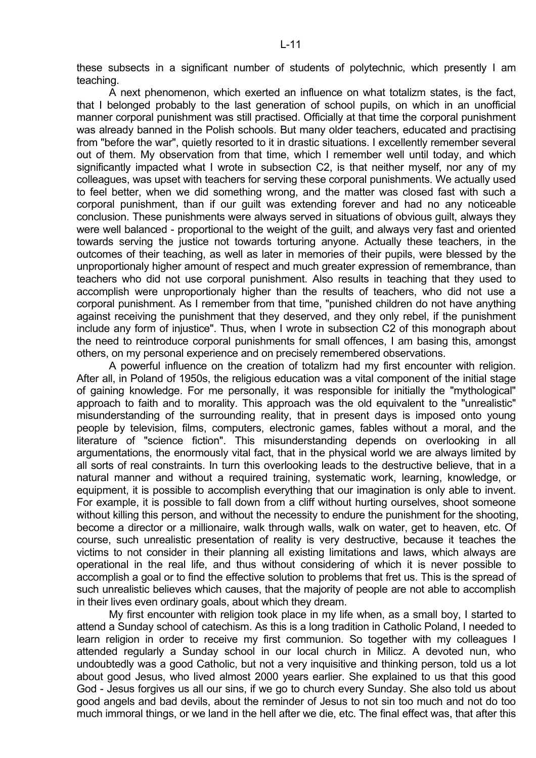these subsects in a significant number of students of polytechnic, which presently I am teaching.

 A next phenomenon, which exerted an influence on what totalizm states, is the fact, that I belonged probably to the last generation of school pupils, on which in an unofficial manner corporal punishment was still practised. Officially at that time the corporal punishment was already banned in the Polish schools. But many older teachers, educated and practising from "before the war", quietly resorted to it in drastic situations. I excellently remember several out of them. My observation from that time, which I remember well until today, and which significantly impacted what I wrote in subsection C2, is that neither myself, nor any of my colleagues, was upset with teachers for serving these corporal punishments. We actually used to feel better, when we did something wrong, and the matter was closed fast with such a corporal punishment, than if our guilt was extending forever and had no any noticeable conclusion. These punishments were always served in situations of obvious guilt, always they were well balanced - proportional to the weight of the guilt, and always very fast and oriented towards serving the justice not towards torturing anyone. Actually these teachers, in the outcomes of their teaching, as well as later in memories of their pupils, were blessed by the unproportionaly higher amount of respect and much greater expression of remembrance, than teachers who did not use corporal punishment. Also results in teaching that they used to accomplish were unproportionaly higher than the results of teachers, who did not use a corporal punishment. As I remember from that time, "punished children do not have anything against receiving the punishment that they deserved, and they only rebel, if the punishment include any form of injustice". Thus, when I wrote in subsection C2 of this monograph about the need to reintroduce corporal punishments for small offences, I am basing this, amongst others, on my personal experience and on precisely remembered observations.

 A powerful influence on the creation of totalizm had my first encounter with religion. After all, in Poland of 1950s, the religious education was a vital component of the initial stage of gaining knowledge. For me personally, it was responsible for initially the "mythological" approach to faith and to morality. This approach was the old equivalent to the "unrealistic" misunderstanding of the surrounding reality, that in present days is imposed onto young people by television, films, computers, electronic games, fables without a moral, and the literature of "science fiction". This misunderstanding depends on overlooking in all argumentations, the enormously vital fact, that in the physical world we are always limited by all sorts of real constraints. In turn this overlooking leads to the destructive believe, that in a natural manner and without a required training, systematic work, learning, knowledge, or equipment, it is possible to accomplish everything that our imagination is only able to invent. For example, it is possible to fall down from a cliff without hurting ourselves, shoot someone without killing this person, and without the necessity to endure the punishment for the shooting, become a director or a millionaire, walk through walls, walk on water, get to heaven, etc. Of course, such unrealistic presentation of reality is very destructive, because it teaches the victims to not consider in their planning all existing limitations and laws, which always are operational in the real life, and thus without considering of which it is never possible to accomplish a goal or to find the effective solution to problems that fret us. This is the spread of such unrealistic believes which causes, that the majority of people are not able to accomplish in their lives even ordinary goals, about which they dream.

 My first encounter with religion took place in my life when, as a small boy, I started to attend a Sunday school of catechism. As this is a long tradition in Catholic Poland, I needed to learn religion in order to receive my first communion. So together with my colleagues I attended regularly a Sunday school in our local church in Milicz. A devoted nun, who undoubtedly was a good Catholic, but not a very inquisitive and thinking person, told us a lot about good Jesus, who lived almost 2000 years earlier. She explained to us that this good God - Jesus forgives us all our sins, if we go to church every Sunday. She also told us about good angels and bad devils, about the reminder of Jesus to not sin too much and not do too much immoral things, or we land in the hell after we die, etc. The final effect was, that after this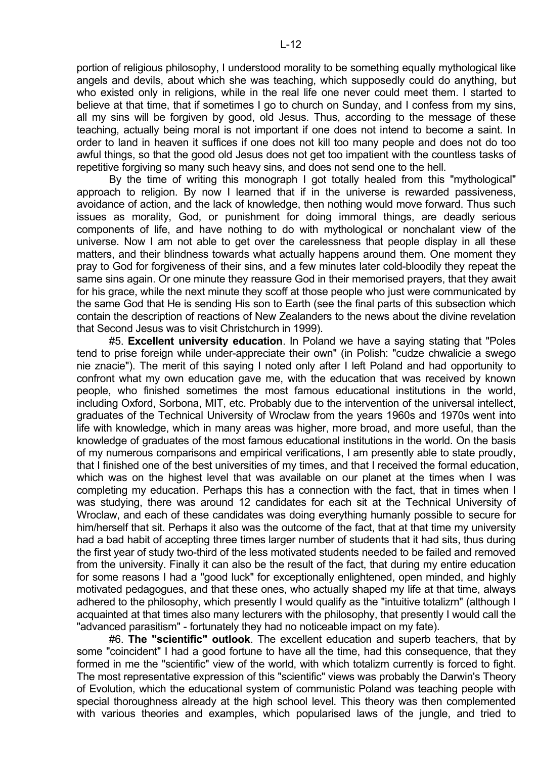portion of religious philosophy, I understood morality to be something equally mythological like angels and devils, about which she was teaching, which supposedly could do anything, but who existed only in religions, while in the real life one never could meet them. I started to believe at that time, that if sometimes I go to church on Sunday, and I confess from my sins, all my sins will be forgiven by good, old Jesus. Thus, according to the message of these teaching, actually being moral is not important if one does not intend to become a saint. In order to land in heaven it suffices if one does not kill too many people and does not do too awful things, so that the good old Jesus does not get too impatient with the countless tasks of repetitive forgiving so many such heavy sins, and does not send one to the hell.

 By the time of writing this monograph I got totally healed from this "mythological" approach to religion. By now I learned that if in the universe is rewarded passiveness, avoidance of action, and the lack of knowledge, then nothing would move forward. Thus such issues as morality, God, or punishment for doing immoral things, are deadly serious components of life, and have nothing to do with mythological or nonchalant view of the universe. Now I am not able to get over the carelessness that people display in all these matters, and their blindness towards what actually happens around them. One moment they pray to God for forgiveness of their sins, and a few minutes later cold-bloodily they repeat the same sins again. Or one minute they reassure God in their memorised prayers, that they await for his grace, while the next minute they scoff at those people who just were communicated by the same God that He is sending His son to Earth (see the final parts of this subsection which contain the description of reactions of New Zealanders to the news about the divine revelation that Second Jesus was to visit Christchurch in 1999).

 #5. **Excellent university education**. In Poland we have a saying stating that "Poles tend to prise foreign while under-appreciate their own" (in Polish: "cudze chwalicie a swego nie znacie"). The merit of this saying I noted only after I left Poland and had opportunity to confront what my own education gave me, with the education that was received by known people, who finished sometimes the most famous educational institutions in the world, including Oxford, Sorbona, MIT, etc. Probably due to the intervention of the universal intellect, graduates of the Technical University of Wroclaw from the years 1960s and 1970s went into life with knowledge, which in many areas was higher, more broad, and more useful, than the knowledge of graduates of the most famous educational institutions in the world. On the basis of my numerous comparisons and empirical verifications, I am presently able to state proudly, that I finished one of the best universities of my times, and that I received the formal education, which was on the highest level that was available on our planet at the times when I was completing my education. Perhaps this has a connection with the fact, that in times when I was studying, there was around 12 candidates for each sit at the Technical University of Wroclaw, and each of these candidates was doing everything humanly possible to secure for him/herself that sit. Perhaps it also was the outcome of the fact, that at that time my university had a bad habit of accepting three times larger number of students that it had sits, thus during the first year of study two-third of the less motivated students needed to be failed and removed from the university. Finally it can also be the result of the fact, that during my entire education for some reasons I had a "good luck" for exceptionally enlightened, open minded, and highly motivated pedagogues, and that these ones, who actually shaped my life at that time, always adhered to the philosophy, which presently I would qualify as the "intuitive totalizm" (although I acquainted at that times also many lecturers with the philosophy, that presently I would call the "advanced parasitism" - fortunately they had no noticeable impact on my fate).

 #6. **The "scientific" outlook**. The excellent education and superb teachers, that by some "coincident" I had a good fortune to have all the time, had this consequence, that they formed in me the "scientific" view of the world, with which totalizm currently is forced to fight. The most representative expression of this "scientific" views was probably the Darwin's Theory of Evolution, which the educational system of communistic Poland was teaching people with special thoroughness already at the high school level. This theory was then complemented with various theories and examples, which popularised laws of the jungle, and tried to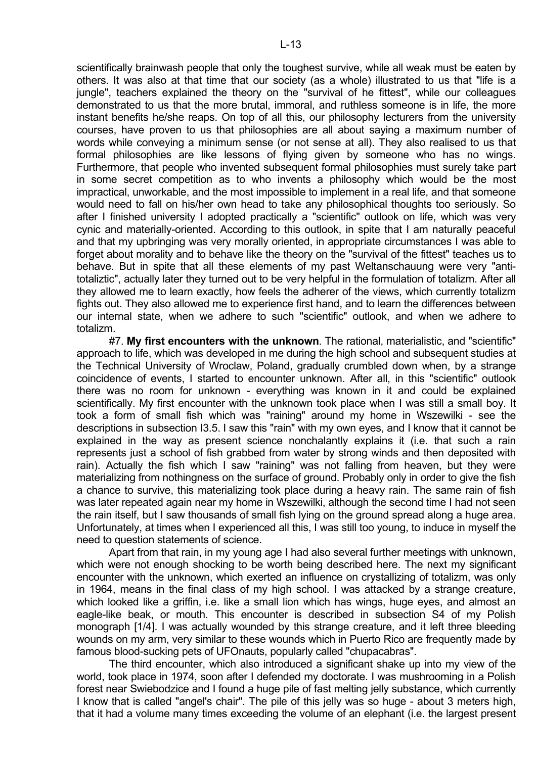scientifically brainwash people that only the toughest survive, while all weak must be eaten by others. It was also at that time that our society (as a whole) illustrated to us that "life is a jungle", teachers explained the theory on the "survival of he fittest", while our colleagues demonstrated to us that the more brutal, immoral, and ruthless someone is in life, the more instant benefits he/she reaps. On top of all this, our philosophy lecturers from the university courses, have proven to us that philosophies are all about saying a maximum number of words while conveying a minimum sense (or not sense at all). They also realised to us that formal philosophies are like lessons of flying given by someone who has no wings. Furthermore, that people who invented subsequent formal philosophies must surely take part in some secret competition as to who invents a philosophy which would be the most impractical, unworkable, and the most impossible to implement in a real life, and that someone would need to fall on his/her own head to take any philosophical thoughts too seriously. So after I finished university I adopted practically a "scientific" outlook on life, which was very cynic and materially-oriented. According to this outlook, in spite that I am naturally peaceful and that my upbringing was very morally oriented, in appropriate circumstances I was able to forget about morality and to behave like the theory on the "survival of the fittest" teaches us to behave. But in spite that all these elements of my past Weltanschauung were very "antitotaliztic", actually later they turned out to be very helpful in the formulation of totalizm. After all they allowed me to learn exactly, how feels the adherer of the views, which currently totalizm fights out. They also allowed me to experience first hand, and to learn the differences between our internal state, when we adhere to such "scientific" outlook, and when we adhere to totalizm.

 #7. **My first encounters with the unknown**. The rational, materialistic, and "scientific" approach to life, which was developed in me during the high school and subsequent studies at the Technical University of Wroclaw, Poland, gradually crumbled down when, by a strange coincidence of events, I started to encounter unknown. After all, in this "scientific" outlook there was no room for unknown - everything was known in it and could be explained scientifically. My first encounter with the unknown took place when I was still a small boy. It took a form of small fish which was "raining" around my home in Wszewilki - see the descriptions in subsection I3.5. I saw this "rain" with my own eyes, and I know that it cannot be explained in the way as present science nonchalantly explains it (i.e. that such a rain represents just a school of fish grabbed from water by strong winds and then deposited with rain). Actually the fish which I saw "raining" was not falling from heaven, but they were materializing from nothingness on the surface of ground. Probably only in order to give the fish a chance to survive, this materializing took place during a heavy rain. The same rain of fish was later repeated again near my home in Wszewilki, although the second time I had not seen the rain itself, but I saw thousands of small fish lying on the ground spread along a huge area. Unfortunately, at times when I experienced all this, I was still too young, to induce in myself the need to question statements of science.

 Apart from that rain, in my young age I had also several further meetings with unknown, which were not enough shocking to be worth being described here. The next my significant encounter with the unknown, which exerted an influence on crystallizing of totalizm, was only in 1964, means in the final class of my high school. I was attacked by a strange creature, which looked like a griffin, i.e. like a small lion which has wings, huge eyes, and almost an eagle-like beak, or mouth. This encounter is described in subsection S4 of my Polish monograph [1/4]. I was actually wounded by this strange creature, and it left three bleeding wounds on my arm, very similar to these wounds which in Puerto Rico are frequently made by famous blood-sucking pets of UFOnauts, popularly called "chupacabras".

 The third encounter, which also introduced a significant shake up into my view of the world, took place in 1974, soon after I defended my doctorate. I was mushrooming in a Polish forest near Swiebodzice and I found a huge pile of fast melting jelly substance, which currently I know that is called "angel's chair". The pile of this jelly was so huge - about 3 meters high, that it had a volume many times exceeding the volume of an elephant (i.e. the largest present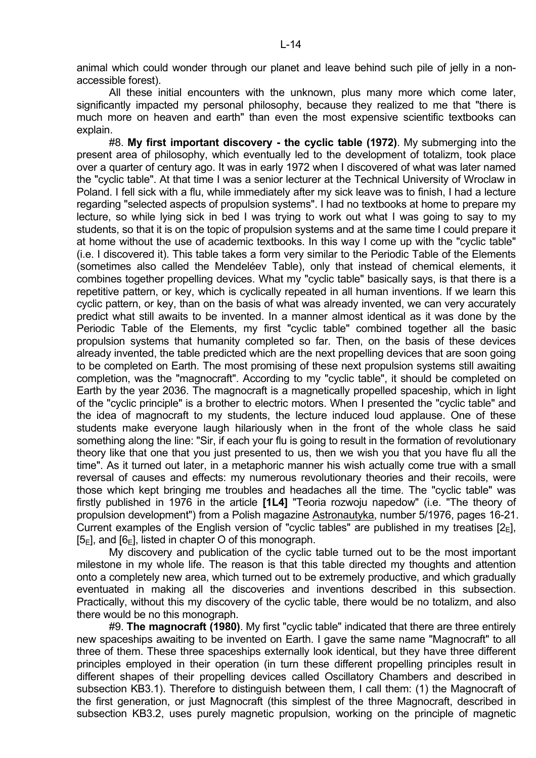animal which could wonder through our planet and leave behind such pile of jelly in a nonaccessible forest).

 All these initial encounters with the unknown, plus many more which come later, significantly impacted my personal philosophy, because they realized to me that "there is much more on heaven and earth" than even the most expensive scientific textbooks can explain.

 #8. **My first important discovery - the cyclic table (1972)**. My submerging into the present area of philosophy, which eventually led to the development of totalizm, took place over a quarter of century ago. It was in early 1972 when I discovered of what was later named the "cyclic table". At that time I was a senior lecturer at the Technical University of Wroclaw in Poland. I fell sick with a flu, while immediately after my sick leave was to finish, I had a lecture regarding "selected aspects of propulsion systems". I had no textbooks at home to prepare my lecture, so while lying sick in bed I was trying to work out what I was going to say to my students, so that it is on the topic of propulsion systems and at the same time I could prepare it at home without the use of academic textbooks. In this way I come up with the "cyclic table" (i.e. I discovered it). This table takes a form very similar to the Periodic Table of the Elements (sometimes also called the Mendeléev Table), only that instead of chemical elements, it combines together propelling devices. What my "cyclic table" basically says, is that there is a repetitive pattern, or key, which is cyclically repeated in all human inventions. If we learn this cyclic pattern, or key, than on the basis of what was already invented, we can very accurately predict what still awaits to be invented. In a manner almost identical as it was done by the Periodic Table of the Elements, my first "cyclic table" combined together all the basic propulsion systems that humanity completed so far. Then, on the basis of these devices already invented, the table predicted which are the next propelling devices that are soon going to be completed on Earth. The most promising of these next propulsion systems still awaiting completion, was the "magnocraft". According to my "cyclic table", it should be completed on Earth by the year 2036. The magnocraft is a magnetically propelled spaceship, which in light of the "cyclic principle" is a brother to electric motors. When I presented the "cyclic table" and the idea of magnocraft to my students, the lecture induced loud applause. One of these students make everyone laugh hilariously when in the front of the whole class he said something along the line: "Sir, if each your flu is going to result in the formation of revolutionary theory like that one that you just presented to us, then we wish you that you have flu all the time". As it turned out later, in a metaphoric manner his wish actually come true with a small reversal of causes and effects: my numerous revolutionary theories and their recoils, were those which kept bringing me troubles and headaches all the time. The "cyclic table" was firstly published in 1976 in the article **[1L4]** "Teoria rozwoju napedow" (i.e. "The theory of propulsion development") from a Polish magazine Astronautyka, number 5/1976, pages 16-21. Current examples of the English version of "cyclic tables" are published in my treatises  $[2_{E}]$ ,  $[5_F]$ , and  $[6_F]$ , listed in chapter O of this monograph.

 My discovery and publication of the cyclic table turned out to be the most important milestone in my whole life. The reason is that this table directed my thoughts and attention onto a completely new area, which turned out to be extremely productive, and which gradually eventuated in making all the discoveries and inventions described in this subsection. Practically, without this my discovery of the cyclic table, there would be no totalizm, and also there would be no this monograph.

 #9. **The magnocraft (1980)**. My first "cyclic table" indicated that there are three entirely new spaceships awaiting to be invented on Earth. I gave the same name "Magnocraft" to all three of them. These three spaceships externally look identical, but they have three different principles employed in their operation (in turn these different propelling principles result in different shapes of their propelling devices called Oscillatory Chambers and described in subsection KB3.1). Therefore to distinguish between them, I call them: (1) the Magnocraft of the first generation, or just Magnocraft (this simplest of the three Magnocraft, described in subsection KB3.2, uses purely magnetic propulsion, working on the principle of magnetic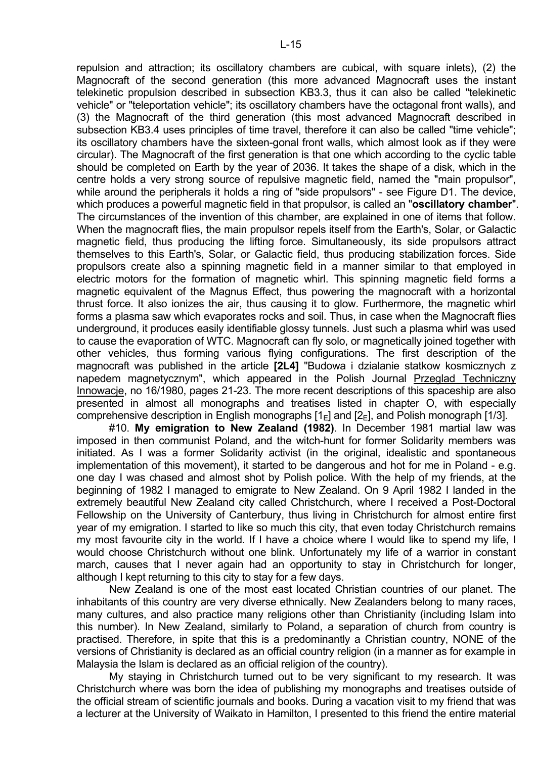repulsion and attraction; its oscillatory chambers are cubical, with square inlets), (2) the Magnocraft of the second generation (this more advanced Magnocraft uses the instant telekinetic propulsion described in subsection KB3.3, thus it can also be called "telekinetic vehicle" or "teleportation vehicle"; its oscillatory chambers have the octagonal front walls), and (3) the Magnocraft of the third generation (this most advanced Magnocraft described in subsection KB3.4 uses principles of time travel, therefore it can also be called "time vehicle"; its oscillatory chambers have the sixteen-gonal front walls, which almost look as if they were circular). The Magnocraft of the first generation is that one which according to the cyclic table should be completed on Earth by the year of 2036. It takes the shape of a disk, which in the centre holds a very strong source of repulsive magnetic field, named the "main propulsor", while around the peripherals it holds a ring of "side propulsors" - see Figure D1. The device, which produces a powerful magnetic field in that propulsor, is called an "**oscillatory chamber**". The circumstances of the invention of this chamber, are explained in one of items that follow. When the magnocraft flies, the main propulsor repels itself from the Earth's, Solar, or Galactic magnetic field, thus producing the lifting force. Simultaneously, its side propulsors attract themselves to this Earth's, Solar, or Galactic field, thus producing stabilization forces. Side propulsors create also a spinning magnetic field in a manner similar to that employed in electric motors for the formation of magnetic whirl. This spinning magnetic field forms a magnetic equivalent of the Magnus Effect, thus powering the magnocraft with a horizontal thrust force. It also ionizes the air, thus causing it to glow. Furthermore, the magnetic whirl forms a plasma saw which evaporates rocks and soil. Thus, in case when the Magnocraft flies underground, it produces easily identifiable glossy tunnels. Just such a plasma whirl was used to cause the evaporation of WTC. Magnocraft can fly solo, or magnetically joined together with other vehicles, thus forming various flying configurations. The first description of the magnocraft was published in the article **[2L4]** "Budowa i dzialanie statkow kosmicznych z napedem magnetycznym", which appeared in the Polish Journal Przeglad Techniczny Innowacje, no 16/1980, pages 21-23. The more recent descriptions of this spaceship are also presented in almost all monographs and treatises listed in chapter O, with especially comprehensive description in English monographs  $[1_F]$  and  $[2_F]$ , and Polish monograph [1/3].

 #10. **My emigration to New Zealand (1982)**. In December 1981 martial law was imposed in then communist Poland, and the witch-hunt for former Solidarity members was initiated. As I was a former Solidarity activist (in the original, idealistic and spontaneous implementation of this movement), it started to be dangerous and hot for me in Poland - e.g. one day I was chased and almost shot by Polish police. With the help of my friends, at the beginning of 1982 I managed to emigrate to New Zealand. On 9 April 1982 I landed in the extremely beautiful New Zealand city called Christchurch, where I received a Post-Doctoral Fellowship on the University of Canterbury, thus living in Christchurch for almost entire first year of my emigration. I started to like so much this city, that even today Christchurch remains my most favourite city in the world. If I have a choice where I would like to spend my life, I would choose Christchurch without one blink. Unfortunately my life of a warrior in constant march, causes that I never again had an opportunity to stay in Christchurch for longer, although I kept returning to this city to stay for a few days.

 New Zealand is one of the most east located Christian countries of our planet. The inhabitants of this country are very diverse ethnically. New Zealanders belong to many races, many cultures, and also practice many religions other than Christianity (including Islam into this number). In New Zealand, similarly to Poland, a separation of church from country is practised. Therefore, in spite that this is a predominantly a Christian country, NONE of the versions of Christianity is declared as an official country religion (in a manner as for example in Malaysia the Islam is declared as an official religion of the country).

 My staying in Christchurch turned out to be very significant to my research. It was Christchurch where was born the idea of publishing my monographs and treatises outside of the official stream of scientific journals and books. During a vacation visit to my friend that was a lecturer at the University of Waikato in Hamilton, I presented to this friend the entire material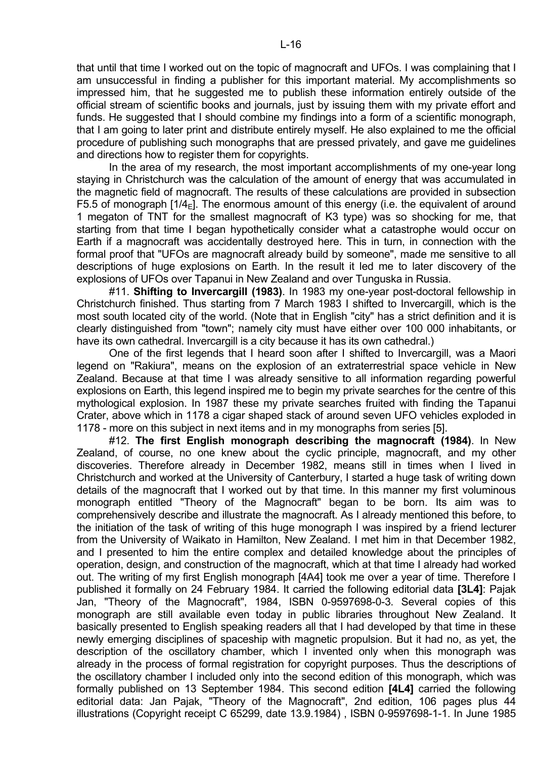that until that time I worked out on the topic of magnocraft and UFOs. I was complaining that I am unsuccessful in finding a publisher for this important material. My accomplishments so impressed him, that he suggested me to publish these information entirely outside of the official stream of scientific books and journals, just by issuing them with my private effort and funds. He suggested that I should combine my findings into a form of a scientific monograph, that I am going to later print and distribute entirely myself. He also explained to me the official procedure of publishing such monographs that are pressed privately, and gave me guidelines and directions how to register them for copyrights.

 In the area of my research, the most important accomplishments of my one-year long staying in Christchurch was the calculation of the amount of energy that was accumulated in the magnetic field of magnocraft. The results of these calculations are provided in subsection F5.5 of monograph  $[1/4<sub>E</sub>]$ . The enormous amount of this energy (i.e. the equivalent of around 1 megaton of TNT for the smallest magnocraft of K3 type) was so shocking for me, that starting from that time I began hypothetically consider what a catastrophe would occur on Earth if a magnocraft was accidentally destroyed here. This in turn, in connection with the formal proof that "UFOs are magnocraft already build by someone", made me sensitive to all descriptions of huge explosions on Earth. In the result it led me to later discovery of the explosions of UFOs over Tapanui in New Zealand and over Tunguska in Russia.

 #11. **Shifting to Invercargill (1983)**. In 1983 my one-year post-doctoral fellowship in Christchurch finished. Thus starting from 7 March 1983 I shifted to Invercargill, which is the most south located city of the world. (Note that in English "city" has a strict definition and it is clearly distinguished from "town"; namely city must have either over 100 000 inhabitants, or have its own cathedral. Invercargill is a city because it has its own cathedral.)

 One of the first legends that I heard soon after I shifted to Invercargill, was a Maori legend on "Rakiura", means on the explosion of an extraterrestrial space vehicle in New Zealand. Because at that time I was already sensitive to all information regarding powerful explosions on Earth, this legend inspired me to begin my private searches for the centre of this mythological explosion. In 1987 these my private searches fruited with finding the Tapanui Crater, above which in 1178 a cigar shaped stack of around seven UFO vehicles exploded in 1178 - more on this subject in next items and in my monographs from series [5].

 #12. **The first English monograph describing the magnocraft (1984)**. In New Zealand, of course, no one knew about the cyclic principle, magnocraft, and my other discoveries. Therefore already in December 1982, means still in times when I lived in Christchurch and worked at the University of Canterbury, I started a huge task of writing down details of the magnocraft that I worked out by that time. In this manner my first voluminous monograph entitled "Theory of the Magnocraft" began to be born. Its aim was to comprehensively describe and illustrate the magnocraft. As I already mentioned this before, to the initiation of the task of writing of this huge monograph I was inspired by a friend lecturer from the University of Waikato in Hamilton, New Zealand. I met him in that December 1982, and I presented to him the entire complex and detailed knowledge about the principles of operation, design, and construction of the magnocraft, which at that time I already had worked out. The writing of my first English monograph [4A4] took me over a year of time. Therefore I published it formally on 24 February 1984. It carried the following editorial data **[3L4]**: Pajak Jan, "Theory of the Magnocraft", 1984, ISBN 0-9597698-0-3. Several copies of this monograph are still available even today in public libraries throughout New Zealand. It basically presented to English speaking readers all that I had developed by that time in these newly emerging disciplines of spaceship with magnetic propulsion. But it had no, as yet, the description of the oscillatory chamber, which I invented only when this monograph was already in the process of formal registration for copyright purposes. Thus the descriptions of the oscillatory chamber I included only into the second edition of this monograph, which was formally published on 13 September 1984. This second edition **[4L4]** carried the following editorial data: Jan Pajak, "Theory of the Magnocraft", 2nd edition, 106 pages plus 44 illustrations (Copyright receipt C 65299, date 13.9.1984) , ISBN 0-9597698-1-1. In June 1985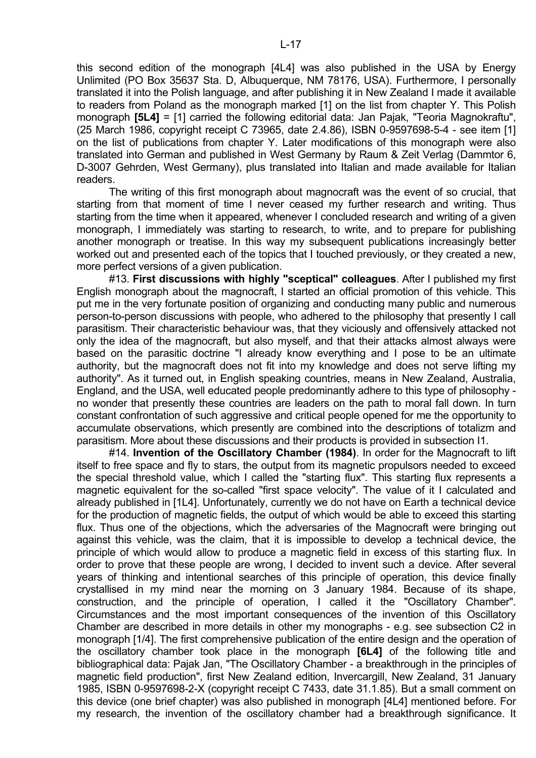this second edition of the monograph [4L4] was also published in the USA by Energy Unlimited (PO Box 35637 Sta. D, Albuquerque, NM 78176, USA). Furthermore, I personally translated it into the Polish language, and after publishing it in New Zealand I made it available to readers from Poland as the monograph marked [1] on the list from chapter Y. This Polish monograph **[5L4]** = [1] carried the following editorial data: Jan Pajak, "Teoria Magnokraftu", (25 March 1986, copyright receipt C 73965, date 2.4.86), ISBN 0-9597698-5-4 - see item [1] on the list of publications from chapter Y. Later modifications of this monograph were also translated into German and published in West Germany by Raum & Zeit Verlag (Dammtor 6, D-3007 Gehrden, West Germany), plus translated into Italian and made available for Italian readers.

 The writing of this first monograph about magnocraft was the event of so crucial, that starting from that moment of time I never ceased my further research and writing. Thus starting from the time when it appeared, whenever I concluded research and writing of a given monograph, I immediately was starting to research, to write, and to prepare for publishing another monograph or treatise. In this way my subsequent publications increasingly better worked out and presented each of the topics that I touched previously, or they created a new, more perfect versions of a given publication.

 #13. **First discussions with highly "sceptical" colleagues**. After I published my first English monograph about the magnocraft, I started an official promotion of this vehicle. This put me in the very fortunate position of organizing and conducting many public and numerous person-to-person discussions with people, who adhered to the philosophy that presently I call parasitism. Their characteristic behaviour was, that they viciously and offensively attacked not only the idea of the magnocraft, but also myself, and that their attacks almost always were based on the parasitic doctrine "I already know everything and I pose to be an ultimate authority, but the magnocraft does not fit into my knowledge and does not serve lifting my authority". As it turned out, in English speaking countries, means in New Zealand, Australia, England, and the USA, well educated people predominantly adhere to this type of philosophy no wonder that presently these countries are leaders on the path to moral fall down. In turn constant confrontation of such aggressive and critical people opened for me the opportunity to accumulate observations, which presently are combined into the descriptions of totalizm and parasitism. More about these discussions and their products is provided in subsection I1.

 #14. **Invention of the Oscillatory Chamber (1984)**. In order for the Magnocraft to lift itself to free space and fly to stars, the output from its magnetic propulsors needed to exceed the special threshold value, which I called the "starting flux". This starting flux represents a magnetic equivalent for the so-called "first space velocity". The value of it I calculated and already published in [1L4]. Unfortunately, currently we do not have on Earth a technical device for the production of magnetic fields, the output of which would be able to exceed this starting flux. Thus one of the objections, which the adversaries of the Magnocraft were bringing out against this vehicle, was the claim, that it is impossible to develop a technical device, the principle of which would allow to produce a magnetic field in excess of this starting flux. In order to prove that these people are wrong, I decided to invent such a device. After several years of thinking and intentional searches of this principle of operation, this device finally crystallised in my mind near the morning on 3 January 1984. Because of its shape, construction, and the principle of operation, I called it the "Oscillatory Chamber". Circumstances and the most important consequences of the invention of this Oscillatory Chamber are described in more details in other my monographs - e.g. see subsection C2 in monograph [1/4]. The first comprehensive publication of the entire design and the operation of the oscillatory chamber took place in the monograph **[6L4]** of the following title and bibliographical data: Pajak Jan, "The Oscillatory Chamber - a breakthrough in the principles of magnetic field production", first New Zealand edition, Invercargill, New Zealand, 31 January 1985, ISBN 0-9597698-2-X (copyright receipt C 7433, date 31.1.85). But a small comment on this device (one brief chapter) was also published in monograph [4L4] mentioned before. For my research, the invention of the oscillatory chamber had a breakthrough significance. It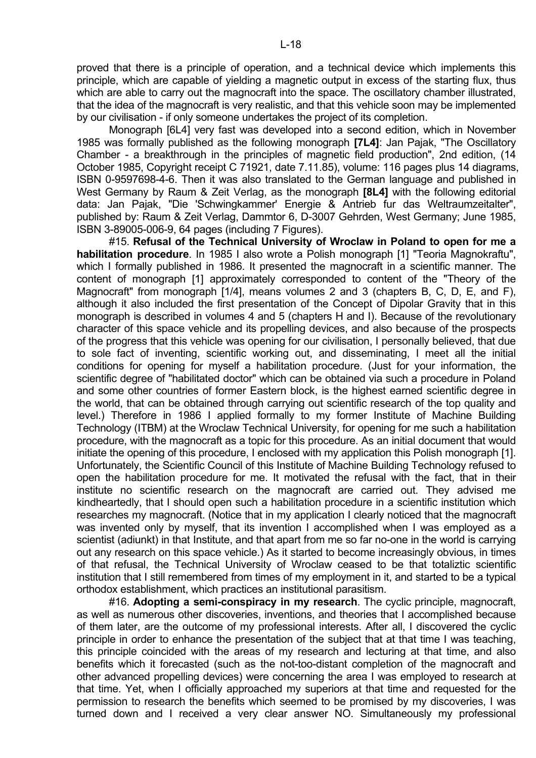proved that there is a principle of operation, and a technical device which implements this principle, which are capable of yielding a magnetic output in excess of the starting flux, thus which are able to carry out the magnocraft into the space. The oscillatory chamber illustrated, that the idea of the magnocraft is very realistic, and that this vehicle soon may be implemented by our civilisation - if only someone undertakes the project of its completion.

 Monograph [6L4] very fast was developed into a second edition, which in November 1985 was formally published as the following monograph **[7L4]**: Jan Pajak, "The Oscillatory Chamber - a breakthrough in the principles of magnetic field production", 2nd edition, (14 October 1985, Copyright receipt C 71921, date 7.11.85), volume: 116 pages plus 14 diagrams, ISBN 0-9597698-4-6. Then it was also translated to the German language and published in West Germany by Raum & Zeit Verlag, as the monograph **[8L4]** with the following editorial data: Jan Pajak, "Die 'Schwingkammer' Energie & Antrieb fur das Weltraumzeitalter", published by: Raum & Zeit Verlag, Dammtor 6, D-3007 Gehrden, West Germany; June 1985, ISBN 3-89005-006-9, 64 pages (including 7 Figures).

 #15. **Refusal of the Technical University of Wroclaw in Poland to open for me a habilitation procedure**. In 1985 I also wrote a Polish monograph [1] "Teoria Magnokraftu", which I formally published in 1986. It presented the magnocraft in a scientific manner. The content of monograph [1] approximately corresponded to content of the "Theory of the Magnocraft" from monograph [1/4], means volumes 2 and 3 (chapters B, C, D, E, and F), although it also included the first presentation of the Concept of Dipolar Gravity that in this monograph is described in volumes 4 and 5 (chapters H and I). Because of the revolutionary character of this space vehicle and its propelling devices, and also because of the prospects of the progress that this vehicle was opening for our civilisation, I personally believed, that due to sole fact of inventing, scientific working out, and disseminating, I meet all the initial conditions for opening for myself a habilitation procedure. (Just for your information, the scientific degree of "habilitated doctor" which can be obtained via such a procedure in Poland and some other countries of former Eastern block, is the highest earned scientific degree in the world, that can be obtained through carrying out scientific research of the top quality and level.) Therefore in 1986 I applied formally to my former Institute of Machine Building Technology (ITBM) at the Wroclaw Technical University, for opening for me such a habilitation procedure, with the magnocraft as a topic for this procedure. As an initial document that would initiate the opening of this procedure, I enclosed with my application this Polish monograph [1]. Unfortunately, the Scientific Council of this Institute of Machine Building Technology refused to open the habilitation procedure for me. It motivated the refusal with the fact, that in their institute no scientific research on the magnocraft are carried out. They advised me kindheartedly, that I should open such a habilitation procedure in a scientific institution which researches my magnocraft. (Notice that in my application I clearly noticed that the magnocraft was invented only by myself, that its invention I accomplished when I was employed as a scientist (adiunkt) in that Institute, and that apart from me so far no-one in the world is carrying out any research on this space vehicle.) As it started to become increasingly obvious, in times of that refusal, the Technical University of Wroclaw ceased to be that totaliztic scientific institution that I still remembered from times of my employment in it, and started to be a typical orthodox establishment, which practices an institutional parasitism.

 #16. **Adopting a semi-conspiracy in my research**. The cyclic principle, magnocraft, as well as numerous other discoveries, inventions, and theories that I accomplished because of them later, are the outcome of my professional interests. After all, I discovered the cyclic principle in order to enhance the presentation of the subject that at that time I was teaching, this principle coincided with the areas of my research and lecturing at that time, and also benefits which it forecasted (such as the not-too-distant completion of the magnocraft and other advanced propelling devices) were concerning the area I was employed to research at that time. Yet, when I officially approached my superiors at that time and requested for the permission to research the benefits which seemed to be promised by my discoveries, I was turned down and I received a very clear answer NO. Simultaneously my professional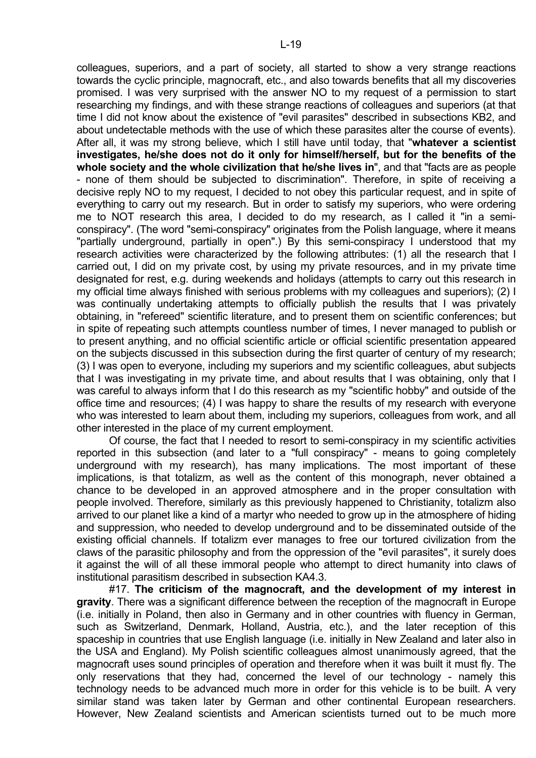colleagues, superiors, and a part of society, all started to show a very strange reactions towards the cyclic principle, magnocraft, etc., and also towards benefits that all my discoveries promised. I was very surprised with the answer NO to my request of a permission to start researching my findings, and with these strange reactions of colleagues and superiors (at that time I did not know about the existence of "evil parasites" described in subsections KB2, and about undetectable methods with the use of which these parasites alter the course of events). After all, it was my strong believe, which I still have until today, that "**whatever a scientist investigates, he/she does not do it only for himself/herself, but for the benefits of the whole society and the whole civilization that he/she lives in**", and that "facts are as people - none of them should be subjected to discrimination". Therefore, in spite of receiving a decisive reply NO to my request, I decided to not obey this particular request, and in spite of everything to carry out my research. But in order to satisfy my superiors, who were ordering me to NOT research this area, I decided to do my research, as I called it "in a semiconspiracy". (The word "semi-conspiracy" originates from the Polish language, where it means "partially underground, partially in open".) By this semi-conspiracy I understood that my research activities were characterized by the following attributes: (1) all the research that I carried out, I did on my private cost, by using my private resources, and in my private time designated for rest, e.g. during weekends and holidays (attempts to carry out this research in my official time always finished with serious problems with my colleagues and superiors); (2) I was continually undertaking attempts to officially publish the results that I was privately obtaining, in "refereed" scientific literature, and to present them on scientific conferences; but in spite of repeating such attempts countless number of times, I never managed to publish or to present anything, and no official scientific article or official scientific presentation appeared on the subjects discussed in this subsection during the first quarter of century of my research; (3) I was open to everyone, including my superiors and my scientific colleagues, abut subjects that I was investigating in my private time, and about results that I was obtaining, only that I was careful to always inform that I do this research as my "scientific hobby" and outside of the office time and resources; (4) I was happy to share the results of my research with everyone who was interested to learn about them, including my superiors, colleagues from work, and all other interested in the place of my current employment.

 Of course, the fact that I needed to resort to semi-conspiracy in my scientific activities reported in this subsection (and later to a "full conspiracy" - means to going completely underground with my research), has many implications. The most important of these implications, is that totalizm, as well as the content of this monograph, never obtained a chance to be developed in an approved atmosphere and in the proper consultation with people involved. Therefore, similarly as this previously happened to Christianity, totalizm also arrived to our planet like a kind of a martyr who needed to grow up in the atmosphere of hiding and suppression, who needed to develop underground and to be disseminated outside of the existing official channels. If totalizm ever manages to free our tortured civilization from the claws of the parasitic philosophy and from the oppression of the "evil parasites", it surely does it against the will of all these immoral people who attempt to direct humanity into claws of institutional parasitism described in subsection KA4.3.

 #17. **The criticism of the magnocraft, and the development of my interest in gravity**. There was a significant difference between the reception of the magnocraft in Europe (i.e. initially in Poland, then also in Germany and in other countries with fluency in German, such as Switzerland, Denmark, Holland, Austria, etc.), and the later reception of this spaceship in countries that use English language (i.e. initially in New Zealand and later also in the USA and England). My Polish scientific colleagues almost unanimously agreed, that the magnocraft uses sound principles of operation and therefore when it was built it must fly. The only reservations that they had, concerned the level of our technology - namely this technology needs to be advanced much more in order for this vehicle is to be built. A very similar stand was taken later by German and other continental European researchers. However, New Zealand scientists and American scientists turned out to be much more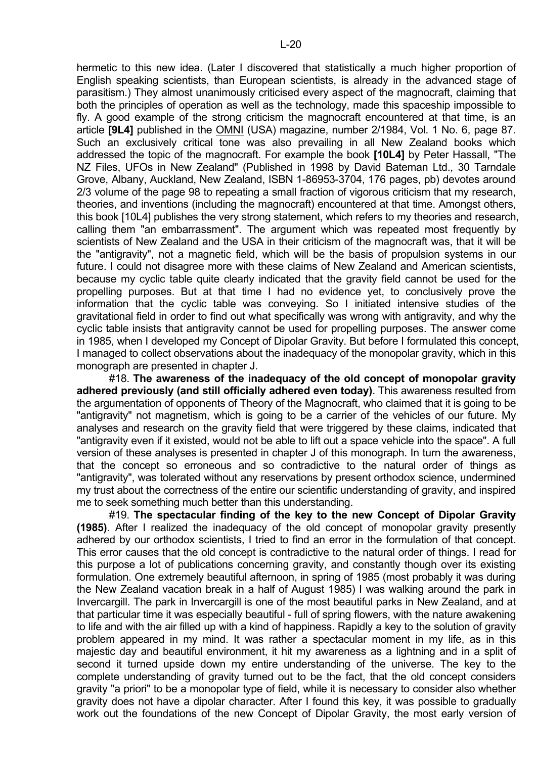hermetic to this new idea. (Later I discovered that statistically a much higher proportion of English speaking scientists, than European scientists, is already in the advanced stage of parasitism.) They almost unanimously criticised every aspect of the magnocraft, claiming that both the principles of operation as well as the technology, made this spaceship impossible to fly. A good example of the strong criticism the magnocraft encountered at that time, is an article **[9L4]** published in the OMNI (USA) magazine, number 2/1984, Vol. 1 No. 6, page 87. Such an exclusively critical tone was also prevailing in all New Zealand books which addressed the topic of the magnocraft. For example the book **[10L4]** by Peter Hassall, "The NZ Files, UFOs in New Zealand" (Published in 1998 by David Bateman Ltd., 30 Tarndale Grove, Albany, Auckland, New Zealand, ISBN 1-86953-3704, 176 pages, pb) devotes around 2/3 volume of the page 98 to repeating a small fraction of vigorous criticism that my research, theories, and inventions (including the magnocraft) encountered at that time. Amongst others, this book [10L4] publishes the very strong statement, which refers to my theories and research, calling them "an embarrassment". The argument which was repeated most frequently by scientists of New Zealand and the USA in their criticism of the magnocraft was, that it will be the "antigravity", not a magnetic field, which will be the basis of propulsion systems in our future. I could not disagree more with these claims of New Zealand and American scientists, because my cyclic table quite clearly indicated that the gravity field cannot be used for the propelling purposes. But at that time I had no evidence yet, to conclusively prove the information that the cyclic table was conveying. So I initiated intensive studies of the gravitational field in order to find out what specifically was wrong with antigravity, and why the cyclic table insists that antigravity cannot be used for propelling purposes. The answer come in 1985, when I developed my Concept of Dipolar Gravity. But before I formulated this concept, I managed to collect observations about the inadequacy of the monopolar gravity, which in this monograph are presented in chapter J.

 #18. **The awareness of the inadequacy of the old concept of monopolar gravity adhered previously (and still officially adhered even today)**. This awareness resulted from the argumentation of opponents of Theory of the Magnocraft, who claimed that it is going to be "antigravity" not magnetism, which is going to be a carrier of the vehicles of our future. My analyses and research on the gravity field that were triggered by these claims, indicated that "antigravity even if it existed, would not be able to lift out a space vehicle into the space". A full version of these analyses is presented in chapter J of this monograph. In turn the awareness, that the concept so erroneous and so contradictive to the natural order of things as "antigravity", was tolerated without any reservations by present orthodox science, undermined my trust about the correctness of the entire our scientific understanding of gravity, and inspired me to seek something much better than this understanding.

 #19. **The spectacular finding of the key to the new Concept of Dipolar Gravity (1985)**. After I realized the inadequacy of the old concept of monopolar gravity presently adhered by our orthodox scientists, I tried to find an error in the formulation of that concept. This error causes that the old concept is contradictive to the natural order of things. I read for this purpose a lot of publications concerning gravity, and constantly though over its existing formulation. One extremely beautiful afternoon, in spring of 1985 (most probably it was during the New Zealand vacation break in a half of August 1985) I was walking around the park in Invercargill. The park in Invercargill is one of the most beautiful parks in New Zealand, and at that particular time it was especially beautiful - full of spring flowers, with the nature awakening to life and with the air filled up with a kind of happiness. Rapidly a key to the solution of gravity problem appeared in my mind. It was rather a spectacular moment in my life, as in this majestic day and beautiful environment, it hit my awareness as a lightning and in a split of second it turned upside down my entire understanding of the universe. The key to the complete understanding of gravity turned out to be the fact, that the old concept considers gravity "a priori" to be a monopolar type of field, while it is necessary to consider also whether gravity does not have a dipolar character. After I found this key, it was possible to gradually work out the foundations of the new Concept of Dipolar Gravity, the most early version of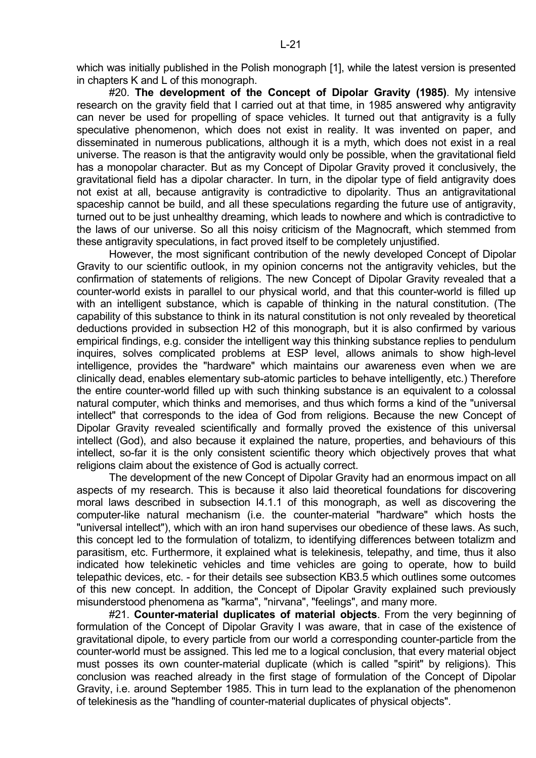which was initially published in the Polish monograph [1], while the latest version is presented in chapters K and L of this monograph.

 #20. **The development of the Concept of Dipolar Gravity (1985)**. My intensive research on the gravity field that I carried out at that time, in 1985 answered why antigravity can never be used for propelling of space vehicles. It turned out that antigravity is a fully speculative phenomenon, which does not exist in reality. It was invented on paper, and disseminated in numerous publications, although it is a myth, which does not exist in a real universe. The reason is that the antigravity would only be possible, when the gravitational field has a monopolar character. But as my Concept of Dipolar Gravity proved it conclusively, the gravitational field has a dipolar character. In turn, in the dipolar type of field antigravity does not exist at all, because antigravity is contradictive to dipolarity. Thus an antigravitational spaceship cannot be build, and all these speculations regarding the future use of antigravity, turned out to be just unhealthy dreaming, which leads to nowhere and which is contradictive to the laws of our universe. So all this noisy criticism of the Magnocraft, which stemmed from these antigravity speculations, in fact proved itself to be completely unjustified.

 However, the most significant contribution of the newly developed Concept of Dipolar Gravity to our scientific outlook, in my opinion concerns not the antigravity vehicles, but the confirmation of statements of religions. The new Concept of Dipolar Gravity revealed that a counter-world exists in parallel to our physical world, and that this counter-world is filled up with an intelligent substance, which is capable of thinking in the natural constitution. (The capability of this substance to think in its natural constitution is not only revealed by theoretical deductions provided in subsection H2 of this monograph, but it is also confirmed by various empirical findings, e.g. consider the intelligent way this thinking substance replies to pendulum inquires, solves complicated problems at ESP level, allows animals to show high-level intelligence, provides the "hardware" which maintains our awareness even when we are clinically dead, enables elementary sub-atomic particles to behave intelligently, etc.) Therefore the entire counter-world filled up with such thinking substance is an equivalent to a colossal natural computer, which thinks and memorises, and thus which forms a kind of the "universal intellect" that corresponds to the idea of God from religions. Because the new Concept of Dipolar Gravity revealed scientifically and formally proved the existence of this universal intellect (God), and also because it explained the nature, properties, and behaviours of this intellect, so-far it is the only consistent scientific theory which objectively proves that what religions claim about the existence of God is actually correct.

 The development of the new Concept of Dipolar Gravity had an enormous impact on all aspects of my research. This is because it also laid theoretical foundations for discovering moral laws described in subsection I4.1.1 of this monograph, as well as discovering the computer-like natural mechanism (i.e. the counter-material "hardware" which hosts the "universal intellect"), which with an iron hand supervises our obedience of these laws. As such, this concept led to the formulation of totalizm, to identifying differences between totalizm and parasitism, etc. Furthermore, it explained what is telekinesis, telepathy, and time, thus it also indicated how telekinetic vehicles and time vehicles are going to operate, how to build telepathic devices, etc. - for their details see subsection KB3.5 which outlines some outcomes of this new concept. In addition, the Concept of Dipolar Gravity explained such previously misunderstood phenomena as "karma", "nirvana", "feelings", and many more.

 #21. **Counter-material duplicates of material objects**. From the very beginning of formulation of the Concept of Dipolar Gravity I was aware, that in case of the existence of gravitational dipole, to every particle from our world a corresponding counter-particle from the counter-world must be assigned. This led me to a logical conclusion, that every material object must posses its own counter-material duplicate (which is called "spirit" by religions). This conclusion was reached already in the first stage of formulation of the Concept of Dipolar Gravity, i.e. around September 1985. This in turn lead to the explanation of the phenomenon of telekinesis as the "handling of counter-material duplicates of physical objects".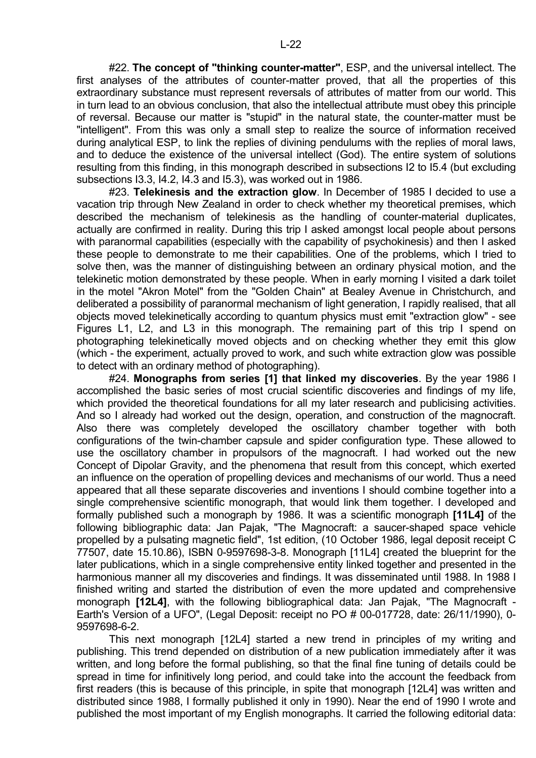#22. **The concept of "thinking counter-matter"**, ESP, and the universal intellect. The first analyses of the attributes of counter-matter proved, that all the properties of this extraordinary substance must represent reversals of attributes of matter from our world. This in turn lead to an obvious conclusion, that also the intellectual attribute must obey this principle of reversal. Because our matter is "stupid" in the natural state, the counter-matter must be "intelligent". From this was only a small step to realize the source of information received during analytical ESP, to link the replies of divining pendulums with the replies of moral laws, and to deduce the existence of the universal intellect (God). The entire system of solutions resulting from this finding, in this monograph described in subsections I2 to I5.4 (but excluding subsections I3.3, I4.2, I4.3 and I5.3), was worked out in 1986.

 #23. **Telekinesis and the extraction glow**. In December of 1985 I decided to use a vacation trip through New Zealand in order to check whether my theoretical premises, which described the mechanism of telekinesis as the handling of counter-material duplicates, actually are confirmed in reality. During this trip I asked amongst local people about persons with paranormal capabilities (especially with the capability of psychokinesis) and then I asked these people to demonstrate to me their capabilities. One of the problems, which I tried to solve then, was the manner of distinguishing between an ordinary physical motion, and the telekinetic motion demonstrated by these people. When in early morning I visited a dark toilet in the motel "Akron Motel" from the "Golden Chain" at Bealey Avenue in Christchurch, and deliberated a possibility of paranormal mechanism of light generation, I rapidly realised, that all objects moved telekinetically according to quantum physics must emit "extraction glow" - see Figures L1, L2, and L3 in this monograph. The remaining part of this trip I spend on photographing telekinetically moved objects and on checking whether they emit this glow (which - the experiment, actually proved to work, and such white extraction glow was possible to detect with an ordinary method of photographing).

 #24. **Monographs from series [1] that linked my discoveries**. By the year 1986 I accomplished the basic series of most crucial scientific discoveries and findings of my life, which provided the theoretical foundations for all my later research and publicising activities. And so I already had worked out the design, operation, and construction of the magnocraft. Also there was completely developed the oscillatory chamber together with both configurations of the twin-chamber capsule and spider configuration type. These allowed to use the oscillatory chamber in propulsors of the magnocraft. I had worked out the new Concept of Dipolar Gravity, and the phenomena that result from this concept, which exerted an influence on the operation of propelling devices and mechanisms of our world. Thus a need appeared that all these separate discoveries and inventions I should combine together into a single comprehensive scientific monograph, that would link them together. I developed and formally published such a monograph by 1986. It was a scientific monograph **[11L4]** of the following bibliographic data: Jan Pajak, "The Magnocraft: a saucer-shaped space vehicle propelled by a pulsating magnetic field", 1st edition, (10 October 1986, legal deposit receipt C 77507, date 15.10.86), ISBN 0-9597698-3-8. Monograph [11L4] created the blueprint for the later publications, which in a single comprehensive entity linked together and presented in the harmonious manner all my discoveries and findings. It was disseminated until 1988. In 1988 I finished writing and started the distribution of even the more updated and comprehensive monograph **[12L4]**, with the following bibliographical data: Jan Pajak, "The Magnocraft - Earth's Version of a UFO", (Legal Deposit: receipt no PO # 00-017728, date: 26/11/1990), 0- 9597698-6-2.

 This next monograph [12L4] started a new trend in principles of my writing and publishing. This trend depended on distribution of a new publication immediately after it was written, and long before the formal publishing, so that the final fine tuning of details could be spread in time for infinitively long period, and could take into the account the feedback from first readers (this is because of this principle, in spite that monograph [12L4] was written and distributed since 1988, I formally published it only in 1990). Near the end of 1990 I wrote and published the most important of my English monographs. It carried the following editorial data: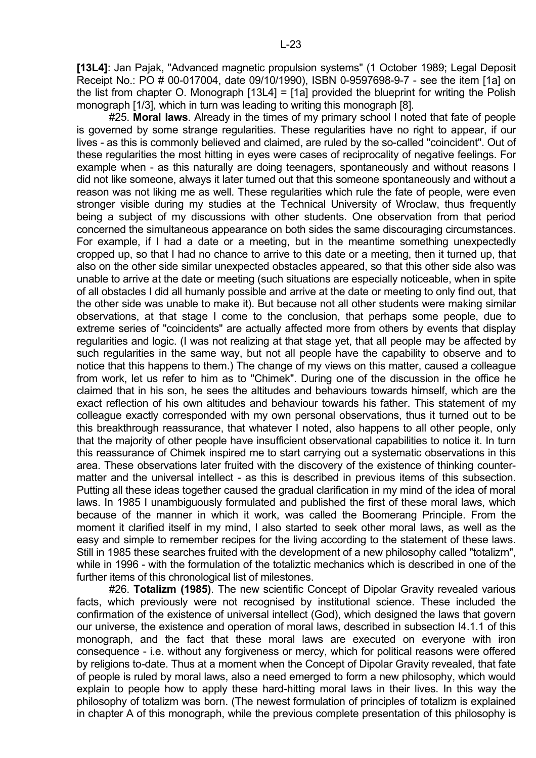**[13L4]**: Jan Pajak, "Advanced magnetic propulsion systems" (1 October 1989; Legal Deposit Receipt No.: PO # 00-017004, date 09/10/1990), ISBN 0-9597698-9-7 - see the item [1a] on the list from chapter O. Monograph [13L4] = [1a] provided the blueprint for writing the Polish monograph [1/3], which in turn was leading to writing this monograph [8].

 #25. **Moral laws**. Already in the times of my primary school I noted that fate of people is governed by some strange regularities. These regularities have no right to appear, if our lives - as this is commonly believed and claimed, are ruled by the so-called "coincident". Out of these regularities the most hitting in eyes were cases of reciprocality of negative feelings. For example when - as this naturally are doing teenagers, spontaneously and without reasons I did not like someone, always it later turned out that this someone spontaneously and without a reason was not liking me as well. These regularities which rule the fate of people, were even stronger visible during my studies at the Technical University of Wroclaw, thus frequently being a subject of my discussions with other students. One observation from that period concerned the simultaneous appearance on both sides the same discouraging circumstances. For example, if I had a date or a meeting, but in the meantime something unexpectedly cropped up, so that I had no chance to arrive to this date or a meeting, then it turned up, that also on the other side similar unexpected obstacles appeared, so that this other side also was unable to arrive at the date or meeting (such situations are especially noticeable, when in spite of all obstacles I did all humanly possible and arrive at the date or meeting to only find out, that the other side was unable to make it). But because not all other students were making similar observations, at that stage I come to the conclusion, that perhaps some people, due to extreme series of "coincidents" are actually affected more from others by events that display regularities and logic. (I was not realizing at that stage yet, that all people may be affected by such regularities in the same way, but not all people have the capability to observe and to notice that this happens to them.) The change of my views on this matter, caused a colleague from work, let us refer to him as to "Chimek". During one of the discussion in the office he claimed that in his son, he sees the altitudes and behaviours towards himself, which are the exact reflection of his own altitudes and behaviour towards his father. This statement of my colleague exactly corresponded with my own personal observations, thus it turned out to be this breakthrough reassurance, that whatever I noted, also happens to all other people, only that the majority of other people have insufficient observational capabilities to notice it. In turn this reassurance of Chimek inspired me to start carrying out a systematic observations in this area. These observations later fruited with the discovery of the existence of thinking countermatter and the universal intellect - as this is described in previous items of this subsection. Putting all these ideas together caused the gradual clarification in my mind of the idea of moral laws. In 1985 I unambiguously formulated and published the first of these moral laws, which because of the manner in which it work, was called the Boomerang Principle. From the moment it clarified itself in my mind, I also started to seek other moral laws, as well as the easy and simple to remember recipes for the living according to the statement of these laws. Still in 1985 these searches fruited with the development of a new philosophy called "totalizm", while in 1996 - with the formulation of the totaliztic mechanics which is described in one of the further items of this chronological list of milestones.

 #26. **Totalizm (1985)**. The new scientific Concept of Dipolar Gravity revealed various facts, which previously were not recognised by institutional science. These included the confirmation of the existence of universal intellect (God), which designed the laws that govern our universe, the existence and operation of moral laws, described in subsection I4.1.1 of this monograph, and the fact that these moral laws are executed on everyone with iron consequence - i.e. without any forgiveness or mercy, which for political reasons were offered by religions to-date. Thus at a moment when the Concept of Dipolar Gravity revealed, that fate of people is ruled by moral laws, also a need emerged to form a new philosophy, which would explain to people how to apply these hard-hitting moral laws in their lives. In this way the philosophy of totalizm was born. (The newest formulation of principles of totalizm is explained in chapter A of this monograph, while the previous complete presentation of this philosophy is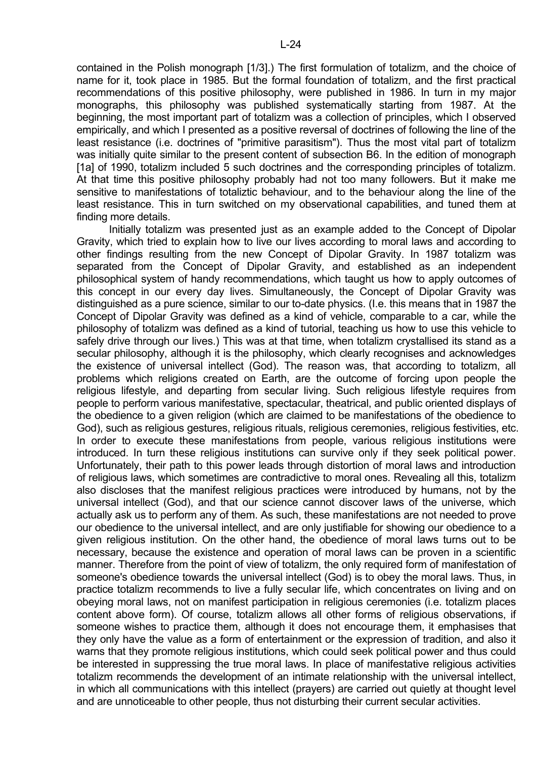contained in the Polish monograph [1/3].) The first formulation of totalizm, and the choice of name for it, took place in 1985. But the formal foundation of totalizm, and the first practical recommendations of this positive philosophy, were published in 1986. In turn in my major monographs, this philosophy was published systematically starting from 1987. At the beginning, the most important part of totalizm was a collection of principles, which I observed empirically, and which I presented as a positive reversal of doctrines of following the line of the least resistance (i.e. doctrines of "primitive parasitism"). Thus the most vital part of totalizm was initially quite similar to the present content of subsection B6. In the edition of monograph [1a] of 1990, totalizm included 5 such doctrines and the corresponding principles of totalizm. At that time this positive philosophy probably had not too many followers. But it make me sensitive to manifestations of totaliztic behaviour, and to the behaviour along the line of the least resistance. This in turn switched on my observational capabilities, and tuned them at finding more details.

 Initially totalizm was presented just as an example added to the Concept of Dipolar Gravity, which tried to explain how to live our lives according to moral laws and according to other findings resulting from the new Concept of Dipolar Gravity. In 1987 totalizm was separated from the Concept of Dipolar Gravity, and established as an independent philosophical system of handy recommendations, which taught us how to apply outcomes of this concept in our every day lives. Simultaneously, the Concept of Dipolar Gravity was distinguished as a pure science, similar to our to-date physics. (I.e. this means that in 1987 the Concept of Dipolar Gravity was defined as a kind of vehicle, comparable to a car, while the philosophy of totalizm was defined as a kind of tutorial, teaching us how to use this vehicle to safely drive through our lives.) This was at that time, when totalizm crystallised its stand as a secular philosophy, although it is the philosophy, which clearly recognises and acknowledges the existence of universal intellect (God). The reason was, that according to totalizm, all problems which religions created on Earth, are the outcome of forcing upon people the religious lifestyle, and departing from secular living. Such religious lifestyle requires from people to perform various manifestative, spectacular, theatrical, and public oriented displays of the obedience to a given religion (which are claimed to be manifestations of the obedience to God), such as religious gestures, religious rituals, religious ceremonies, religious festivities, etc. In order to execute these manifestations from people, various religious institutions were introduced. In turn these religious institutions can survive only if they seek political power. Unfortunately, their path to this power leads through distortion of moral laws and introduction of religious laws, which sometimes are contradictive to moral ones. Revealing all this, totalizm also discloses that the manifest religious practices were introduced by humans, not by the universal intellect (God), and that our science cannot discover laws of the universe, which actually ask us to perform any of them. As such, these manifestations are not needed to prove our obedience to the universal intellect, and are only justifiable for showing our obedience to a given religious institution. On the other hand, the obedience of moral laws turns out to be necessary, because the existence and operation of moral laws can be proven in a scientific manner. Therefore from the point of view of totalizm, the only required form of manifestation of someone's obedience towards the universal intellect (God) is to obey the moral laws. Thus, in practice totalizm recommends to live a fully secular life, which concentrates on living and on obeying moral laws, not on manifest participation in religious ceremonies (i.e. totalizm places content above form). Of course, totalizm allows all other forms of religious observations, if someone wishes to practice them, although it does not encourage them, it emphasises that they only have the value as a form of entertainment or the expression of tradition, and also it warns that they promote religious institutions, which could seek political power and thus could be interested in suppressing the true moral laws. In place of manifestative religious activities totalizm recommends the development of an intimate relationship with the universal intellect, in which all communications with this intellect (prayers) are carried out quietly at thought level and are unnoticeable to other people, thus not disturbing their current secular activities.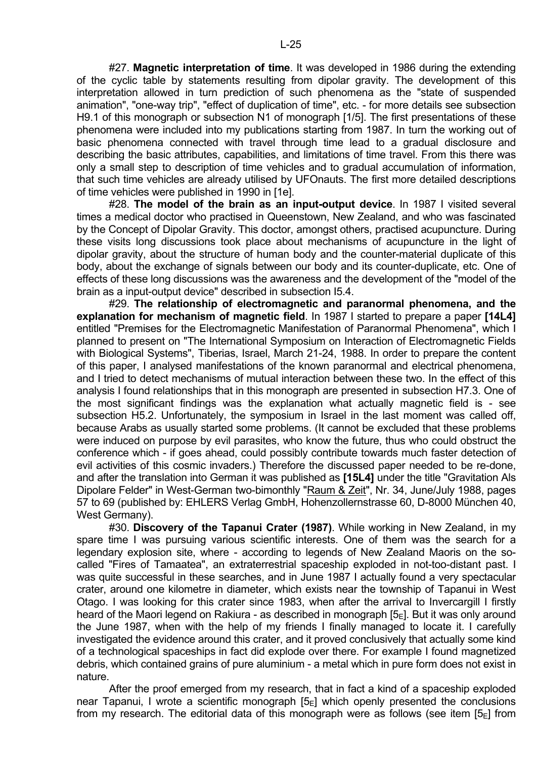#27. **Magnetic interpretation of time**. It was developed in 1986 during the extending of the cyclic table by statements resulting from dipolar gravity. The development of this interpretation allowed in turn prediction of such phenomena as the "state of suspended animation", "one-way trip", "effect of duplication of time", etc. - for more details see subsection H9.1 of this monograph or subsection N1 of monograph [1/5]. The first presentations of these phenomena were included into my publications starting from 1987. In turn the working out of basic phenomena connected with travel through time lead to a gradual disclosure and describing the basic attributes, capabilities, and limitations of time travel. From this there was only a small step to description of time vehicles and to gradual accumulation of information, that such time vehicles are already utilised by UFOnauts. The first more detailed descriptions of time vehicles were published in 1990 in [1e].

 #28. **The model of the brain as an input-output device**. In 1987 I visited several times a medical doctor who practised in Queenstown, New Zealand, and who was fascinated by the Concept of Dipolar Gravity. This doctor, amongst others, practised acupuncture. During these visits long discussions took place about mechanisms of acupuncture in the light of dipolar gravity, about the structure of human body and the counter-material duplicate of this body, about the exchange of signals between our body and its counter-duplicate, etc. One of effects of these long discussions was the awareness and the development of the "model of the brain as a input-output device" described in subsection I5.4.

 #29. **The relationship of electromagnetic and paranormal phenomena, and the explanation for mechanism of magnetic field**. In 1987 I started to prepare a paper **[14L4]** entitled "Premises for the Electromagnetic Manifestation of Paranormal Phenomena", which I planned to present on "The International Symposium on Interaction of Electromagnetic Fields with Biological Systems", Tiberias, Israel, March 21-24, 1988. In order to prepare the content of this paper, I analysed manifestations of the known paranormal and electrical phenomena, and I tried to detect mechanisms of mutual interaction between these two. In the effect of this analysis I found relationships that in this monograph are presented in subsection H7.3. One of the most significant findings was the explanation what actually magnetic field is - see subsection H5.2. Unfortunately, the symposium in Israel in the last moment was called off, because Arabs as usually started some problems. (It cannot be excluded that these problems were induced on purpose by evil parasites, who know the future, thus who could obstruct the conference which - if goes ahead, could possibly contribute towards much faster detection of evil activities of this cosmic invaders.) Therefore the discussed paper needed to be re-done, and after the translation into German it was published as **[15L4]** under the title "Gravitation Als Dipolare Felder" in West-German two-bimonthly "Raum & Zeit", Nr. 34, June/July 1988, pages 57 to 69 (published by: EHLERS Verlag GmbH, Hohenzollernstrasse 60, D-8000 München 40, West Germany).

 #30. **Discovery of the Tapanui Crater (1987)**. While working in New Zealand, in my spare time I was pursuing various scientific interests. One of them was the search for a legendary explosion site, where - according to legends of New Zealand Maoris on the socalled "Fires of Tamaatea", an extraterrestrial spaceship exploded in not-too-distant past. I was quite successful in these searches, and in June 1987 I actually found a very spectacular crater, around one kilometre in diameter, which exists near the township of Tapanui in West Otago. I was looking for this crater since 1983, when after the arrival to Invercargill I firstly heard of the Maori legend on Rakiura - as described in monograph  $[5<sub>E</sub>]$ . But it was only around the June 1987, when with the help of my friends I finally managed to locate it. I carefully investigated the evidence around this crater, and it proved conclusively that actually some kind of a technological spaceships in fact did explode over there. For example I found magnetized debris, which contained grains of pure aluminium - a metal which in pure form does not exist in nature.

 After the proof emerged from my research, that in fact a kind of a spaceship exploded near Tapanui, I wrote a scientific monograph  $[5_F]$  which openly presented the conclusions from my research. The editorial data of this monograph were as follows (see item  $[5_F]$  from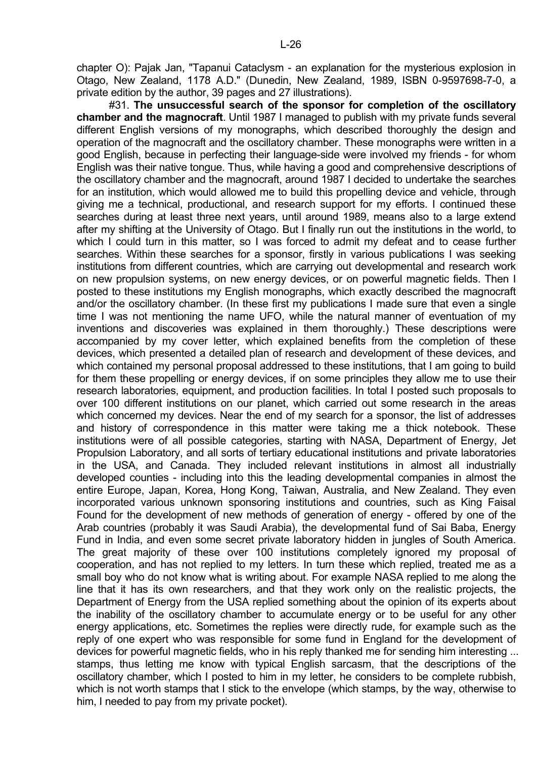chapter O): Pajak Jan, "Tapanui Cataclysm - an explanation for the mysterious explosion in Otago, New Zealand, 1178 A.D." (Dunedin, New Zealand, 1989, ISBN 0-9597698-7-0, a private edition by the author, 39 pages and 27 illustrations).

 #31. **The unsuccessful search of the sponsor for completion of the oscillatory chamber and the magnocraft**. Until 1987 I managed to publish with my private funds several different English versions of my monographs, which described thoroughly the design and operation of the magnocraft and the oscillatory chamber. These monographs were written in a good English, because in perfecting their language-side were involved my friends - for whom English was their native tongue. Thus, while having a good and comprehensive descriptions of the oscillatory chamber and the magnocraft, around 1987 I decided to undertake the searches for an institution, which would allowed me to build this propelling device and vehicle, through giving me a technical, productional, and research support for my efforts. I continued these searches during at least three next years, until around 1989, means also to a large extend after my shifting at the University of Otago. But I finally run out the institutions in the world, to which I could turn in this matter, so I was forced to admit my defeat and to cease further searches. Within these searches for a sponsor, firstly in various publications I was seeking institutions from different countries, which are carrying out developmental and research work on new propulsion systems, on new energy devices, or on powerful magnetic fields. Then I posted to these institutions my English monographs, which exactly described the magnocraft and/or the oscillatory chamber. (In these first my publications I made sure that even a single time I was not mentioning the name UFO, while the natural manner of eventuation of my inventions and discoveries was explained in them thoroughly.) These descriptions were accompanied by my cover letter, which explained benefits from the completion of these devices, which presented a detailed plan of research and development of these devices, and which contained my personal proposal addressed to these institutions, that I am going to build for them these propelling or energy devices, if on some principles they allow me to use their research laboratories, equipment, and production facilities. In total I posted such proposals to over 100 different institutions on our planet, which carried out some research in the areas which concerned my devices. Near the end of my search for a sponsor, the list of addresses and history of correspondence in this matter were taking me a thick notebook. These institutions were of all possible categories, starting with NASA, Department of Energy, Jet Propulsion Laboratory, and all sorts of tertiary educational institutions and private laboratories in the USA, and Canada. They included relevant institutions in almost all industrially developed counties - including into this the leading developmental companies in almost the entire Europe, Japan, Korea, Hong Kong, Taiwan, Australia, and New Zealand. They even incorporated various unknown sponsoring institutions and countries, such as King Faisal Found for the development of new methods of generation of energy - offered by one of the Arab countries (probably it was Saudi Arabia), the developmental fund of Sai Baba, Energy Fund in India, and even some secret private laboratory hidden in jungles of South America. The great majority of these over 100 institutions completely ignored my proposal of cooperation, and has not replied to my letters. In turn these which replied, treated me as a small boy who do not know what is writing about. For example NASA replied to me along the line that it has its own researchers, and that they work only on the realistic projects, the Department of Energy from the USA replied something about the opinion of its experts about the inability of the oscillatory chamber to accumulate energy or to be useful for any other energy applications, etc. Sometimes the replies were directly rude, for example such as the reply of one expert who was responsible for some fund in England for the development of devices for powerful magnetic fields, who in his reply thanked me for sending him interesting ... stamps, thus letting me know with typical English sarcasm, that the descriptions of the oscillatory chamber, which I posted to him in my letter, he considers to be complete rubbish, which is not worth stamps that I stick to the envelope (which stamps, by the way, otherwise to him, I needed to pay from my private pocket).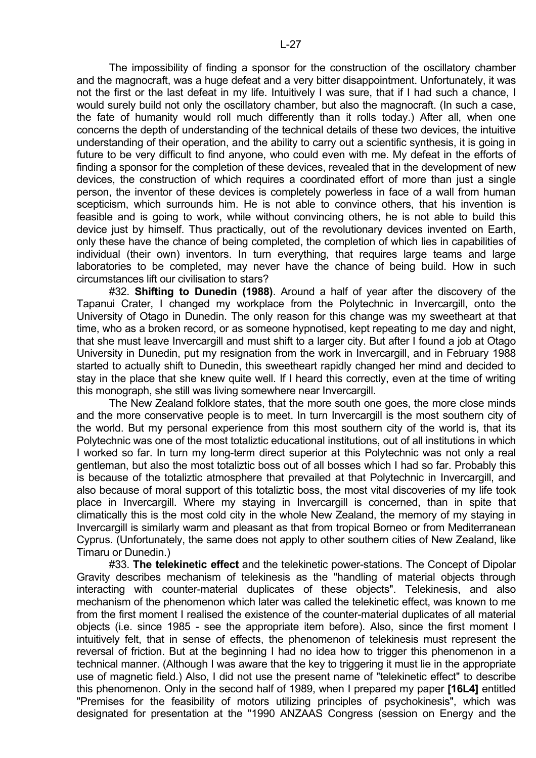The impossibility of finding a sponsor for the construction of the oscillatory chamber and the magnocraft, was a huge defeat and a very bitter disappointment. Unfortunately, it was not the first or the last defeat in my life. Intuitively I was sure, that if I had such a chance, I would surely build not only the oscillatory chamber, but also the magnocraft. (In such a case, the fate of humanity would roll much differently than it rolls today.) After all, when one concerns the depth of understanding of the technical details of these two devices, the intuitive understanding of their operation, and the ability to carry out a scientific synthesis, it is going in future to be very difficult to find anyone, who could even with me. My defeat in the efforts of finding a sponsor for the completion of these devices, revealed that in the development of new devices, the construction of which requires a coordinated effort of more than just a single person, the inventor of these devices is completely powerless in face of a wall from human scepticism, which surrounds him. He is not able to convince others, that his invention is feasible and is going to work, while without convincing others, he is not able to build this device just by himself. Thus practically, out of the revolutionary devices invented on Earth, only these have the chance of being completed, the completion of which lies in capabilities of individual (their own) inventors. In turn everything, that requires large teams and large laboratories to be completed, may never have the chance of being build. How in such circumstances lift our civilisation to stars?

 #32. **Shifting to Dunedin (1988)**. Around a half of year after the discovery of the Tapanui Crater, I changed my workplace from the Polytechnic in Invercargill, onto the University of Otago in Dunedin. The only reason for this change was my sweetheart at that time, who as a broken record, or as someone hypnotised, kept repeating to me day and night, that she must leave Invercargill and must shift to a larger city. But after I found a job at Otago University in Dunedin, put my resignation from the work in Invercargill, and in February 1988 started to actually shift to Dunedin, this sweetheart rapidly changed her mind and decided to stay in the place that she knew quite well. If I heard this correctly, even at the time of writing this monograph, she still was living somewhere near Invercargill.

 The New Zealand folklore states, that the more south one goes, the more close minds and the more conservative people is to meet. In turn Invercargill is the most southern city of the world. But my personal experience from this most southern city of the world is, that its Polytechnic was one of the most totaliztic educational institutions, out of all institutions in which I worked so far. In turn my long-term direct superior at this Polytechnic was not only a real gentleman, but also the most totaliztic boss out of all bosses which I had so far. Probably this is because of the totaliztic atmosphere that prevailed at that Polytechnic in Invercargill, and also because of moral support of this totaliztic boss, the most vital discoveries of my life took place in Invercargill. Where my staying in Invercargill is concerned, than in spite that climatically this is the most cold city in the whole New Zealand, the memory of my staying in Invercargill is similarly warm and pleasant as that from tropical Borneo or from Mediterranean Cyprus. (Unfortunately, the same does not apply to other southern cities of New Zealand, like Timaru or Dunedin.)

 #33. **The telekinetic effect** and the telekinetic power-stations. The Concept of Dipolar Gravity describes mechanism of telekinesis as the "handling of material objects through interacting with counter-material duplicates of these objects". Telekinesis, and also mechanism of the phenomenon which later was called the telekinetic effect, was known to me from the first moment I realised the existence of the counter-material duplicates of all material objects (i.e. since 1985 - see the appropriate item before). Also, since the first moment I intuitively felt, that in sense of effects, the phenomenon of telekinesis must represent the reversal of friction. But at the beginning I had no idea how to trigger this phenomenon in a technical manner. (Although I was aware that the key to triggering it must lie in the appropriate use of magnetic field.) Also, I did not use the present name of "telekinetic effect" to describe this phenomenon. Only in the second half of 1989, when I prepared my paper **[16L4]** entitled "Premises for the feasibility of motors utilizing principles of psychokinesis", which was designated for presentation at the "1990 ANZAAS Congress (session on Energy and the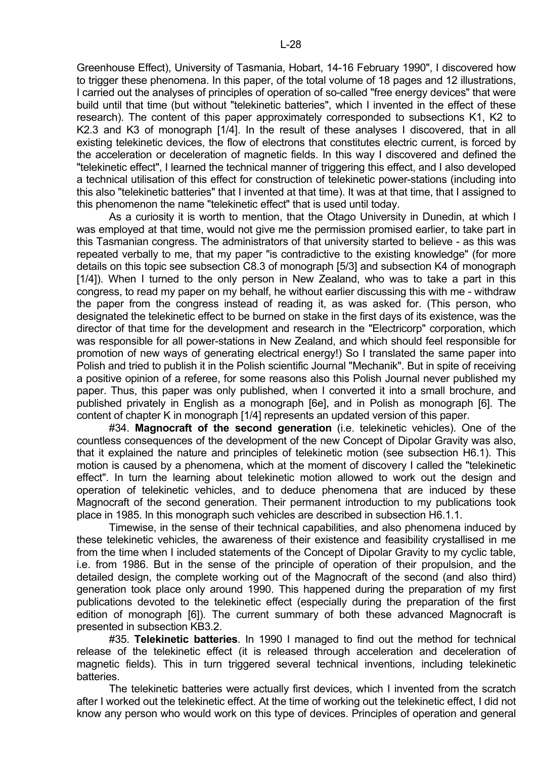Greenhouse Effect), University of Tasmania, Hobart, 14-16 February 1990", I discovered how to trigger these phenomena. In this paper, of the total volume of 18 pages and 12 illustrations, I carried out the analyses of principles of operation of so-called "free energy devices" that were build until that time (but without "telekinetic batteries", which I invented in the effect of these research). The content of this paper approximately corresponded to subsections K1, K2 to K2.3 and K3 of monograph [1/4]. In the result of these analyses I discovered, that in all existing telekinetic devices, the flow of electrons that constitutes electric current, is forced by the acceleration or deceleration of magnetic fields. In this way I discovered and defined the "telekinetic effect", I learned the technical manner of triggering this effect, and I also developed a technical utilisation of this effect for construction of telekinetic power-stations (including into this also "telekinetic batteries" that I invented at that time). It was at that time, that I assigned to this phenomenon the name "telekinetic effect" that is used until today.

 As a curiosity it is worth to mention, that the Otago University in Dunedin, at which I was employed at that time, would not give me the permission promised earlier, to take part in this Tasmanian congress. The administrators of that university started to believe - as this was repeated verbally to me, that my paper "is contradictive to the existing knowledge" (for more details on this topic see subsection C8.3 of monograph [5/3] and subsection K4 of monograph [1/4]). When I turned to the only person in New Zealand, who was to take a part in this congress, to read my paper on my behalf, he without earlier discussing this with me - withdraw the paper from the congress instead of reading it, as was asked for. (This person, who designated the telekinetic effect to be burned on stake in the first days of its existence, was the director of that time for the development and research in the "Electricorp" corporation, which was responsible for all power-stations in New Zealand, and which should feel responsible for promotion of new ways of generating electrical energy!) So I translated the same paper into Polish and tried to publish it in the Polish scientific Journal "Mechanik". But in spite of receiving a positive opinion of a referee, for some reasons also this Polish Journal never published my paper. Thus, this paper was only published, when I converted it into a small brochure, and published privately in English as a monograph [6e], and in Polish as monograph [6]. The content of chapter K in monograph [1/4] represents an updated version of this paper.

 #34. **Magnocraft of the second generation** (i.e. telekinetic vehicles). One of the countless consequences of the development of the new Concept of Dipolar Gravity was also, that it explained the nature and principles of telekinetic motion (see subsection H6.1). This motion is caused by a phenomena, which at the moment of discovery I called the "telekinetic effect". In turn the learning about telekinetic motion allowed to work out the design and operation of telekinetic vehicles, and to deduce phenomena that are induced by these Magnocraft of the second generation. Their permanent introduction to my publications took place in 1985. In this monograph such vehicles are described in subsection H6.1.1.

 Timewise, in the sense of their technical capabilities, and also phenomena induced by these telekinetic vehicles, the awareness of their existence and feasibility crystallised in me from the time when I included statements of the Concept of Dipolar Gravity to my cyclic table, i.e. from 1986. But in the sense of the principle of operation of their propulsion, and the detailed design, the complete working out of the Magnocraft of the second (and also third) generation took place only around 1990. This happened during the preparation of my first publications devoted to the telekinetic effect (especially during the preparation of the first edition of monograph [6]). The current summary of both these advanced Magnocraft is presented in subsection KB3.2.

 #35. **Telekinetic batteries**. In 1990 I managed to find out the method for technical release of the telekinetic effect (it is released through acceleration and deceleration of magnetic fields). This in turn triggered several technical inventions, including telekinetic batteries.

 The telekinetic batteries were actually first devices, which I invented from the scratch after I worked out the telekinetic effect. At the time of working out the telekinetic effect, I did not know any person who would work on this type of devices. Principles of operation and general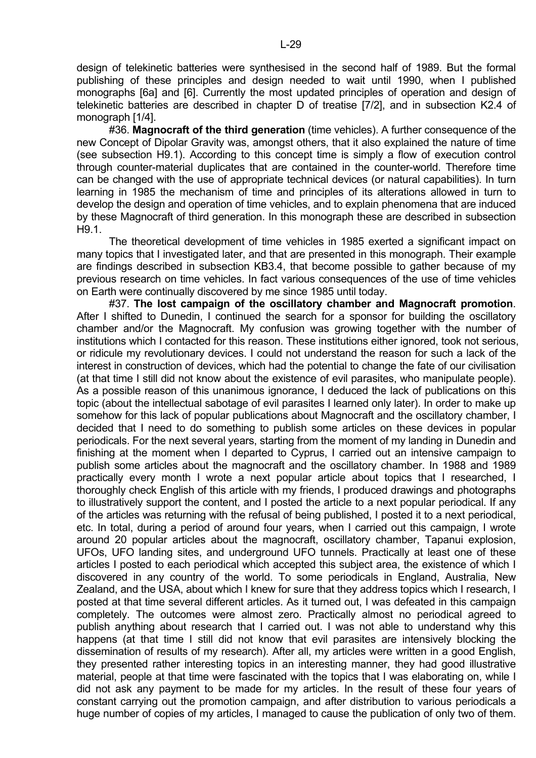design of telekinetic batteries were synthesised in the second half of 1989. But the formal publishing of these principles and design needed to wait until 1990, when I published monographs [6a] and [6]. Currently the most updated principles of operation and design of telekinetic batteries are described in chapter D of treatise [7/2], and in subsection K2.4 of monograph [1/4].

 #36. **Magnocraft of the third generation** (time vehicles). A further consequence of the new Concept of Dipolar Gravity was, amongst others, that it also explained the nature of time (see subsection H9.1). According to this concept time is simply a flow of execution control through counter-material duplicates that are contained in the counter-world. Therefore time can be changed with the use of appropriate technical devices (or natural capabilities). In turn learning in 1985 the mechanism of time and principles of its alterations allowed in turn to develop the design and operation of time vehicles, and to explain phenomena that are induced by these Magnocraft of third generation. In this monograph these are described in subsection H9.1.

 The theoretical development of time vehicles in 1985 exerted a significant impact on many topics that I investigated later, and that are presented in this monograph. Their example are findings described in subsection KB3.4, that become possible to gather because of my previous research on time vehicles. In fact various consequences of the use of time vehicles on Earth were continually discovered by me since 1985 until today.

 #37. **The lost campaign of the oscillatory chamber and Magnocraft promotion**. After I shifted to Dunedin, I continued the search for a sponsor for building the oscillatory chamber and/or the Magnocraft. My confusion was growing together with the number of institutions which I contacted for this reason. These institutions either ignored, took not serious, or ridicule my revolutionary devices. I could not understand the reason for such a lack of the interest in construction of devices, which had the potential to change the fate of our civilisation (at that time I still did not know about the existence of evil parasites, who manipulate people). As a possible reason of this unanimous ignorance, I deduced the lack of publications on this topic (about the intellectual sabotage of evil parasites I learned only later). In order to make up somehow for this lack of popular publications about Magnocraft and the oscillatory chamber, I decided that I need to do something to publish some articles on these devices in popular periodicals. For the next several years, starting from the moment of my landing in Dunedin and finishing at the moment when I departed to Cyprus, I carried out an intensive campaign to publish some articles about the magnocraft and the oscillatory chamber. In 1988 and 1989 practically every month I wrote a next popular article about topics that I researched, I thoroughly check English of this article with my friends, I produced drawings and photographs to illustratively support the content, and I posted the article to a next popular periodical. If any of the articles was returning with the refusal of being published, I posted it to a next periodical, etc. In total, during a period of around four years, when I carried out this campaign, I wrote around 20 popular articles about the magnocraft, oscillatory chamber, Tapanui explosion, UFOs, UFO landing sites, and underground UFO tunnels. Practically at least one of these articles I posted to each periodical which accepted this subject area, the existence of which I discovered in any country of the world. To some periodicals in England, Australia, New Zealand, and the USA, about which I knew for sure that they address topics which I research, I posted at that time several different articles. As it turned out, I was defeated in this campaign completely. The outcomes were almost zero. Practically almost no periodical agreed to publish anything about research that I carried out. I was not able to understand why this happens (at that time I still did not know that evil parasites are intensively blocking the dissemination of results of my research). After all, my articles were written in a good English, they presented rather interesting topics in an interesting manner, they had good illustrative material, people at that time were fascinated with the topics that I was elaborating on, while I did not ask any payment to be made for my articles. In the result of these four years of constant carrying out the promotion campaign, and after distribution to various periodicals a huge number of copies of my articles, I managed to cause the publication of only two of them.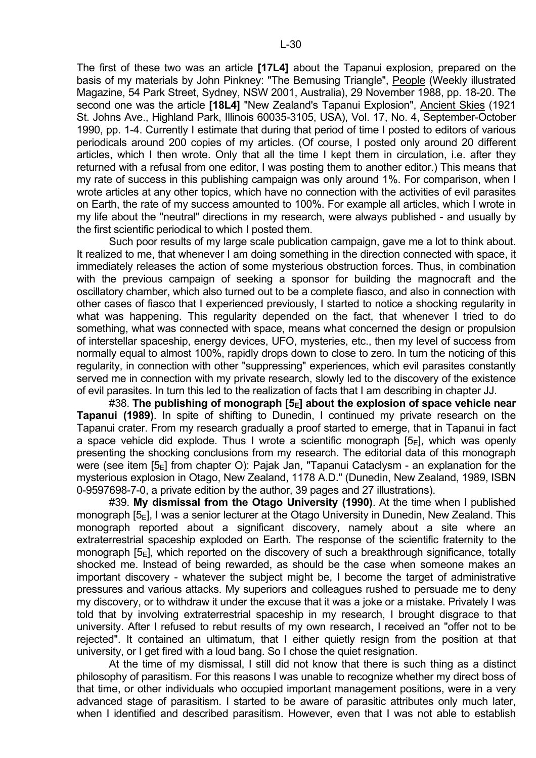L-30

basis of my materials by John Pinkney: "The Bemusing Triangle", People (Weekly illustrated Magazine, 54 Park Street, Sydney, NSW 2001, Australia), 29 November 1988, pp. 18-20. The second one was the article **[18L4]** "New Zealand's Tapanui Explosion", Ancient Skies (1921 St. Johns Ave., Highland Park, Illinois 60035-3105, USA), Vol. 17, No. 4, September-October 1990, pp. 1-4. Currently I estimate that during that period of time I posted to editors of various periodicals around 200 copies of my articles. (Of course, I posted only around 20 different articles, which I then wrote. Only that all the time I kept them in circulation, i.e. after they returned with a refusal from one editor, I was posting them to another editor.) This means that my rate of success in this publishing campaign was only around 1%. For comparison, when I wrote articles at any other topics, which have no connection with the activities of evil parasites on Earth, the rate of my success amounted to 100%. For example all articles, which I wrote in my life about the "neutral" directions in my research, were always published - and usually by the first scientific periodical to which I posted them.

 Such poor results of my large scale publication campaign, gave me a lot to think about. It realized to me, that whenever I am doing something in the direction connected with space, it immediately releases the action of some mysterious obstruction forces. Thus, in combination with the previous campaign of seeking a sponsor for building the magnocraft and the oscillatory chamber, which also turned out to be a complete fiasco, and also in connection with other cases of fiasco that I experienced previously, I started to notice a shocking regularity in what was happening. This regularity depended on the fact, that whenever I tried to do something, what was connected with space, means what concerned the design or propulsion of interstellar spaceship, energy devices, UFO, mysteries, etc., then my level of success from normally equal to almost 100%, rapidly drops down to close to zero. In turn the noticing of this regularity, in connection with other "suppressing" experiences, which evil parasites constantly served me in connection with my private research, slowly led to the discovery of the existence of evil parasites. In turn this led to the realization of facts that I am describing in chapter JJ.

 #38. **The publishing of monograph [5E] about the explosion of space vehicle near Tapanui (1989)**. In spite of shifting to Dunedin, I continued my private research on the Tapanui crater. From my research gradually a proof started to emerge, that in Tapanui in fact a space vehicle did explode. Thus I wrote a scientific monograph  $[5_F]$ , which was openly presenting the shocking conclusions from my research. The editorial data of this monograph were (see item  $[5<sub>E</sub>]$  from chapter O): Pajak Jan, "Tapanui Cataclysm - an explanation for the mysterious explosion in Otago, New Zealand, 1178 A.D." (Dunedin, New Zealand, 1989, ISBN 0-9597698-7-0, a private edition by the author, 39 pages and 27 illustrations).

 #39. **My dismissal from the Otago University (1990)**. At the time when I published monograph  $[5_F]$ , I was a senior lecturer at the Otago University in Dunedin, New Zealand. This monograph reported about a significant discovery, namely about a site where an extraterrestrial spaceship exploded on Earth. The response of the scientific fraternity to the monograph  $[5_F]$ , which reported on the discovery of such a breakthrough significance, totally shocked me. Instead of being rewarded, as should be the case when someone makes an important discovery - whatever the subject might be, I become the target of administrative pressures and various attacks. My superiors and colleagues rushed to persuade me to deny my discovery, or to withdraw it under the excuse that it was a joke or a mistake. Privately I was told that by involving extraterrestrial spaceship in my research, I brought disgrace to that university. After I refused to rebut results of my own research, I received an "offer not to be rejected". It contained an ultimatum, that I either quietly resign from the position at that university, or I get fired with a loud bang. So I chose the quiet resignation.

 At the time of my dismissal, I still did not know that there is such thing as a distinct philosophy of parasitism. For this reasons I was unable to recognize whether my direct boss of that time, or other individuals who occupied important management positions, were in a very advanced stage of parasitism. I started to be aware of parasitic attributes only much later, when I identified and described parasitism. However, even that I was not able to establish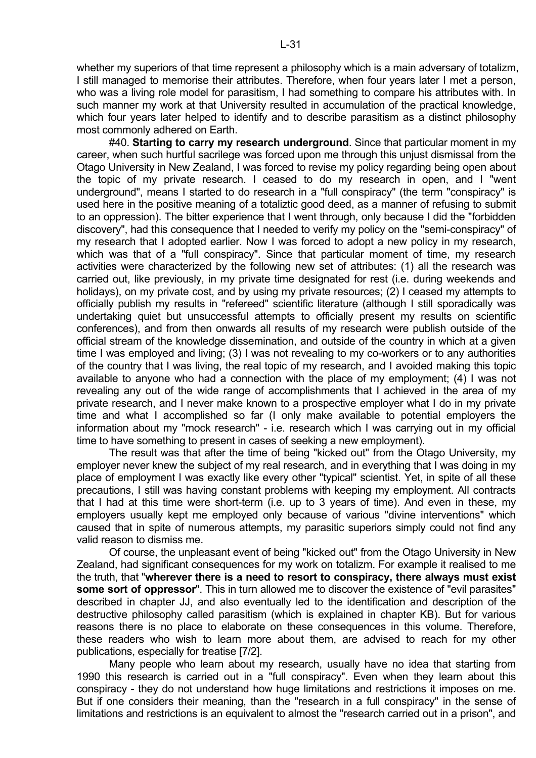whether my superiors of that time represent a philosophy which is a main adversary of totalizm, I still managed to memorise their attributes. Therefore, when four years later I met a person, who was a living role model for parasitism, I had something to compare his attributes with. In such manner my work at that University resulted in accumulation of the practical knowledge, which four years later helped to identify and to describe parasitism as a distinct philosophy most commonly adhered on Earth.

 #40. **Starting to carry my research underground**. Since that particular moment in my career, when such hurtful sacrilege was forced upon me through this unjust dismissal from the Otago University in New Zealand, I was forced to revise my policy regarding being open about the topic of my private research. I ceased to do my research in open, and I "went underground", means I started to do research in a "full conspiracy" (the term "conspiracy" is used here in the positive meaning of a totaliztic good deed, as a manner of refusing to submit to an oppression). The bitter experience that I went through, only because I did the "forbidden discovery", had this consequence that I needed to verify my policy on the "semi-conspiracy" of my research that I adopted earlier. Now I was forced to adopt a new policy in my research, which was that of a "full conspiracy". Since that particular moment of time, my research activities were characterized by the following new set of attributes: (1) all the research was carried out, like previously, in my private time designated for rest (i.e. during weekends and holidays), on my private cost, and by using my private resources; (2) I ceased my attempts to officially publish my results in "refereed" scientific literature (although I still sporadically was undertaking quiet but unsuccessful attempts to officially present my results on scientific conferences), and from then onwards all results of my research were publish outside of the official stream of the knowledge dissemination, and outside of the country in which at a given time I was employed and living; (3) I was not revealing to my co-workers or to any authorities of the country that I was living, the real topic of my research, and I avoided making this topic available to anyone who had a connection with the place of my employment; (4) I was not revealing any out of the wide range of accomplishments that I achieved in the area of my private research, and I never make known to a prospective employer what I do in my private time and what I accomplished so far (I only make available to potential employers the information about my "mock research" - i.e. research which I was carrying out in my official time to have something to present in cases of seeking a new employment).

 The result was that after the time of being "kicked out" from the Otago University, my employer never knew the subject of my real research, and in everything that I was doing in my place of employment I was exactly like every other "typical" scientist. Yet, in spite of all these precautions, I still was having constant problems with keeping my employment. All contracts that I had at this time were short-term (i.e. up to 3 years of time). And even in these, my employers usually kept me employed only because of various "divine interventions" which caused that in spite of numerous attempts, my parasitic superiors simply could not find any valid reason to dismiss me.

 Of course, the unpleasant event of being "kicked out" from the Otago University in New Zealand, had significant consequences for my work on totalizm. For example it realised to me the truth, that "**wherever there is a need to resort to conspiracy, there always must exist some sort of oppressor**". This in turn allowed me to discover the existence of "evil parasites" described in chapter JJ, and also eventually led to the identification and description of the destructive philosophy called parasitism (which is explained in chapter KB). But for various reasons there is no place to elaborate on these consequences in this volume. Therefore, these readers who wish to learn more about them, are advised to reach for my other publications, especially for treatise [7/2].

 Many people who learn about my research, usually have no idea that starting from 1990 this research is carried out in a "full conspiracy". Even when they learn about this conspiracy - they do not understand how huge limitations and restrictions it imposes on me. But if one considers their meaning, than the "research in a full conspiracy" in the sense of limitations and restrictions is an equivalent to almost the "research carried out in a prison", and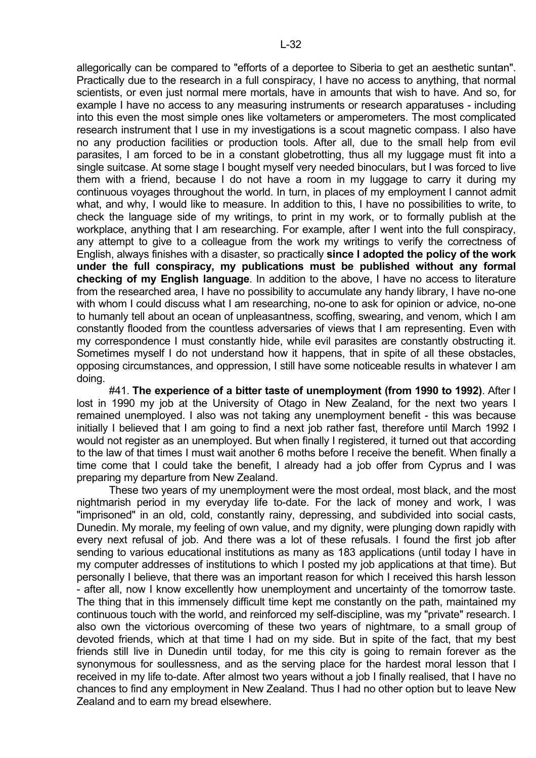allegorically can be compared to "efforts of a deportee to Siberia to get an aesthetic suntan". Practically due to the research in a full conspiracy, I have no access to anything, that normal scientists, or even just normal mere mortals, have in amounts that wish to have. And so, for example I have no access to any measuring instruments or research apparatuses - including into this even the most simple ones like voltameters or amperometers. The most complicated research instrument that I use in my investigations is a scout magnetic compass. I also have no any production facilities or production tools. After all, due to the small help from evil parasites, I am forced to be in a constant globetrotting, thus all my luggage must fit into a single suitcase. At some stage I bought myself very needed binoculars, but I was forced to live them with a friend, because I do not have a room in my luggage to carry it during my continuous voyages throughout the world. In turn, in places of my employment I cannot admit what, and why, I would like to measure. In addition to this, I have no possibilities to write, to check the language side of my writings, to print in my work, or to formally publish at the workplace, anything that I am researching. For example, after I went into the full conspiracy, any attempt to give to a colleague from the work my writings to verify the correctness of English, always finishes with a disaster, so practically **since I adopted the policy of the work under the full conspiracy, my publications must be published without any formal checking of my English language**. In addition to the above, I have no access to literature from the researched area, I have no possibility to accumulate any handy library, I have no-one with whom I could discuss what I am researching, no-one to ask for opinion or advice, no-one to humanly tell about an ocean of unpleasantness, scoffing, swearing, and venom, which I am constantly flooded from the countless adversaries of views that I am representing. Even with my correspondence I must constantly hide, while evil parasites are constantly obstructing it. Sometimes myself I do not understand how it happens, that in spite of all these obstacles, opposing circumstances, and oppression, I still have some noticeable results in whatever I am doing.

 #41. **The experience of a bitter taste of unemployment (from 1990 to 1992)**. After I lost in 1990 my job at the University of Otago in New Zealand, for the next two years I remained unemployed. I also was not taking any unemployment benefit - this was because initially I believed that I am going to find a next job rather fast, therefore until March 1992 I would not register as an unemployed. But when finally I registered, it turned out that according to the law of that times I must wait another 6 moths before I receive the benefit. When finally a time come that I could take the benefit, I already had a job offer from Cyprus and I was preparing my departure from New Zealand.

 These two years of my unemployment were the most ordeal, most black, and the most nightmarish period in my everyday life to-date. For the lack of money and work, I was "imprisoned" in an old, cold, constantly rainy, depressing, and subdivided into social casts, Dunedin. My morale, my feeling of own value, and my dignity, were plunging down rapidly with every next refusal of job. And there was a lot of these refusals. I found the first job after sending to various educational institutions as many as 183 applications (until today I have in my computer addresses of institutions to which I posted my job applications at that time). But personally I believe, that there was an important reason for which I received this harsh lesson - after all, now I know excellently how unemployment and uncertainty of the tomorrow taste. The thing that in this immensely difficult time kept me constantly on the path, maintained my continuous touch with the world, and reinforced my self-discipline, was my "private" research. I also own the victorious overcoming of these two years of nightmare, to a small group of devoted friends, which at that time I had on my side. But in spite of the fact, that my best friends still live in Dunedin until today, for me this city is going to remain forever as the synonymous for soullessness, and as the serving place for the hardest moral lesson that I received in my life to-date. After almost two years without a job I finally realised, that I have no chances to find any employment in New Zealand. Thus I had no other option but to leave New Zealand and to earn my bread elsewhere.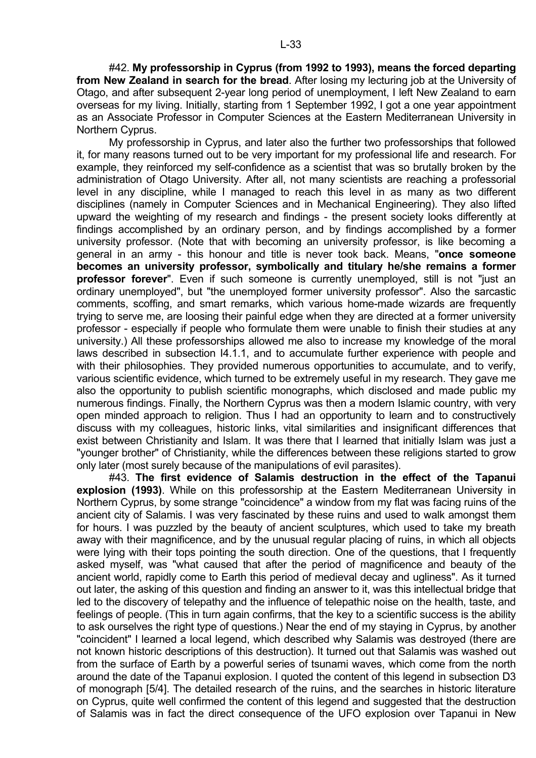#42. **My professorship in Cyprus (from 1992 to 1993), means the forced departing from New Zealand in search for the bread**. After losing my lecturing job at the University of Otago, and after subsequent 2-year long period of unemployment, I left New Zealand to earn overseas for my living. Initially, starting from 1 September 1992, I got a one year appointment as an Associate Professor in Computer Sciences at the Eastern Mediterranean University in Northern Cyprus.

 My professorship in Cyprus, and later also the further two professorships that followed it, for many reasons turned out to be very important for my professional life and research. For example, they reinforced my self-confidence as a scientist that was so brutally broken by the administration of Otago University. After all, not many scientists are reaching a professorial level in any discipline, while I managed to reach this level in as many as two different disciplines (namely in Computer Sciences and in Mechanical Engineering). They also lifted upward the weighting of my research and findings - the present society looks differently at findings accomplished by an ordinary person, and by findings accomplished by a former university professor. (Note that with becoming an university professor, is like becoming a general in an army - this honour and title is never took back. Means, "**once someone becomes an university professor, symbolically and titulary he/she remains a former professor forever**". Even if such someone is currently unemployed, still is not "just an ordinary unemployed", but "the unemployed former university professor". Also the sarcastic comments, scoffing, and smart remarks, which various home-made wizards are frequently trying to serve me, are loosing their painful edge when they are directed at a former university professor - especially if people who formulate them were unable to finish their studies at any university.) All these professorships allowed me also to increase my knowledge of the moral laws described in subsection I4.1.1, and to accumulate further experience with people and with their philosophies. They provided numerous opportunities to accumulate, and to verify, various scientific evidence, which turned to be extremely useful in my research. They gave me also the opportunity to publish scientific monographs, which disclosed and made public my numerous findings. Finally, the Northern Cyprus was then a modern Islamic country, with very open minded approach to religion. Thus I had an opportunity to learn and to constructively discuss with my colleagues, historic links, vital similarities and insignificant differences that exist between Christianity and Islam. It was there that I learned that initially Islam was just a "younger brother" of Christianity, while the differences between these religions started to grow only later (most surely because of the manipulations of evil parasites).

 #43. **The first evidence of Salamis destruction in the effect of the Tapanui explosion (1993)**. While on this professorship at the Eastern Mediterranean University in Northern Cyprus, by some strange "coincidence" a window from my flat was facing ruins of the ancient city of Salamis. I was very fascinated by these ruins and used to walk amongst them for hours. I was puzzled by the beauty of ancient sculptures, which used to take my breath away with their magnificence, and by the unusual regular placing of ruins, in which all objects were lying with their tops pointing the south direction. One of the questions, that I frequently asked myself, was "what caused that after the period of magnificence and beauty of the ancient world, rapidly come to Earth this period of medieval decay and ugliness". As it turned out later, the asking of this question and finding an answer to it, was this intellectual bridge that led to the discovery of telepathy and the influence of telepathic noise on the health, taste, and feelings of people. (This in turn again confirms, that the key to a scientific success is the ability to ask ourselves the right type of questions.) Near the end of my staying in Cyprus, by another "coincident" I learned a local legend, which described why Salamis was destroyed (there are not known historic descriptions of this destruction). It turned out that Salamis was washed out from the surface of Earth by a powerful series of tsunami waves, which come from the north around the date of the Tapanui explosion. I quoted the content of this legend in subsection D3 of monograph [5/4]. The detailed research of the ruins, and the searches in historic literature on Cyprus, quite well confirmed the content of this legend and suggested that the destruction of Salamis was in fact the direct consequence of the UFO explosion over Tapanui in New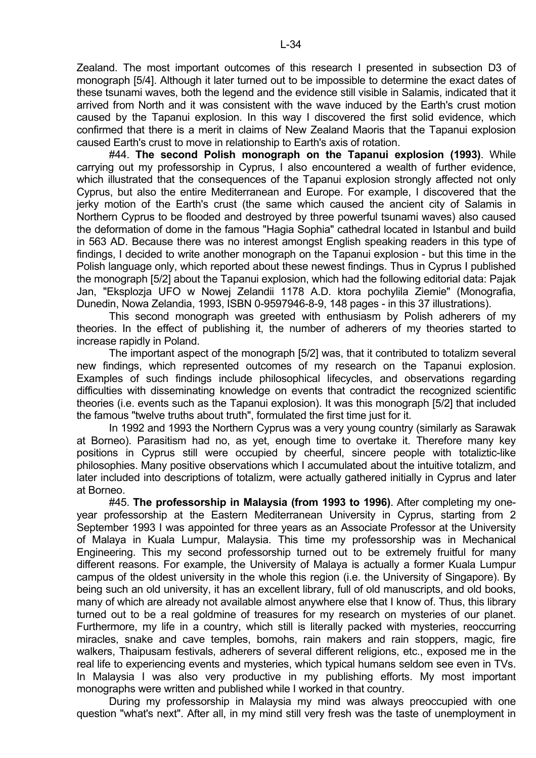Zealand. The most important outcomes of this research I presented in subsection D3 of monograph [5/4]. Although it later turned out to be impossible to determine the exact dates of these tsunami waves, both the legend and the evidence still visible in Salamis, indicated that it arrived from North and it was consistent with the wave induced by the Earth's crust motion caused by the Tapanui explosion. In this way I discovered the first solid evidence, which confirmed that there is a merit in claims of New Zealand Maoris that the Tapanui explosion caused Earth's crust to move in relationship to Earth's axis of rotation.

 #44. **The second Polish monograph on the Tapanui explosion (1993)**. While carrying out my professorship in Cyprus, I also encountered a wealth of further evidence, which illustrated that the consequences of the Tapanui explosion strongly affected not only Cyprus, but also the entire Mediterranean and Europe. For example, I discovered that the jerky motion of the Earth's crust (the same which caused the ancient city of Salamis in Northern Cyprus to be flooded and destroyed by three powerful tsunami waves) also caused the deformation of dome in the famous "Hagia Sophia" cathedral located in Istanbul and build in 563 AD. Because there was no interest amongst English speaking readers in this type of findings, I decided to write another monograph on the Tapanui explosion - but this time in the Polish language only, which reported about these newest findings. Thus in Cyprus I published the monograph [5/2] about the Tapanui explosion, which had the following editorial data: Pajak Jan, "Eksplozja UFO w Nowej Zelandii 1178 A.D. ktora pochylila Ziemie" (Monografia, Dunedin, Nowa Zelandia, 1993, ISBN 0-9597946-8-9, 148 pages - in this 37 illustrations).

 This second monograph was greeted with enthusiasm by Polish adherers of my theories. In the effect of publishing it, the number of adherers of my theories started to increase rapidly in Poland.

 The important aspect of the monograph [5/2] was, that it contributed to totalizm several new findings, which represented outcomes of my research on the Tapanui explosion. Examples of such findings include philosophical lifecycles, and observations regarding difficulties with disseminating knowledge on events that contradict the recognized scientific theories (i.e. events such as the Tapanui explosion). It was this monograph [5/2] that included the famous "twelve truths about truth", formulated the first time just for it.

 In 1992 and 1993 the Northern Cyprus was a very young country (similarly as Sarawak at Borneo). Parasitism had no, as yet, enough time to overtake it. Therefore many key positions in Cyprus still were occupied by cheerful, sincere people with totaliztic-like philosophies. Many positive observations which I accumulated about the intuitive totalizm, and later included into descriptions of totalizm, were actually gathered initially in Cyprus and later at Borneo.

 #45. **The professorship in Malaysia (from 1993 to 1996)**. After completing my oneyear professorship at the Eastern Mediterranean University in Cyprus, starting from 2 September 1993 I was appointed for three years as an Associate Professor at the University of Malaya in Kuala Lumpur, Malaysia. This time my professorship was in Mechanical Engineering. This my second professorship turned out to be extremely fruitful for many different reasons. For example, the University of Malaya is actually a former Kuala Lumpur campus of the oldest university in the whole this region (i.e. the University of Singapore). By being such an old university, it has an excellent library, full of old manuscripts, and old books, many of which are already not available almost anywhere else that I know of. Thus, this library turned out to be a real goldmine of treasures for my research on mysteries of our planet. Furthermore, my life in a country, which still is literally packed with mysteries, reoccurring miracles, snake and cave temples, bomohs, rain makers and rain stoppers, magic, fire walkers, Thaipusam festivals, adherers of several different religions, etc., exposed me in the real life to experiencing events and mysteries, which typical humans seldom see even in TVs. In Malaysia I was also very productive in my publishing efforts. My most important monographs were written and published while I worked in that country.

 During my professorship in Malaysia my mind was always preoccupied with one question "what's next". After all, in my mind still very fresh was the taste of unemployment in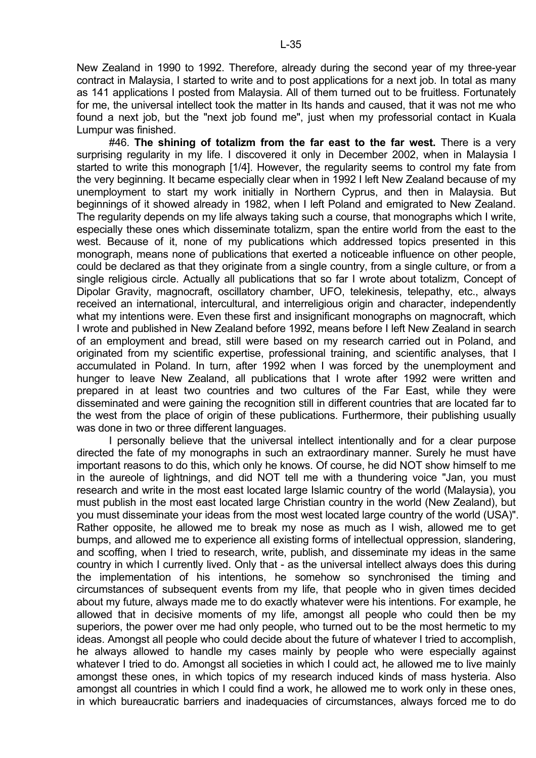New Zealand in 1990 to 1992. Therefore, already during the second year of my three-year contract in Malaysia, I started to write and to post applications for a next job. In total as many as 141 applications I posted from Malaysia. All of them turned out to be fruitless. Fortunately for me, the universal intellect took the matter in Its hands and caused, that it was not me who found a next job, but the "next job found me", just when my professorial contact in Kuala Lumpur was finished.

 #46. **The shining of totalizm from the far east to the far west.** There is a very surprising regularity in my life. I discovered it only in December 2002, when in Malaysia I started to write this monograph [1/4]. However, the regularity seems to control my fate from the very beginning. It became especially clear when in 1992 I left New Zealand because of my unemployment to start my work initially in Northern Cyprus, and then in Malaysia. But beginnings of it showed already in 1982, when I left Poland and emigrated to New Zealand. The regularity depends on my life always taking such a course, that monographs which I write, especially these ones which disseminate totalizm, span the entire world from the east to the west. Because of it, none of my publications which addressed topics presented in this monograph, means none of publications that exerted a noticeable influence on other people, could be declared as that they originate from a single country, from a single culture, or from a single religious circle. Actually all publications that so far I wrote about totalizm, Concept of Dipolar Gravity, magnocraft, oscillatory chamber, UFO, telekinesis, telepathy, etc., always received an international, intercultural, and interreligious origin and character, independently what my intentions were. Even these first and insignificant monographs on magnocraft, which I wrote and published in New Zealand before 1992, means before I left New Zealand in search of an employment and bread, still were based on my research carried out in Poland, and originated from my scientific expertise, professional training, and scientific analyses, that I accumulated in Poland. In turn, after 1992 when I was forced by the unemployment and hunger to leave New Zealand, all publications that I wrote after 1992 were written and prepared in at least two countries and two cultures of the Far East, while they were disseminated and were gaining the recognition still in different countries that are located far to the west from the place of origin of these publications. Furthermore, their publishing usually was done in two or three different languages.

 I personally believe that the universal intellect intentionally and for a clear purpose directed the fate of my monographs in such an extraordinary manner. Surely he must have important reasons to do this, which only he knows. Of course, he did NOT show himself to me in the aureole of lightnings, and did NOT tell me with a thundering voice "Jan, you must research and write in the most east located large Islamic country of the world (Malaysia), you must publish in the most east located large Christian country in the world (New Zealand), but you must disseminate your ideas from the most west located large country of the world (USA)". Rather opposite, he allowed me to break my nose as much as I wish, allowed me to get bumps, and allowed me to experience all existing forms of intellectual oppression, slandering, and scoffing, when I tried to research, write, publish, and disseminate my ideas in the same country in which I currently lived. Only that - as the universal intellect always does this during the implementation of his intentions, he somehow so synchronised the timing and circumstances of subsequent events from my life, that people who in given times decided about my future, always made me to do exactly whatever were his intentions. For example, he allowed that in decisive moments of my life, amongst all people who could then be my superiors, the power over me had only people, who turned out to be the most hermetic to my ideas. Amongst all people who could decide about the future of whatever I tried to accomplish, he always allowed to handle my cases mainly by people who were especially against whatever I tried to do. Amongst all societies in which I could act, he allowed me to live mainly amongst these ones, in which topics of my research induced kinds of mass hysteria. Also amongst all countries in which I could find a work, he allowed me to work only in these ones, in which bureaucratic barriers and inadequacies of circumstances, always forced me to do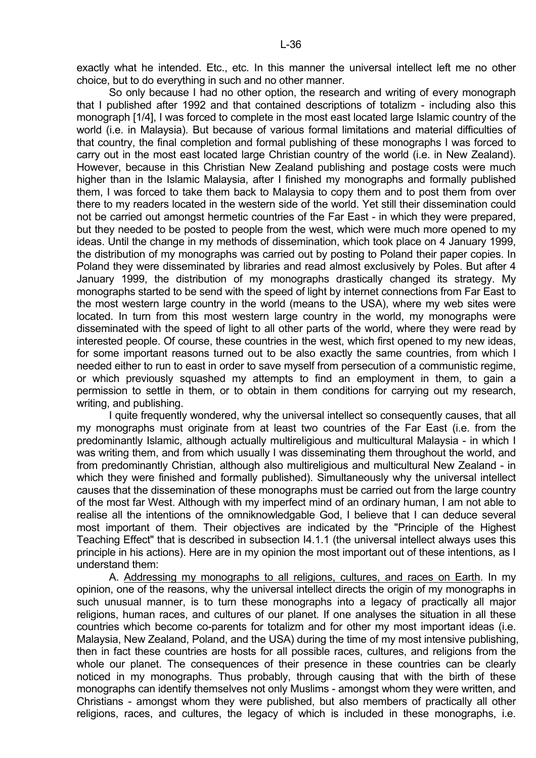exactly what he intended. Etc., etc. In this manner the universal intellect left me no other choice, but to do everything in such and no other manner.

 So only because I had no other option, the research and writing of every monograph that I published after 1992 and that contained descriptions of totalizm - including also this monograph [1/4], I was forced to complete in the most east located large Islamic country of the world (i.e. in Malaysia). But because of various formal limitations and material difficulties of that country, the final completion and formal publishing of these monographs I was forced to carry out in the most east located large Christian country of the world (i.e. in New Zealand). However, because in this Christian New Zealand publishing and postage costs were much higher than in the Islamic Malaysia, after I finished my monographs and formally published them, I was forced to take them back to Malaysia to copy them and to post them from over there to my readers located in the western side of the world. Yet still their dissemination could not be carried out amongst hermetic countries of the Far East - in which they were prepared, but they needed to be posted to people from the west, which were much more opened to my ideas. Until the change in my methods of dissemination, which took place on 4 January 1999, the distribution of my monographs was carried out by posting to Poland their paper copies. In Poland they were disseminated by libraries and read almost exclusively by Poles. But after 4 January 1999, the distribution of my monographs drastically changed its strategy. My monographs started to be send with the speed of light by internet connections from Far East to the most western large country in the world (means to the USA), where my web sites were located. In turn from this most western large country in the world, my monographs were disseminated with the speed of light to all other parts of the world, where they were read by interested people. Of course, these countries in the west, which first opened to my new ideas, for some important reasons turned out to be also exactly the same countries, from which I needed either to run to east in order to save myself from persecution of a communistic regime, or which previously squashed my attempts to find an employment in them, to gain a permission to settle in them, or to obtain in them conditions for carrying out my research, writing, and publishing.

 I quite frequently wondered, why the universal intellect so consequently causes, that all my monographs must originate from at least two countries of the Far East (i.e. from the predominantly Islamic, although actually multireligious and multicultural Malaysia - in which I was writing them, and from which usually I was disseminating them throughout the world, and from predominantly Christian, although also multireligious and multicultural New Zealand - in which they were finished and formally published). Simultaneously why the universal intellect causes that the dissemination of these monographs must be carried out from the large country of the most far West. Although with my imperfect mind of an ordinary human, I am not able to realise all the intentions of the omniknowledgable God, I believe that I can deduce several most important of them. Their objectives are indicated by the "Principle of the Highest Teaching Effect" that is described in subsection I4.1.1 (the universal intellect always uses this principle in his actions). Here are in my opinion the most important out of these intentions, as I understand them:

 A. Addressing my monographs to all religions, cultures, and races on Earth. In my opinion, one of the reasons, why the universal intellect directs the origin of my monographs in such unusual manner, is to turn these monographs into a legacy of practically all major religions, human races, and cultures of our planet. If one analyses the situation in all these countries which become co-parents for totalizm and for other my most important ideas (i.e. Malaysia, New Zealand, Poland, and the USA) during the time of my most intensive publishing, then in fact these countries are hosts for all possible races, cultures, and religions from the whole our planet. The consequences of their presence in these countries can be clearly noticed in my monographs. Thus probably, through causing that with the birth of these monographs can identify themselves not only Muslims - amongst whom they were written, and Christians - amongst whom they were published, but also members of practically all other religions, races, and cultures, the legacy of which is included in these monographs, i.e.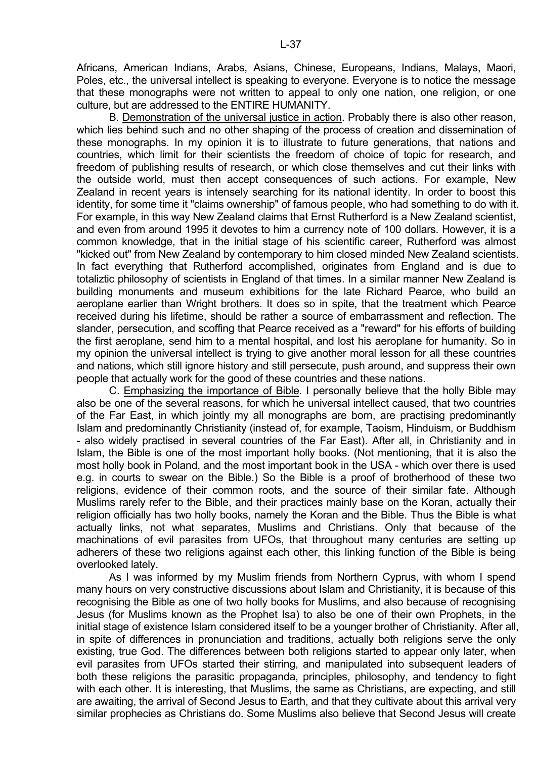Africans, American Indians, Arabs, Asians, Chinese, Europeans, Indians, Malays, Maori, Poles, etc., the universal intellect is speaking to everyone. Everyone is to notice the message that these monographs were not written to appeal to only one nation, one religion, or one culture, but are addressed to the ENTIRE HUMANITY.

 B. Demonstration of the universal justice in action. Probably there is also other reason, which lies behind such and no other shaping of the process of creation and dissemination of these monographs. In my opinion it is to illustrate to future generations, that nations and countries, which limit for their scientists the freedom of choice of topic for research, and freedom of publishing results of research, or which close themselves and cut their links with the outside world, must then accept consequences of such actions. For example, New Zealand in recent years is intensely searching for its national identity. In order to boost this identity, for some time it "claims ownership" of famous people, who had something to do with it. For example, in this way New Zealand claims that Ernst Rutherford is a New Zealand scientist, and even from around 1995 it devotes to him a currency note of 100 dollars. However, it is a common knowledge, that in the initial stage of his scientific career, Rutherford was almost "kicked out" from New Zealand by contemporary to him closed minded New Zealand scientists. In fact everything that Rutherford accomplished, originates from England and is due to totaliztic philosophy of scientists in England of that times. In a similar manner New Zealand is building monuments and museum exhibitions for the late Richard Pearce, who build an aeroplane earlier than Wright brothers. It does so in spite, that the treatment which Pearce received during his lifetime, should be rather a source of embarrassment and reflection. The slander, persecution, and scoffing that Pearce received as a "reward" for his efforts of building the first aeroplane, send him to a mental hospital, and lost his aeroplane for humanity. So in my opinion the universal intellect is trying to give another moral lesson for all these countries and nations, which still ignore history and still persecute, push around, and suppress their own people that actually work for the good of these countries and these nations.

 C. Emphasizing the importance of Bible. I personally believe that the holly Bible may also be one of the several reasons, for which he universal intellect caused, that two countries of the Far East, in which jointly my all monographs are born, are practising predominantly Islam and predominantly Christianity (instead of, for example, Taoism, Hinduism, or Buddhism - also widely practised in several countries of the Far East). After all, in Christianity and in Islam, the Bible is one of the most important holly books. (Not mentioning, that it is also the most holly book in Poland, and the most important book in the USA - which over there is used e.g. in courts to swear on the Bible.) So the Bible is a proof of brotherhood of these two religions, evidence of their common roots, and the source of their similar fate. Although Muslims rarely refer to the Bible, and their practices mainly base on the Koran, actually their religion officially has two holly books, namely the Koran and the Bible. Thus the Bible is what actually links, not what separates, Muslims and Christians. Only that because of the machinations of evil parasites from UFOs, that throughout many centuries are setting up adherers of these two religions against each other, this linking function of the Bible is being overlooked lately.

 As I was informed by my Muslim friends from Northern Cyprus, with whom I spend many hours on very constructive discussions about Islam and Christianity, it is because of this recognising the Bible as one of two holly books for Muslims, and also because of recognising Jesus (for Muslims known as the Prophet Isa) to also be one of their own Prophets, in the initial stage of existence Islam considered itself to be a younger brother of Christianity. After all, in spite of differences in pronunciation and traditions, actually both religions serve the only existing, true God. The differences between both religions started to appear only later, when evil parasites from UFOs started their stirring, and manipulated into subsequent leaders of both these religions the parasitic propaganda, principles, philosophy, and tendency to fight with each other. It is interesting, that Muslims, the same as Christians, are expecting, and still are awaiting, the arrival of Second Jesus to Earth, and that they cultivate about this arrival very similar prophecies as Christians do. Some Muslims also believe that Second Jesus will create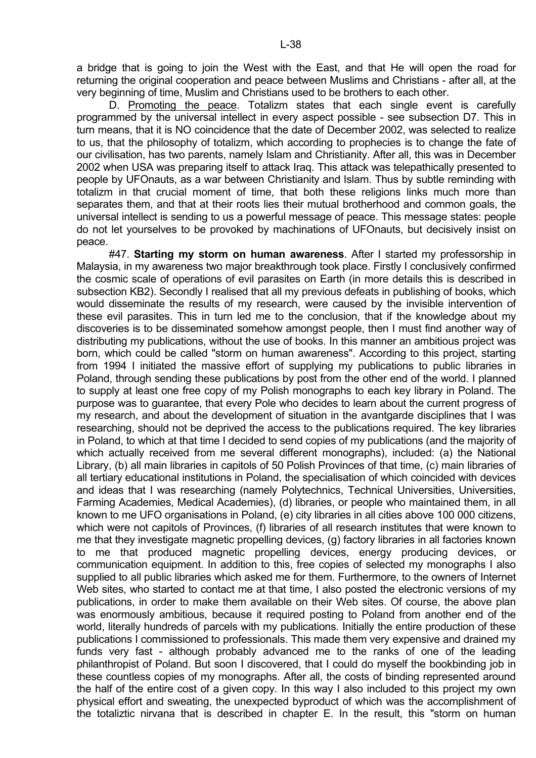a bridge that is going to join the West with the East, and that He will open the road for returning the original cooperation and peace between Muslims and Christians - after all, at the very beginning of time, Muslim and Christians used to be brothers to each other.

 D. Promoting the peace. Totalizm states that each single event is carefully programmed by the universal intellect in every aspect possible - see subsection D7. This in turn means, that it is NO coincidence that the date of December 2002, was selected to realize to us, that the philosophy of totalizm, which according to prophecies is to change the fate of our civilisation, has two parents, namely Islam and Christianity. After all, this was in December 2002 when USA was preparing itself to attack Iraq. This attack was telepathically presented to people by UFOnauts, as a war between Christianity and Islam. Thus by subtle reminding with totalizm in that crucial moment of time, that both these religions links much more than separates them, and that at their roots lies their mutual brotherhood and common goals, the universal intellect is sending to us a powerful message of peace. This message states: people do not let yourselves to be provoked by machinations of UFOnauts, but decisively insist on peace.

 #47. **Starting my storm on human awareness**. After I started my professorship in Malaysia, in my awareness two major breakthrough took place. Firstly I conclusively confirmed the cosmic scale of operations of evil parasites on Earth (in more details this is described in subsection KB2). Secondly I realised that all my previous defeats in publishing of books, which would disseminate the results of my research, were caused by the invisible intervention of these evil parasites. This in turn led me to the conclusion, that if the knowledge about my discoveries is to be disseminated somehow amongst people, then I must find another way of distributing my publications, without the use of books. In this manner an ambitious project was born, which could be called "storm on human awareness". According to this project, starting from 1994 I initiated the massive effort of supplying my publications to public libraries in Poland, through sending these publications by post from the other end of the world. I planned to supply at least one free copy of my Polish monographs to each key library in Poland. The purpose was to guarantee, that every Pole who decides to learn about the current progress of my research, and about the development of situation in the avantgarde disciplines that I was researching, should not be deprived the access to the publications required. The key libraries in Poland, to which at that time I decided to send copies of my publications (and the majority of which actually received from me several different monographs), included: (a) the National Library, (b) all main libraries in capitols of 50 Polish Provinces of that time, (c) main libraries of all tertiary educational institutions in Poland, the specialisation of which coincided with devices and ideas that I was researching (namely Polytechnics, Technical Universities, Universities, Farming Academies, Medical Academies), (d) libraries, or people who maintained them, in all known to me UFO organisations in Poland, (e) city libraries in all cities above 100 000 citizens, which were not capitols of Provinces, (f) libraries of all research institutes that were known to me that they investigate magnetic propelling devices, (g) factory libraries in all factories known to me that produced magnetic propelling devices, energy producing devices, or communication equipment. In addition to this, free copies of selected my monographs I also supplied to all public libraries which asked me for them. Furthermore, to the owners of Internet Web sites, who started to contact me at that time, I also posted the electronic versions of my publications, in order to make them available on their Web sites. Of course, the above plan was enormously ambitious, because it required posting to Poland from another end of the world, literally hundreds of parcels with my publications. Initially the entire production of these publications I commissioned to professionals. This made them very expensive and drained my funds very fast - although probably advanced me to the ranks of one of the leading philanthropist of Poland. But soon I discovered, that I could do myself the bookbinding job in these countless copies of my monographs. After all, the costs of binding represented around the half of the entire cost of a given copy. In this way I also included to this project my own physical effort and sweating, the unexpected byproduct of which was the accomplishment of the totaliztic nirvana that is described in chapter E. In the result, this "storm on human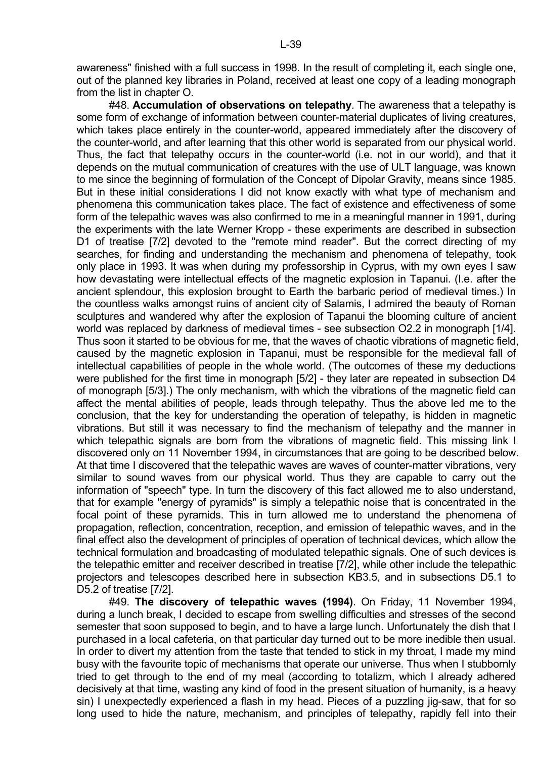awareness" finished with a full success in 1998. In the result of completing it, each single one, out of the planned key libraries in Poland, received at least one copy of a leading monograph from the list in chapter O.

 #48. **Accumulation of observations on telepathy**. The awareness that a telepathy is some form of exchange of information between counter-material duplicates of living creatures, which takes place entirely in the counter-world, appeared immediately after the discovery of the counter-world, and after learning that this other world is separated from our physical world. Thus, the fact that telepathy occurs in the counter-world (i.e. not in our world), and that it depends on the mutual communication of creatures with the use of ULT language, was known to me since the beginning of formulation of the Concept of Dipolar Gravity, means since 1985. But in these initial considerations I did not know exactly with what type of mechanism and phenomena this communication takes place. The fact of existence and effectiveness of some form of the telepathic waves was also confirmed to me in a meaningful manner in 1991, during the experiments with the late Werner Kropp - these experiments are described in subsection D1 of treatise [7/2] devoted to the "remote mind reader". But the correct directing of my searches, for finding and understanding the mechanism and phenomena of telepathy, took only place in 1993. It was when during my professorship in Cyprus, with my own eyes I saw how devastating were intellectual effects of the magnetic explosion in Tapanui. (I.e. after the ancient splendour, this explosion brought to Earth the barbaric period of medieval times.) In the countless walks amongst ruins of ancient city of Salamis, I admired the beauty of Roman sculptures and wandered why after the explosion of Tapanui the blooming culture of ancient world was replaced by darkness of medieval times - see subsection O2.2 in monograph [1/4]. Thus soon it started to be obvious for me, that the waves of chaotic vibrations of magnetic field, caused by the magnetic explosion in Tapanui, must be responsible for the medieval fall of intellectual capabilities of people in the whole world. (The outcomes of these my deductions were published for the first time in monograph [5/2] - they later are repeated in subsection D4 of monograph [5/3].) The only mechanism, with which the vibrations of the magnetic field can affect the mental abilities of people, leads through telepathy. Thus the above led me to the conclusion, that the key for understanding the operation of telepathy, is hidden in magnetic vibrations. But still it was necessary to find the mechanism of telepathy and the manner in which telepathic signals are born from the vibrations of magnetic field. This missing link I discovered only on 11 November 1994, in circumstances that are going to be described below. At that time I discovered that the telepathic waves are waves of counter-matter vibrations, very similar to sound waves from our physical world. Thus they are capable to carry out the information of "speech" type. In turn the discovery of this fact allowed me to also understand, that for example "energy of pyramids" is simply a telepathic noise that is concentrated in the focal point of these pyramids. This in turn allowed me to understand the phenomena of propagation, reflection, concentration, reception, and emission of telepathic waves, and in the final effect also the development of principles of operation of technical devices, which allow the technical formulation and broadcasting of modulated telepathic signals. One of such devices is the telepathic emitter and receiver described in treatise [7/2], while other include the telepathic projectors and telescopes described here in subsection KB3.5, and in subsections D5.1 to D5.2 of treatise [7/2].

 #49. **The discovery of telepathic waves (1994)**. On Friday, 11 November 1994, during a lunch break, I decided to escape from swelling difficulties and stresses of the second semester that soon supposed to begin, and to have a large lunch. Unfortunately the dish that I purchased in a local cafeteria, on that particular day turned out to be more inedible then usual. In order to divert my attention from the taste that tended to stick in my throat, I made my mind busy with the favourite topic of mechanisms that operate our universe. Thus when I stubbornly tried to get through to the end of my meal (according to totalizm, which I already adhered decisively at that time, wasting any kind of food in the present situation of humanity, is a heavy sin) I unexpectedly experienced a flash in my head. Pieces of a puzzling jig-saw, that for so long used to hide the nature, mechanism, and principles of telepathy, rapidly fell into their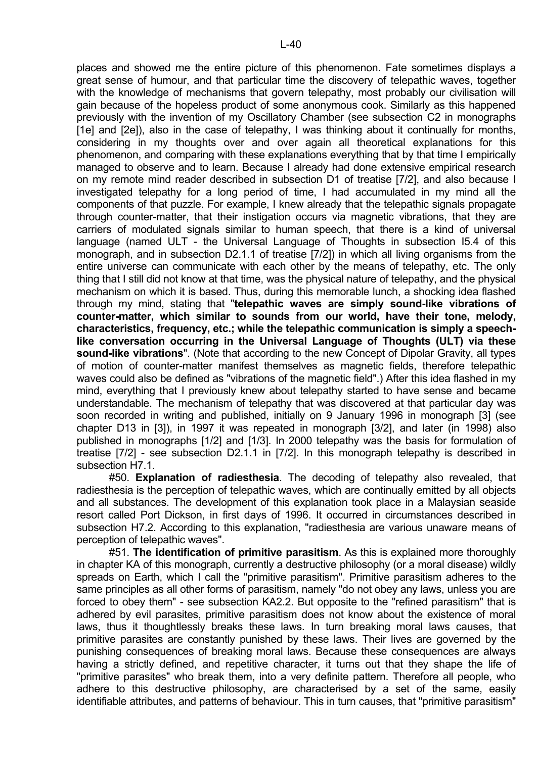places and showed me the entire picture of this phenomenon. Fate sometimes displays a great sense of humour, and that particular time the discovery of telepathic waves, together with the knowledge of mechanisms that govern telepathy, most probably our civilisation will gain because of the hopeless product of some anonymous cook. Similarly as this happened previously with the invention of my Oscillatory Chamber (see subsection C2 in monographs [1e] and [2e]), also in the case of telepathy, I was thinking about it continually for months, considering in my thoughts over and over again all theoretical explanations for this phenomenon, and comparing with these explanations everything that by that time I empirically managed to observe and to learn. Because I already had done extensive empirical research on my remote mind reader described in subsection D1 of treatise [7/2], and also because I investigated telepathy for a long period of time, I had accumulated in my mind all the components of that puzzle. For example, I knew already that the telepathic signals propagate through counter-matter, that their instigation occurs via magnetic vibrations, that they are carriers of modulated signals similar to human speech, that there is a kind of universal language (named ULT - the Universal Language of Thoughts in subsection I5.4 of this monograph, and in subsection D2.1.1 of treatise [7/2]) in which all living organisms from the entire universe can communicate with each other by the means of telepathy, etc. The only thing that I still did not know at that time, was the physical nature of telepathy, and the physical mechanism on which it is based. Thus, during this memorable lunch, a shocking idea flashed through my mind, stating that "**telepathic waves are simply sound-like vibrations of counter-matter, which similar to sounds from our world, have their tone, melody, characteristics, frequency, etc.; while the telepathic communication is simply a speechlike conversation occurring in the Universal Language of Thoughts (ULT) via these sound-like vibrations**". (Note that according to the new Concept of Dipolar Gravity, all types of motion of counter-matter manifest themselves as magnetic fields, therefore telepathic waves could also be defined as "vibrations of the magnetic field".) After this idea flashed in my mind, everything that I previously knew about telepathy started to have sense and became understandable. The mechanism of telepathy that was discovered at that particular day was soon recorded in writing and published, initially on 9 January 1996 in monograph [3] (see chapter D13 in [3]), in 1997 it was repeated in monograph [3/2], and later (in 1998) also published in monographs [1/2] and [1/3]. In 2000 telepathy was the basis for formulation of treatise [7/2] - see subsection D2.1.1 in [7/2]. In this monograph telepathy is described in subsection H7.1.

 #50. **Explanation of radiesthesia**. The decoding of telepathy also revealed, that radiesthesia is the perception of telepathic waves, which are continually emitted by all objects and all substances. The development of this explanation took place in a Malaysian seaside resort called Port Dickson, in first days of 1996. It occurred in circumstances described in subsection H7.2. According to this explanation, "radiesthesia are various unaware means of perception of telepathic waves".

 #51. **The identification of primitive parasitism**. As this is explained more thoroughly in chapter KA of this monograph, currently a destructive philosophy (or a moral disease) wildly spreads on Earth, which I call the "primitive parasitism". Primitive parasitism adheres to the same principles as all other forms of parasitism, namely "do not obey any laws, unless you are forced to obey them" - see subsection KA2.2. But opposite to the "refined parasitism" that is adhered by evil parasites, primitive parasitism does not know about the existence of moral laws, thus it thoughtlessly breaks these laws. In turn breaking moral laws causes, that primitive parasites are constantly punished by these laws. Their lives are governed by the punishing consequences of breaking moral laws. Because these consequences are always having a strictly defined, and repetitive character, it turns out that they shape the life of "primitive parasites" who break them, into a very definite pattern. Therefore all people, who adhere to this destructive philosophy, are characterised by a set of the same, easily identifiable attributes, and patterns of behaviour. This in turn causes, that "primitive parasitism"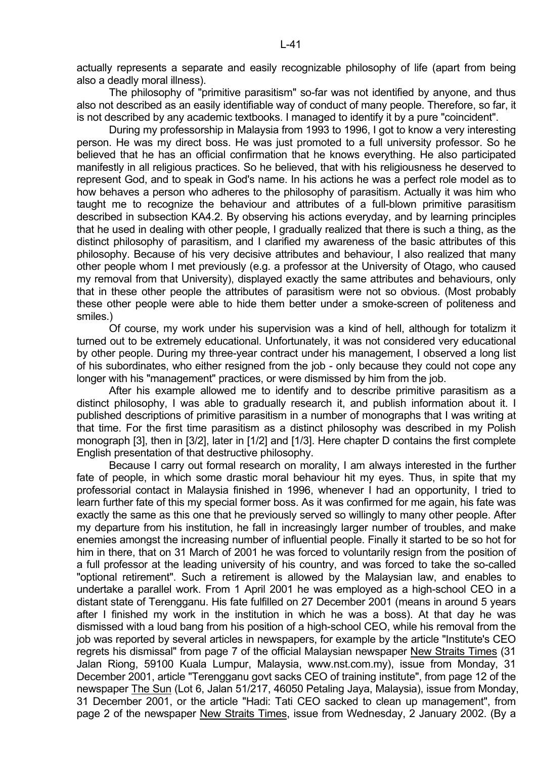actually represents a separate and easily recognizable philosophy of life (apart from being also a deadly moral illness).

 The philosophy of "primitive parasitism" so-far was not identified by anyone, and thus also not described as an easily identifiable way of conduct of many people. Therefore, so far, it is not described by any academic textbooks. I managed to identify it by a pure "coincident".

 During my professorship in Malaysia from 1993 to 1996, I got to know a very interesting person. He was my direct boss. He was just promoted to a full university professor. So he believed that he has an official confirmation that he knows everything. He also participated manifestly in all religious practices. So he believed, that with his religiousness he deserved to represent God, and to speak in God's name. In his actions he was a perfect role model as to how behaves a person who adheres to the philosophy of parasitism. Actually it was him who taught me to recognize the behaviour and attributes of a full-blown primitive parasitism described in subsection KA4.2. By observing his actions everyday, and by learning principles that he used in dealing with other people, I gradually realized that there is such a thing, as the distinct philosophy of parasitism, and I clarified my awareness of the basic attributes of this philosophy. Because of his very decisive attributes and behaviour, I also realized that many other people whom I met previously (e.g. a professor at the University of Otago, who caused my removal from that University), displayed exactly the same attributes and behaviours, only that in these other people the attributes of parasitism were not so obvious. (Most probably these other people were able to hide them better under a smoke-screen of politeness and smiles.)

 Of course, my work under his supervision was a kind of hell, although for totalizm it turned out to be extremely educational. Unfortunately, it was not considered very educational by other people. During my three-year contract under his management, I observed a long list of his subordinates, who either resigned from the job - only because they could not cope any longer with his "management" practices, or were dismissed by him from the job.

 After his example allowed me to identify and to describe primitive parasitism as a distinct philosophy, I was able to gradually research it, and publish information about it. I published descriptions of primitive parasitism in a number of monographs that I was writing at that time. For the first time parasitism as a distinct philosophy was described in my Polish monograph [3], then in [3/2], later in [1/2] and [1/3]. Here chapter D contains the first complete English presentation of that destructive philosophy.

 Because I carry out formal research on morality, I am always interested in the further fate of people, in which some drastic moral behaviour hit my eyes. Thus, in spite that my professorial contact in Malaysia finished in 1996, whenever I had an opportunity, I tried to learn further fate of this my special former boss. As it was confirmed for me again, his fate was exactly the same as this one that he previously served so willingly to many other people. After my departure from his institution, he fall in increasingly larger number of troubles, and make enemies amongst the increasing number of influential people. Finally it started to be so hot for him in there, that on 31 March of 2001 he was forced to voluntarily resign from the position of a full professor at the leading university of his country, and was forced to take the so-called "optional retirement". Such a retirement is allowed by the Malaysian law, and enables to undertake a parallel work. From 1 April 2001 he was employed as a high-school CEO in a distant state of Terengganu. His fate fulfilled on 27 December 2001 (means in around 5 years after I finished my work in the institution in which he was a boss). At that day he was dismissed with a loud bang from his position of a high-school CEO, while his removal from the job was reported by several articles in newspapers, for example by the article "Institute's CEO regrets his dismissal" from page 7 of the official Malaysian newspaper New Straits Times (31 Jalan Riong, 59100 Kuala Lumpur, Malaysia, www.nst.com.my), issue from Monday, 31 December 2001, article "Terengganu govt sacks CEO of training institute", from page 12 of the newspaper The Sun (Lot 6, Jalan 51/217, 46050 Petaling Jaya, Malaysia), issue from Monday, 31 December 2001, or the article "Hadi: Tati CEO sacked to clean up management", from page 2 of the newspaper New Straits Times, issue from Wednesday, 2 January 2002. (By a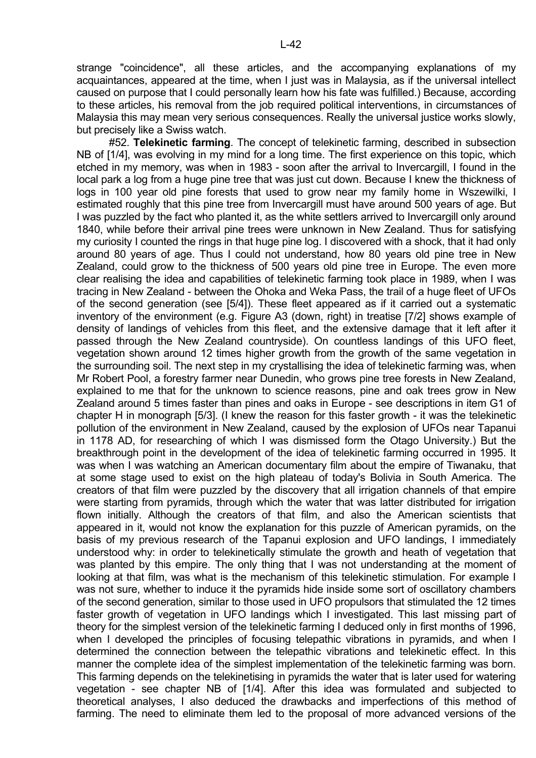strange "coincidence", all these articles, and the accompanying explanations of my acquaintances, appeared at the time, when I just was in Malaysia, as if the universal intellect caused on purpose that I could personally learn how his fate was fulfilled.) Because, according to these articles, his removal from the job required political interventions, in circumstances of Malaysia this may mean very serious consequences. Really the universal justice works slowly, but precisely like a Swiss watch.

 #52. **Telekinetic farming**. The concept of telekinetic farming, described in subsection NB of [1/4], was evolving in my mind for a long time. The first experience on this topic, which etched in my memory, was when in 1983 - soon after the arrival to Invercargill, I found in the local park a log from a huge pine tree that was just cut down. Because I knew the thickness of logs in 100 year old pine forests that used to grow near my family home in Wszewilki, I estimated roughly that this pine tree from Invercargill must have around 500 years of age. But I was puzzled by the fact who planted it, as the white settlers arrived to Invercargill only around 1840, while before their arrival pine trees were unknown in New Zealand. Thus for satisfying my curiosity I counted the rings in that huge pine log. I discovered with a shock, that it had only around 80 years of age. Thus I could not understand, how 80 years old pine tree in New Zealand, could grow to the thickness of 500 years old pine tree in Europe. The even more clear realising the idea and capabilities of telekinetic farming took place in 1989, when I was tracing in New Zealand - between the Ohoka and Weka Pass, the trail of a huge fleet of UFOs of the second generation (see [5/4]). These fleet appeared as if it carried out a systematic inventory of the environment (e.g. Figure A3 (down, right) in treatise [7/2] shows example of density of landings of vehicles from this fleet, and the extensive damage that it left after it passed through the New Zealand countryside). On countless landings of this UFO fleet, vegetation shown around 12 times higher growth from the growth of the same vegetation in the surrounding soil. The next step in my crystallising the idea of telekinetic farming was, when Mr Robert Pool, a forestry farmer near Dunedin, who grows pine tree forests in New Zealand, explained to me that for the unknown to science reasons, pine and oak trees grow in New Zealand around 5 times faster than pines and oaks in Europe - see descriptions in item G1 of chapter H in monograph [5/3]. (I knew the reason for this faster growth - it was the telekinetic pollution of the environment in New Zealand, caused by the explosion of UFOs near Tapanui in 1178 AD, for researching of which I was dismissed form the Otago University.) But the breakthrough point in the development of the idea of telekinetic farming occurred in 1995. It was when I was watching an American documentary film about the empire of Tiwanaku, that at some stage used to exist on the high plateau of today's Bolivia in South America. The creators of that film were puzzled by the discovery that all irrigation channels of that empire were starting from pyramids, through which the water that was latter distributed for irrigation flown initially. Although the creators of that film, and also the American scientists that appeared in it, would not know the explanation for this puzzle of American pyramids, on the basis of my previous research of the Tapanui explosion and UFO landings, I immediately understood why: in order to telekinetically stimulate the growth and heath of vegetation that was planted by this empire. The only thing that I was not understanding at the moment of looking at that film, was what is the mechanism of this telekinetic stimulation. For example I was not sure, whether to induce it the pyramids hide inside some sort of oscillatory chambers of the second generation, similar to those used in UFO propulsors that stimulated the 12 times faster growth of vegetation in UFO landings which I investigated. This last missing part of theory for the simplest version of the telekinetic farming I deduced only in first months of 1996, when I developed the principles of focusing telepathic vibrations in pyramids, and when I determined the connection between the telepathic vibrations and telekinetic effect. In this manner the complete idea of the simplest implementation of the telekinetic farming was born. This farming depends on the telekinetising in pyramids the water that is later used for watering vegetation - see chapter NB of [1/4]. After this idea was formulated and subjected to theoretical analyses, I also deduced the drawbacks and imperfections of this method of farming. The need to eliminate them led to the proposal of more advanced versions of the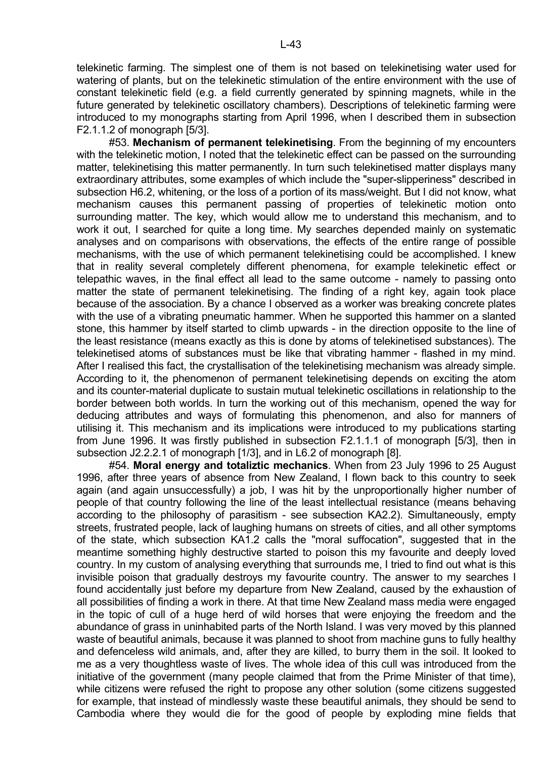telekinetic farming. The simplest one of them is not based on telekinetising water used for watering of plants, but on the telekinetic stimulation of the entire environment with the use of constant telekinetic field (e.g. a field currently generated by spinning magnets, while in the future generated by telekinetic oscillatory chambers). Descriptions of telekinetic farming were introduced to my monographs starting from April 1996, when I described them in subsection F2.1.1.2 of monograph [5/3].

 #53. **Mechanism of permanent telekinetising**. From the beginning of my encounters with the telekinetic motion, I noted that the telekinetic effect can be passed on the surrounding matter, telekinetising this matter permanently. In turn such telekinetised matter displays many extraordinary attributes, some examples of which include the "super-slipperiness" described in subsection H6.2, whitening, or the loss of a portion of its mass/weight. But I did not know, what mechanism causes this permanent passing of properties of telekinetic motion onto surrounding matter. The key, which would allow me to understand this mechanism, and to work it out, I searched for quite a long time. My searches depended mainly on systematic analyses and on comparisons with observations, the effects of the entire range of possible mechanisms, with the use of which permanent telekinetising could be accomplished. I knew that in reality several completely different phenomena, for example telekinetic effect or telepathic waves, in the final effect all lead to the same outcome - namely to passing onto matter the state of permanent telekinetising. The finding of a right key, again took place because of the association. By a chance I observed as a worker was breaking concrete plates with the use of a vibrating pneumatic hammer. When he supported this hammer on a slanted stone, this hammer by itself started to climb upwards - in the direction opposite to the line of the least resistance (means exactly as this is done by atoms of telekinetised substances). The telekinetised atoms of substances must be like that vibrating hammer - flashed in my mind. After I realised this fact, the crystallisation of the telekinetising mechanism was already simple. According to it, the phenomenon of permanent telekinetising depends on exciting the atom and its counter-material duplicate to sustain mutual telekinetic oscillations in relationship to the border between both worlds. In turn the working out of this mechanism, opened the way for deducing attributes and ways of formulating this phenomenon, and also for manners of utilising it. This mechanism and its implications were introduced to my publications starting from June 1996. It was firstly published in subsection F2.1.1.1 of monograph [5/3], then in subsection J2.2.2.1 of monograph [1/3], and in L6.2 of monograph [8].

 #54. **Moral energy and totaliztic mechanics**. When from 23 July 1996 to 25 August 1996, after three years of absence from New Zealand, I flown back to this country to seek again (and again unsuccessfully) a job, I was hit by the unproportionally higher number of people of that country following the line of the least intellectual resistance (means behaving according to the philosophy of parasitism - see subsection KA2.2). Simultaneously, empty streets, frustrated people, lack of laughing humans on streets of cities, and all other symptoms of the state, which subsection KA1.2 calls the "moral suffocation", suggested that in the meantime something highly destructive started to poison this my favourite and deeply loved country. In my custom of analysing everything that surrounds me, I tried to find out what is this invisible poison that gradually destroys my favourite country. The answer to my searches I found accidentally just before my departure from New Zealand, caused by the exhaustion of all possibilities of finding a work in there. At that time New Zealand mass media were engaged in the topic of cull of a huge herd of wild horses that were enjoying the freedom and the abundance of grass in uninhabited parts of the North Island. I was very moved by this planned waste of beautiful animals, because it was planned to shoot from machine guns to fully healthy and defenceless wild animals, and, after they are killed, to burry them in the soil. It looked to me as a very thoughtless waste of lives. The whole idea of this cull was introduced from the initiative of the government (many people claimed that from the Prime Minister of that time), while citizens were refused the right to propose any other solution (some citizens suggested for example, that instead of mindlessly waste these beautiful animals, they should be send to Cambodia where they would die for the good of people by exploding mine fields that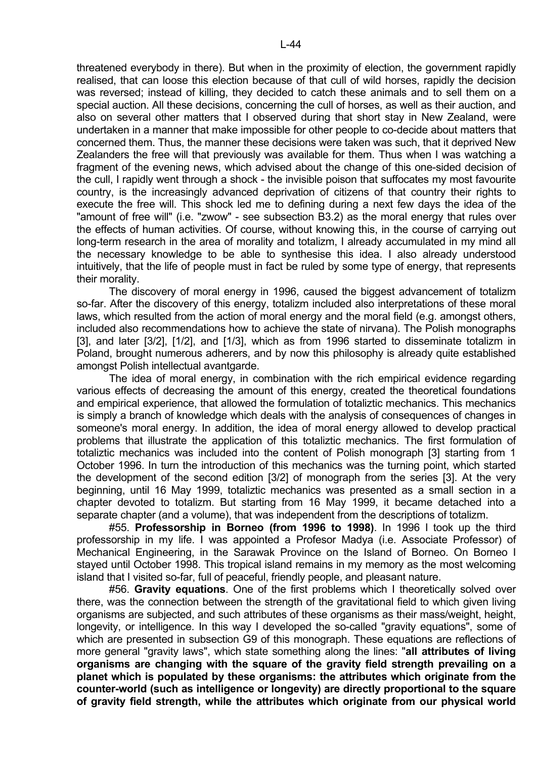threatened everybody in there). But when in the proximity of election, the government rapidly realised, that can loose this election because of that cull of wild horses, rapidly the decision was reversed; instead of killing, they decided to catch these animals and to sell them on a special auction. All these decisions, concerning the cull of horses, as well as their auction, and also on several other matters that I observed during that short stay in New Zealand, were undertaken in a manner that make impossible for other people to co-decide about matters that concerned them. Thus, the manner these decisions were taken was such, that it deprived New Zealanders the free will that previously was available for them. Thus when I was watching a fragment of the evening news, which advised about the change of this one-sided decision of the cull, I rapidly went through a shock - the invisible poison that suffocates my most favourite country, is the increasingly advanced deprivation of citizens of that country their rights to execute the free will. This shock led me to defining during a next few days the idea of the "amount of free will" (i.e. "zwow" - see subsection B3.2) as the moral energy that rules over the effects of human activities. Of course, without knowing this, in the course of carrying out long-term research in the area of morality and totalizm, I already accumulated in my mind all the necessary knowledge to be able to synthesise this idea. I also already understood intuitively, that the life of people must in fact be ruled by some type of energy, that represents their morality.

 The discovery of moral energy in 1996, caused the biggest advancement of totalizm so-far. After the discovery of this energy, totalizm included also interpretations of these moral laws, which resulted from the action of moral energy and the moral field (e.g. amongst others, included also recommendations how to achieve the state of nirvana). The Polish monographs [3], and later [3/2], [1/2], and [1/3], which as from 1996 started to disseminate totalizm in Poland, brought numerous adherers, and by now this philosophy is already quite established amongst Polish intellectual avantgarde.

 The idea of moral energy, in combination with the rich empirical evidence regarding various effects of decreasing the amount of this energy, created the theoretical foundations and empirical experience, that allowed the formulation of totaliztic mechanics. This mechanics is simply a branch of knowledge which deals with the analysis of consequences of changes in someone's moral energy. In addition, the idea of moral energy allowed to develop practical problems that illustrate the application of this totaliztic mechanics. The first formulation of totaliztic mechanics was included into the content of Polish monograph [3] starting from 1 October 1996. In turn the introduction of this mechanics was the turning point, which started the development of the second edition [3/2] of monograph from the series [3]. At the very beginning, until 16 May 1999, totaliztic mechanics was presented as a small section in a chapter devoted to totalizm. But starting from 16 May 1999, it became detached into a separate chapter (and a volume), that was independent from the descriptions of totalizm.

 #55. **Professorship in Borneo (from 1996 to 1998)**. In 1996 I took up the third professorship in my life. I was appointed a Profesor Madya (i.e. Associate Professor) of Mechanical Engineering, in the Sarawak Province on the Island of Borneo. On Borneo I stayed until October 1998. This tropical island remains in my memory as the most welcoming island that I visited so-far, full of peaceful, friendly people, and pleasant nature.

 #56. **Gravity equations**. One of the first problems which I theoretically solved over there, was the connection between the strength of the gravitational field to which given living organisms are subjected, and such attributes of these organisms as their mass/weight, height, longevity, or intelligence. In this way I developed the so-called "gravity equations", some of which are presented in subsection G9 of this monograph. These equations are reflections of more general "gravity laws", which state something along the lines: "**all attributes of living organisms are changing with the square of the gravity field strength prevailing on a planet which is populated by these organisms: the attributes which originate from the counter-world (such as intelligence or longevity) are directly proportional to the square of gravity field strength, while the attributes which originate from our physical world**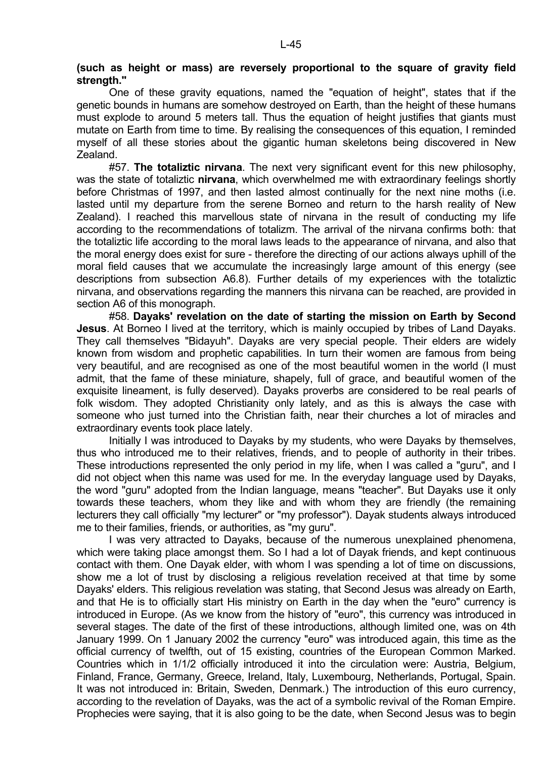## **(such as height or mass) are reversely proportional to the square of gravity field strength."**

 One of these gravity equations, named the "equation of height", states that if the genetic bounds in humans are somehow destroyed on Earth, than the height of these humans must explode to around 5 meters tall. Thus the equation of height justifies that giants must mutate on Earth from time to time. By realising the consequences of this equation, I reminded myself of all these stories about the gigantic human skeletons being discovered in New Zealand.

 #57. **The totaliztic nirvana**. The next very significant event for this new philosophy, was the state of totaliztic **nirvana**, which overwhelmed me with extraordinary feelings shortly before Christmas of 1997, and then lasted almost continually for the next nine moths (i.e. lasted until my departure from the serene Borneo and return to the harsh reality of New Zealand). I reached this marvellous state of nirvana in the result of conducting my life according to the recommendations of totalizm. The arrival of the nirvana confirms both: that the totaliztic life according to the moral laws leads to the appearance of nirvana, and also that the moral energy does exist for sure - therefore the directing of our actions always uphill of the moral field causes that we accumulate the increasingly large amount of this energy (see descriptions from subsection A6.8). Further details of my experiences with the totaliztic nirvana, and observations regarding the manners this nirvana can be reached, are provided in section A6 of this monograph.

 #58. **Dayaks' revelation on the date of starting the mission on Earth by Second Jesus**. At Borneo I lived at the territory, which is mainly occupied by tribes of Land Dayaks. They call themselves "Bidayuh". Dayaks are very special people. Their elders are widely known from wisdom and prophetic capabilities. In turn their women are famous from being very beautiful, and are recognised as one of the most beautiful women in the world (I must admit, that the fame of these miniature, shapely, full of grace, and beautiful women of the exquisite lineament, is fully deserved). Dayaks proverbs are considered to be real pearls of folk wisdom. They adopted Christianity only lately, and as this is always the case with someone who just turned into the Christian faith, near their churches a lot of miracles and extraordinary events took place lately.

 Initially I was introduced to Dayaks by my students, who were Dayaks by themselves, thus who introduced me to their relatives, friends, and to people of authority in their tribes. These introductions represented the only period in my life, when I was called a "guru", and I did not object when this name was used for me. In the everyday language used by Dayaks, the word "guru" adopted from the Indian language, means "teacher". But Dayaks use it only towards these teachers, whom they like and with whom they are friendly (the remaining lecturers they call officially "my lecturer" or "my professor"). Dayak students always introduced me to their families, friends, or authorities, as "my guru".

 I was very attracted to Dayaks, because of the numerous unexplained phenomena, which were taking place amongst them. So I had a lot of Dayak friends, and kept continuous contact with them. One Dayak elder, with whom I was spending a lot of time on discussions, show me a lot of trust by disclosing a religious revelation received at that time by some Dayaks' elders. This religious revelation was stating, that Second Jesus was already on Earth, and that He is to officially start His ministry on Earth in the day when the "euro" currency is introduced in Europe. (As we know from the history of "euro", this currency was introduced in several stages. The date of the first of these introductions, although limited one, was on 4th January 1999. On 1 January 2002 the currency "euro" was introduced again, this time as the official currency of twelfth, out of 15 existing, countries of the European Common Marked. Countries which in 1/1/2 officially introduced it into the circulation were: Austria, Belgium, Finland, France, Germany, Greece, Ireland, Italy, Luxembourg, Netherlands, Portugal, Spain. It was not introduced in: Britain, Sweden, Denmark.) The introduction of this euro currency, according to the revelation of Dayaks, was the act of a symbolic revival of the Roman Empire. Prophecies were saying, that it is also going to be the date, when Second Jesus was to begin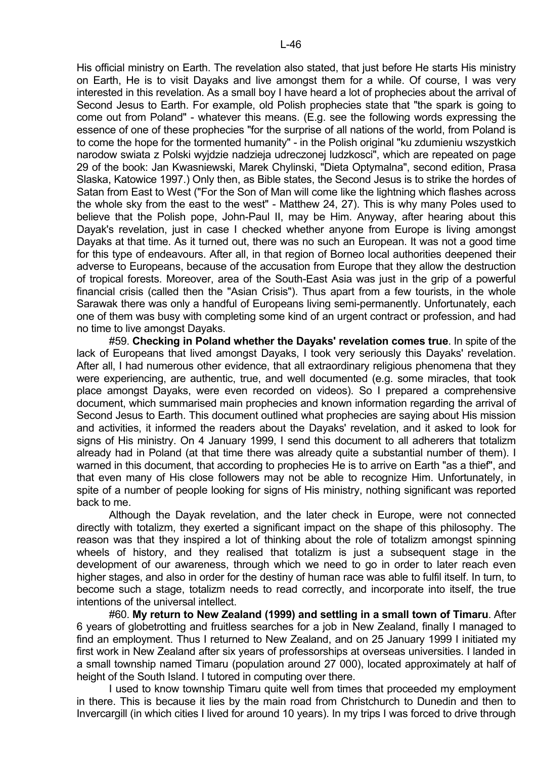His official ministry on Earth. The revelation also stated, that just before He starts His ministry on Earth, He is to visit Dayaks and live amongst them for a while. Of course, I was very interested in this revelation. As a small boy I have heard a lot of prophecies about the arrival of Second Jesus to Earth. For example, old Polish prophecies state that "the spark is going to come out from Poland" - whatever this means. (E.g. see the following words expressing the essence of one of these prophecies "for the surprise of all nations of the world, from Poland is to come the hope for the tormented humanity" - in the Polish original "ku zdumieniu wszystkich narodow swiata z Polski wyjdzie nadzieja udreczonej ludzkosci", which are repeated on page 29 of the book: Jan Kwasniewski, Marek Chylinski, "Dieta Optymalna", second edition, Prasa Slaska, Katowice 1997.) Only then, as Bible states, the Second Jesus is to strike the hordes of Satan from East to West ("For the Son of Man will come like the lightning which flashes across the whole sky from the east to the west" - Matthew 24, 27). This is why many Poles used to believe that the Polish pope, John-Paul II, may be Him. Anyway, after hearing about this Dayak's revelation, just in case I checked whether anyone from Europe is living amongst Dayaks at that time. As it turned out, there was no such an European. It was not a good time for this type of endeavours. After all, in that region of Borneo local authorities deepened their adverse to Europeans, because of the accusation from Europe that they allow the destruction of tropical forests. Moreover, area of the South-East Asia was just in the grip of a powerful financial crisis (called then the "Asian Crisis"). Thus apart from a few tourists, in the whole Sarawak there was only a handful of Europeans living semi-permanently. Unfortunately, each one of them was busy with completing some kind of an urgent contract or profession, and had

no time to live amongst Dayaks. #59. **Checking in Poland whether the Dayaks' revelation comes true**. In spite of the lack of Europeans that lived amongst Dayaks, I took very seriously this Dayaks' revelation. After all, I had numerous other evidence, that all extraordinary religious phenomena that they were experiencing, are authentic, true, and well documented (e.g. some miracles, that took place amongst Dayaks, were even recorded on videos). So I prepared a comprehensive document, which summarised main prophecies and known information regarding the arrival of Second Jesus to Earth. This document outlined what prophecies are saying about His mission and activities, it informed the readers about the Dayaks' revelation, and it asked to look for signs of His ministry. On 4 January 1999, I send this document to all adherers that totalizm already had in Poland (at that time there was already quite a substantial number of them). I warned in this document, that according to prophecies He is to arrive on Earth "as a thief", and that even many of His close followers may not be able to recognize Him. Unfortunately, in spite of a number of people looking for signs of His ministry, nothing significant was reported back to me.

 Although the Dayak revelation, and the later check in Europe, were not connected directly with totalizm, they exerted a significant impact on the shape of this philosophy. The reason was that they inspired a lot of thinking about the role of totalizm amongst spinning wheels of history, and they realised that totalizm is just a subsequent stage in the development of our awareness, through which we need to go in order to later reach even higher stages, and also in order for the destiny of human race was able to fulfil itself. In turn, to become such a stage, totalizm needs to read correctly, and incorporate into itself, the true intentions of the universal intellect.

 #60. **My return to New Zealand (1999) and settling in a small town of Timaru**. After 6 years of globetrotting and fruitless searches for a job in New Zealand, finally I managed to find an employment. Thus I returned to New Zealand, and on 25 January 1999 I initiated my first work in New Zealand after six years of professorships at overseas universities. I landed in a small township named Timaru (population around 27 000), located approximately at half of height of the South Island. I tutored in computing over there.

 I used to know township Timaru quite well from times that proceeded my employment in there. This is because it lies by the main road from Christchurch to Dunedin and then to Invercargill (in which cities I lived for around 10 years). In my trips I was forced to drive through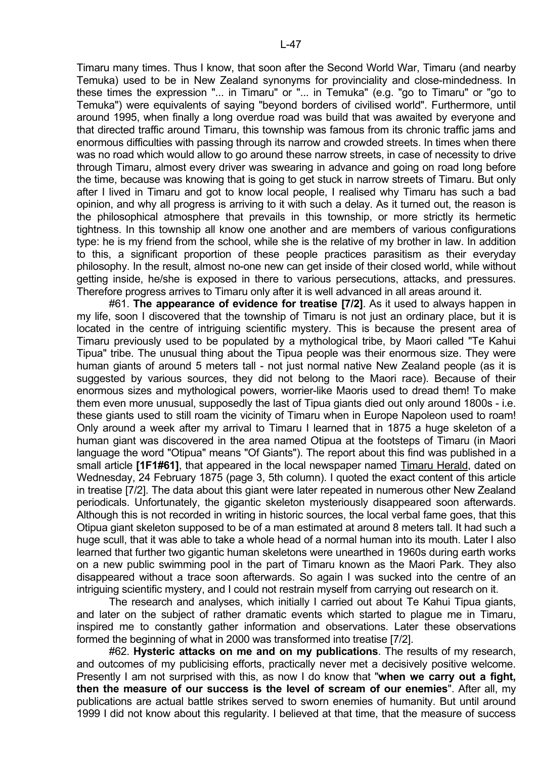Timaru many times. Thus I know, that soon after the Second World War, Timaru (and nearby Temuka) used to be in New Zealand synonyms for provinciality and close-mindedness. In these times the expression "... in Timaru" or "... in Temuka" (e.g. "go to Timaru" or "go to Temuka") were equivalents of saying "beyond borders of civilised world". Furthermore, until around 1995, when finally a long overdue road was build that was awaited by everyone and that directed traffic around Timaru, this township was famous from its chronic traffic jams and enormous difficulties with passing through its narrow and crowded streets. In times when there was no road which would allow to go around these narrow streets, in case of necessity to drive through Timaru, almost every driver was swearing in advance and going on road long before the time, because was knowing that is going to get stuck in narrow streets of Timaru. But only after I lived in Timaru and got to know local people, I realised why Timaru has such a bad opinion, and why all progress is arriving to it with such a delay. As it turned out, the reason is the philosophical atmosphere that prevails in this township, or more strictly its hermetic tightness. In this township all know one another and are members of various configurations type: he is my friend from the school, while she is the relative of my brother in law. In addition to this, a significant proportion of these people practices parasitism as their everyday philosophy. In the result, almost no-one new can get inside of their closed world, while without getting inside, he/she is exposed in there to various persecutions, attacks, and pressures. Therefore progress arrives to Timaru only after it is well advanced in all areas around it.

 #61. **The appearance of evidence for treatise [7/2]**. As it used to always happen in my life, soon I discovered that the township of Timaru is not just an ordinary place, but it is located in the centre of intriguing scientific mystery. This is because the present area of Timaru previously used to be populated by a mythological tribe, by Maori called "Te Kahui Tipua" tribe. The unusual thing about the Tipua people was their enormous size. They were human giants of around 5 meters tall - not just normal native New Zealand people (as it is suggested by various sources, they did not belong to the Maori race). Because of their enormous sizes and mythological powers, worrier-like Maoris used to dread them! To make them even more unusual, supposedly the last of Tipua giants died out only around 1800s - i.e. these giants used to still roam the vicinity of Timaru when in Europe Napoleon used to roam! Only around a week after my arrival to Timaru I learned that in 1875 a huge skeleton of a human giant was discovered in the area named Otipua at the footsteps of Timaru (in Maori language the word "Otipua" means "Of Giants"). The report about this find was published in a small article [1F1#61], that appeared in the local newspaper named Timaru Herald, dated on Wednesday, 24 February 1875 (page 3, 5th column). I quoted the exact content of this article in treatise [7/2]. The data about this giant were later repeated in numerous other New Zealand periodicals. Unfortunately, the gigantic skeleton mysteriously disappeared soon afterwards. Although this is not recorded in writing in historic sources, the local verbal fame goes, that this Otipua giant skeleton supposed to be of a man estimated at around 8 meters tall. It had such a huge scull, that it was able to take a whole head of a normal human into its mouth. Later I also learned that further two gigantic human skeletons were unearthed in 1960s during earth works on a new public swimming pool in the part of Timaru known as the Maori Park. They also disappeared without a trace soon afterwards. So again I was sucked into the centre of an intriguing scientific mystery, and I could not restrain myself from carrying out research on it.

 The research and analyses, which initially I carried out about Te Kahui Tipua giants, and later on the subject of rather dramatic events which started to plague me in Timaru, inspired me to constantly gather information and observations. Later these observations formed the beginning of what in 2000 was transformed into treatise [7/2].

 #62. **Hysteric attacks on me and on my publications**. The results of my research, and outcomes of my publicising efforts, practically never met a decisively positive welcome. Presently I am not surprised with this, as now I do know that "**when we carry out a fight, then the measure of our success is the level of scream of our enemies**". After all, my publications are actual battle strikes served to sworn enemies of humanity. But until around 1999 I did not know about this regularity. I believed at that time, that the measure of success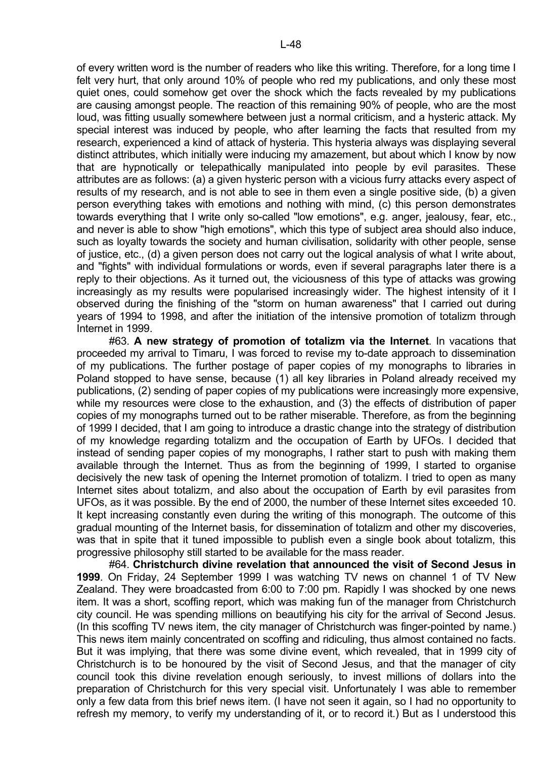of every written word is the number of readers who like this writing. Therefore, for a long time I felt very hurt, that only around 10% of people who red my publications, and only these most quiet ones, could somehow get over the shock which the facts revealed by my publications are causing amongst people. The reaction of this remaining 90% of people, who are the most loud, was fitting usually somewhere between just a normal criticism, and a hysteric attack. My special interest was induced by people, who after learning the facts that resulted from my research, experienced a kind of attack of hysteria. This hysteria always was displaying several distinct attributes, which initially were inducing my amazement, but about which I know by now that are hypnotically or telepathically manipulated into people by evil parasites. These attributes are as follows: (a) a given hysteric person with a vicious furry attacks every aspect of results of my research, and is not able to see in them even a single positive side, (b) a given person everything takes with emotions and nothing with mind, (c) this person demonstrates towards everything that I write only so-called "low emotions", e.g. anger, jealousy, fear, etc., and never is able to show "high emotions", which this type of subject area should also induce, such as loyalty towards the society and human civilisation, solidarity with other people, sense of justice, etc., (d) a given person does not carry out the logical analysis of what I write about, and "fights" with individual formulations or words, even if several paragraphs later there is a reply to their objections. As it turned out, the viciousness of this type of attacks was growing increasingly as my results were popularised increasingly wider. The highest intensity of it I observed during the finishing of the "storm on human awareness" that I carried out during years of 1994 to 1998, and after the initiation of the intensive promotion of totalizm through Internet in 1999.

 #63. **A new strategy of promotion of totalizm via the Internet**. In vacations that proceeded my arrival to Timaru, I was forced to revise my to-date approach to dissemination of my publications. The further postage of paper copies of my monographs to libraries in Poland stopped to have sense, because (1) all key libraries in Poland already received my publications, (2) sending of paper copies of my publications were increasingly more expensive, while my resources were close to the exhaustion, and (3) the effects of distribution of paper copies of my monographs turned out to be rather miserable. Therefore, as from the beginning of 1999 I decided, that I am going to introduce a drastic change into the strategy of distribution of my knowledge regarding totalizm and the occupation of Earth by UFOs. I decided that instead of sending paper copies of my monographs, I rather start to push with making them available through the Internet. Thus as from the beginning of 1999, I started to organise decisively the new task of opening the Internet promotion of totalizm. I tried to open as many Internet sites about totalizm, and also about the occupation of Earth by evil parasites from UFOs, as it was possible. By the end of 2000, the number of these Internet sites exceeded 10. It kept increasing constantly even during the writing of this monograph. The outcome of this gradual mounting of the Internet basis, for dissemination of totalizm and other my discoveries, was that in spite that it tuned impossible to publish even a single book about totalizm, this progressive philosophy still started to be available for the mass reader.

 #64. **Christchurch divine revelation that announced the visit of Second Jesus in 1999**. On Friday, 24 September 1999 I was watching TV news on channel 1 of TV New Zealand. They were broadcasted from 6:00 to 7:00 pm. Rapidly I was shocked by one news item. It was a short, scoffing report, which was making fun of the manager from Christchurch city council. He was spending millions on beautifying his city for the arrival of Second Jesus. (In this scoffing TV news item, the city manager of Christchurch was finger-pointed by name.) This news item mainly concentrated on scoffing and ridiculing, thus almost contained no facts. But it was implying, that there was some divine event, which revealed, that in 1999 city of Christchurch is to be honoured by the visit of Second Jesus, and that the manager of city council took this divine revelation enough seriously, to invest millions of dollars into the preparation of Christchurch for this very special visit. Unfortunately I was able to remember only a few data from this brief news item. (I have not seen it again, so I had no opportunity to refresh my memory, to verify my understanding of it, or to record it.) But as I understood this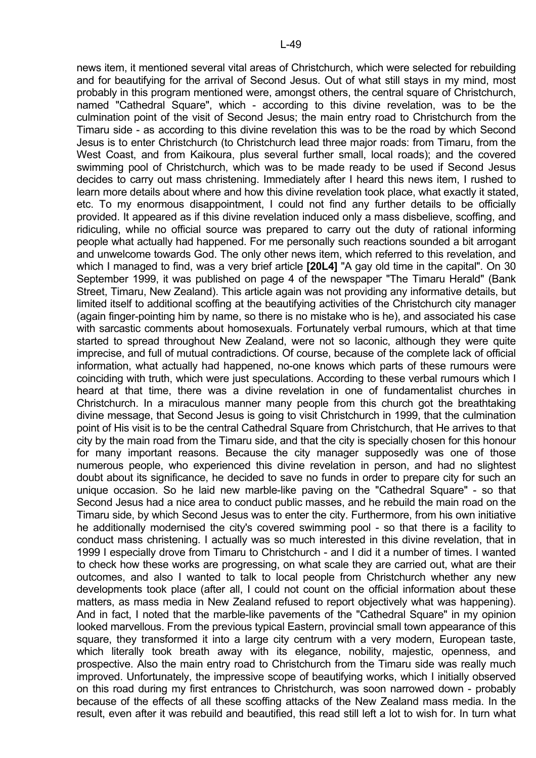news item, it mentioned several vital areas of Christchurch, which were selected for rebuilding and for beautifying for the arrival of Second Jesus. Out of what still stays in my mind, most probably in this program mentioned were, amongst others, the central square of Christchurch, named "Cathedral Square", which - according to this divine revelation, was to be the culmination point of the visit of Second Jesus; the main entry road to Christchurch from the Timaru side - as according to this divine revelation this was to be the road by which Second Jesus is to enter Christchurch (to Christchurch lead three major roads: from Timaru, from the West Coast, and from Kaikoura, plus several further small, local roads); and the covered swimming pool of Christchurch, which was to be made ready to be used if Second Jesus decides to carry out mass christening. Immediately after I heard this news item, I rushed to learn more details about where and how this divine revelation took place, what exactly it stated, etc. To my enormous disappointment, I could not find any further details to be officially provided. It appeared as if this divine revelation induced only a mass disbelieve, scoffing, and ridiculing, while no official source was prepared to carry out the duty of rational informing people what actually had happened. For me personally such reactions sounded a bit arrogant and unwelcome towards God. The only other news item, which referred to this revelation, and which I managed to find, was a very brief article **[20L4]** "A gay old time in the capital". On 30 September 1999, it was published on page 4 of the newspaper "The Timaru Herald" (Bank Street, Timaru, New Zealand). This article again was not providing any informative details, but limited itself to additional scoffing at the beautifying activities of the Christchurch city manager (again finger-pointing him by name, so there is no mistake who is he), and associated his case with sarcastic comments about homosexuals. Fortunately verbal rumours, which at that time started to spread throughout New Zealand, were not so laconic, although they were quite imprecise, and full of mutual contradictions. Of course, because of the complete lack of official information, what actually had happened, no-one knows which parts of these rumours were coinciding with truth, which were just speculations. According to these verbal rumours which I heard at that time, there was a divine revelation in one of fundamentalist churches in Christchurch. In a miraculous manner many people from this church got the breathtaking divine message, that Second Jesus is going to visit Christchurch in 1999, that the culmination point of His visit is to be the central Cathedral Square from Christchurch, that He arrives to that city by the main road from the Timaru side, and that the city is specially chosen for this honour for many important reasons. Because the city manager supposedly was one of those numerous people, who experienced this divine revelation in person, and had no slightest doubt about its significance, he decided to save no funds in order to prepare city for such an unique occasion. So he laid new marble-like paving on the "Cathedral Square" - so that Second Jesus had a nice area to conduct public masses, and he rebuild the main road on the Timaru side, by which Second Jesus was to enter the city. Furthermore, from his own initiative he additionally modernised the city's covered swimming pool - so that there is a facility to conduct mass christening. I actually was so much interested in this divine revelation, that in 1999 I especially drove from Timaru to Christchurch - and I did it a number of times. I wanted to check how these works are progressing, on what scale they are carried out, what are their outcomes, and also I wanted to talk to local people from Christchurch whether any new developments took place (after all, I could not count on the official information about these matters, as mass media in New Zealand refused to report objectively what was happening). And in fact, I noted that the marble-like pavements of the "Cathedral Square" in my opinion looked marvellous. From the previous typical Eastern, provincial small town appearance of this square, they transformed it into a large city centrum with a very modern, European taste, which literally took breath away with its elegance, nobility, majestic, openness, and prospective. Also the main entry road to Christchurch from the Timaru side was really much improved. Unfortunately, the impressive scope of beautifying works, which I initially observed on this road during my first entrances to Christchurch, was soon narrowed down - probably because of the effects of all these scoffing attacks of the New Zealand mass media. In the result, even after it was rebuild and beautified, this read still left a lot to wish for. In turn what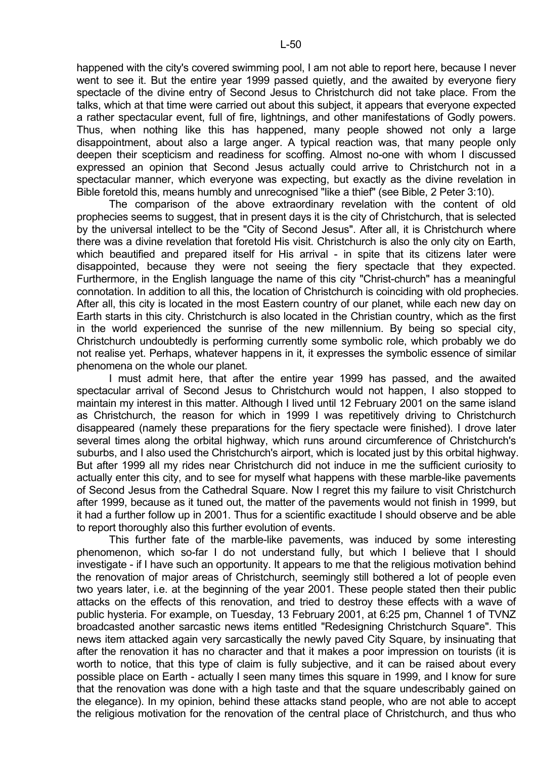happened with the city's covered swimming pool, I am not able to report here, because I never went to see it. But the entire year 1999 passed quietly, and the awaited by everyone fiery spectacle of the divine entry of Second Jesus to Christchurch did not take place. From the talks, which at that time were carried out about this subject, it appears that everyone expected a rather spectacular event, full of fire, lightnings, and other manifestations of Godly powers. Thus, when nothing like this has happened, many people showed not only a large disappointment, about also a large anger. A typical reaction was, that many people only deepen their scepticism and readiness for scoffing. Almost no-one with whom I discussed expressed an opinion that Second Jesus actually could arrive to Christchurch not in a spectacular manner, which everyone was expecting, but exactly as the divine revelation in Bible foretold this, means humbly and unrecognised "like a thief" (see Bible, 2 Peter 3:10).

 The comparison of the above extraordinary revelation with the content of old prophecies seems to suggest, that in present days it is the city of Christchurch, that is selected by the universal intellect to be the "City of Second Jesus". After all, it is Christchurch where there was a divine revelation that foretold His visit. Christchurch is also the only city on Earth, which beautified and prepared itself for His arrival - in spite that its citizens later were disappointed, because they were not seeing the fiery spectacle that they expected. Furthermore, in the English language the name of this city "Christ-church" has a meaningful connotation. In addition to all this, the location of Christchurch is coinciding with old prophecies. After all, this city is located in the most Eastern country of our planet, while each new day on Earth starts in this city. Christchurch is also located in the Christian country, which as the first in the world experienced the sunrise of the new millennium. By being so special city, Christchurch undoubtedly is performing currently some symbolic role, which probably we do not realise yet. Perhaps, whatever happens in it, it expresses the symbolic essence of similar phenomena on the whole our planet.

 I must admit here, that after the entire year 1999 has passed, and the awaited spectacular arrival of Second Jesus to Christchurch would not happen, I also stopped to maintain my interest in this matter. Although I lived until 12 February 2001 on the same island as Christchurch, the reason for which in 1999 I was repetitively driving to Christchurch disappeared (namely these preparations for the fiery spectacle were finished). I drove later several times along the orbital highway, which runs around circumference of Christchurch's suburbs, and I also used the Christchurch's airport, which is located just by this orbital highway. But after 1999 all my rides near Christchurch did not induce in me the sufficient curiosity to actually enter this city, and to see for myself what happens with these marble-like pavements of Second Jesus from the Cathedral Square. Now I regret this my failure to visit Christchurch after 1999, because as it tuned out, the matter of the pavements would not finish in 1999, but it had a further follow up in 2001. Thus for a scientific exactitude I should observe and be able to report thoroughly also this further evolution of events.

 This further fate of the marble-like pavements, was induced by some interesting phenomenon, which so-far I do not understand fully, but which I believe that I should investigate - if I have such an opportunity. It appears to me that the religious motivation behind the renovation of major areas of Christchurch, seemingly still bothered a lot of people even two years later, i.e. at the beginning of the year 2001. These people stated then their public attacks on the effects of this renovation, and tried to destroy these effects with a wave of public hysteria. For example, on Tuesday, 13 February 2001, at 6:25 pm, Channel 1 of TVNZ broadcasted another sarcastic news items entitled "Redesigning Christchurch Square". This news item attacked again very sarcastically the newly paved City Square, by insinuating that after the renovation it has no character and that it makes a poor impression on tourists (it is worth to notice, that this type of claim is fully subjective, and it can be raised about every possible place on Earth - actually I seen many times this square in 1999, and I know for sure that the renovation was done with a high taste and that the square undescribably gained on the elegance). In my opinion, behind these attacks stand people, who are not able to accept the religious motivation for the renovation of the central place of Christchurch, and thus who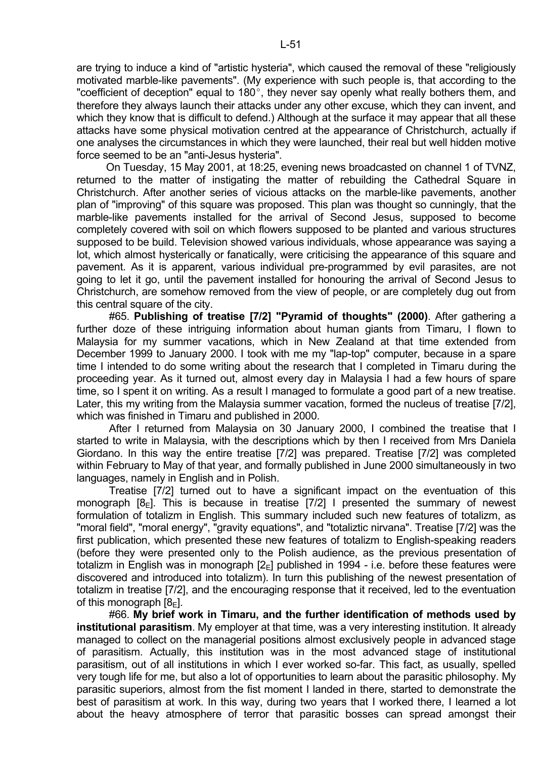are trying to induce a kind of "artistic hysteria", which caused the removal of these "religiously motivated marble-like pavements". (My experience with such people is, that according to the "coefficient of deception" equal to 180 $^{\circ}$ , they never say openly what really bothers them, and therefore they always launch their attacks under any other excuse, which they can invent, and which they know that is difficult to defend.) Although at the surface it may appear that all these attacks have some physical motivation centred at the appearance of Christchurch, actually if one analyses the circumstances in which they were launched, their real but well hidden motive force seemed to be an "anti-Jesus hysteria".

 On Tuesday, 15 May 2001, at 18:25, evening news broadcasted on channel 1 of TVNZ, returned to the matter of instigating the matter of rebuilding the Cathedral Square in Christchurch. After another series of vicious attacks on the marble-like pavements, another plan of "improving" of this square was proposed. This plan was thought so cunningly, that the marble-like pavements installed for the arrival of Second Jesus, supposed to become completely covered with soil on which flowers supposed to be planted and various structures supposed to be build. Television showed various individuals, whose appearance was saying a lot, which almost hysterically or fanatically, were criticising the appearance of this square and pavement. As it is apparent, various individual pre-programmed by evil parasites, are not going to let it go, until the pavement installed for honouring the arrival of Second Jesus to Christchurch, are somehow removed from the view of people, or are completely dug out from this central square of the city.

 #65. **Publishing of treatise [7/2] "Pyramid of thoughts" (2000)**. After gathering a further doze of these intriguing information about human giants from Timaru, I flown to Malaysia for my summer vacations, which in New Zealand at that time extended from December 1999 to January 2000. I took with me my "lap-top" computer, because in a spare time I intended to do some writing about the research that I completed in Timaru during the proceeding year. As it turned out, almost every day in Malaysia I had a few hours of spare time, so I spent it on writing. As a result I managed to formulate a good part of a new treatise. Later, this my writing from the Malaysia summer vacation, formed the nucleus of treatise [7/2], which was finished in Timaru and published in 2000.

 After I returned from Malaysia on 30 January 2000, I combined the treatise that I started to write in Malaysia, with the descriptions which by then I received from Mrs Daniela Giordano. In this way the entire treatise [7/2] was prepared. Treatise [7/2] was completed within February to May of that year, and formally published in June 2000 simultaneously in two languages, namely in English and in Polish.

 Treatise [7/2] turned out to have a significant impact on the eventuation of this monograph  $[8_F]$ . This is because in treatise  $[7/2]$  I presented the summary of newest formulation of totalizm in English. This summary included such new features of totalizm, as "moral field", "moral energy", "gravity equations", and "totaliztic nirvana". Treatise [7/2] was the first publication, which presented these new features of totalizm to English-speaking readers (before they were presented only to the Polish audience, as the previous presentation of totalizm in English was in monograph  $[2_F]$  published in 1994 - i.e. before these features were discovered and introduced into totalizm). In turn this publishing of the newest presentation of totalizm in treatise [7/2], and the encouraging response that it received, led to the eventuation of this monograph  $[8_F]$ .

 #66. **My brief work in Timaru, and the further identification of methods used by institutional parasitism**. My employer at that time, was a very interesting institution. It already managed to collect on the managerial positions almost exclusively people in advanced stage of parasitism. Actually, this institution was in the most advanced stage of institutional parasitism, out of all institutions in which I ever worked so-far. This fact, as usually, spelled very tough life for me, but also a lot of opportunities to learn about the parasitic philosophy. My parasitic superiors, almost from the fist moment I landed in there, started to demonstrate the best of parasitism at work. In this way, during two years that I worked there, I learned a lot about the heavy atmosphere of terror that parasitic bosses can spread amongst their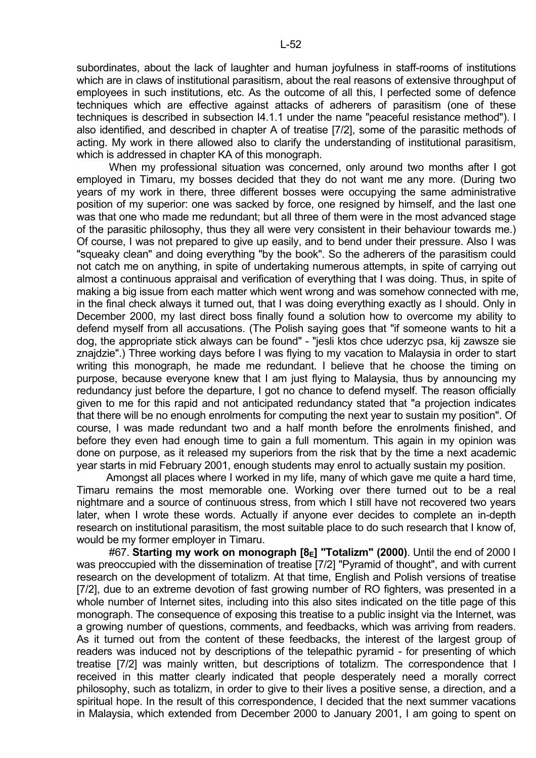subordinates, about the lack of laughter and human joyfulness in staff-rooms of institutions which are in claws of institutional parasitism, about the real reasons of extensive throughput of employees in such institutions, etc. As the outcome of all this, I perfected some of defence techniques which are effective against attacks of adherers of parasitism (one of these techniques is described in subsection I4.1.1 under the name "peaceful resistance method"). I also identified, and described in chapter A of treatise [7/2], some of the parasitic methods of acting. My work in there allowed also to clarify the understanding of institutional parasitism, which is addressed in chapter KA of this monograph.

When my professional situation was concerned, only around two months after I got employed in Timaru, my bosses decided that they do not want me any more. (During two years of my work in there, three different bosses were occupying the same administrative position of my superior: one was sacked by force, one resigned by himself, and the last one was that one who made me redundant; but all three of them were in the most advanced stage of the parasitic philosophy, thus they all were very consistent in their behaviour towards me.) Of course, I was not prepared to give up easily, and to bend under their pressure. Also I was "squeaky clean" and doing everything "by the book". So the adherers of the parasitism could not catch me on anything, in spite of undertaking numerous attempts, in spite of carrying out almost a continuous appraisal and verification of everything that I was doing. Thus, in spite of making a big issue from each matter which went wrong and was somehow connected with me, in the final check always it turned out, that I was doing everything exactly as I should. Only in December 2000, my last direct boss finally found a solution how to overcome my ability to defend myself from all accusations. (The Polish saying goes that "if someone wants to hit a dog, the appropriate stick always can be found" - "jesli ktos chce uderzyc psa, kij zawsze sie znajdzie".) Three working days before I was flying to my vacation to Malaysia in order to start writing this monograph, he made me redundant. I believe that he choose the timing on purpose, because everyone knew that I am just flying to Malaysia, thus by announcing my redundancy just before the departure. I got no chance to defend myself. The reason officially given to me for this rapid and not anticipated redundancy stated that "a projection indicates that there will be no enough enrolments for computing the next year to sustain my position". Of course, I was made redundant two and a half month before the enrolments finished, and before they even had enough time to gain a full momentum. This again in my opinion was done on purpose, as it released my superiors from the risk that by the time a next academic year starts in mid February 2001, enough students may enrol to actually sustain my position.

 Amongst all places where I worked in my life, many of which gave me quite a hard time, Timaru remains the most memorable one. Working over there turned out to be a real nightmare and a source of continuous stress, from which I still have not recovered two years later, when I wrote these words. Actually if anyone ever decides to complete an in-depth research on institutional parasitism, the most suitable place to do such research that I know of, would be my former employer in Timaru.

 #67. **Starting my work on monograph [8E] "Totalizm" (2000)**. Until the end of 2000 I was preoccupied with the dissemination of treatise [7/2] "Pyramid of thought", and with current research on the development of totalizm. At that time, English and Polish versions of treatise [7/2], due to an extreme devotion of fast growing number of RO fighters, was presented in a whole number of Internet sites, including into this also sites indicated on the title page of this monograph. The consequence of exposing this treatise to a public insight via the Internet, was a growing number of questions, comments, and feedbacks, which was arriving from readers. As it turned out from the content of these feedbacks, the interest of the largest group of readers was induced not by descriptions of the telepathic pyramid - for presenting of which treatise [7/2] was mainly written, but descriptions of totalizm. The correspondence that I received in this matter clearly indicated that people desperately need a morally correct philosophy, such as totalizm, in order to give to their lives a positive sense, a direction, and a spiritual hope. In the result of this correspondence, I decided that the next summer vacations in Malaysia, which extended from December 2000 to January 2001, I am going to spent on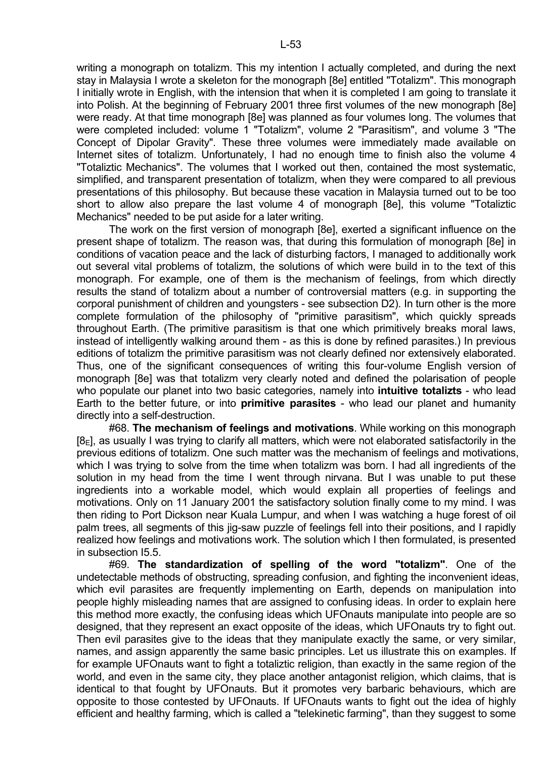writing a monograph on totalizm. This my intention I actually completed, and during the next stay in Malaysia I wrote a skeleton for the monograph [8e] entitled "Totalizm". This monograph I initially wrote in English, with the intension that when it is completed I am going to translate it into Polish. At the beginning of February 2001 three first volumes of the new monograph [8e] were ready. At that time monograph [8e] was planned as four volumes long. The volumes that were completed included: volume 1 "Totalizm", volume 2 "Parasitism", and volume 3 "The Concept of Dipolar Gravity". These three volumes were immediately made available on Internet sites of totalizm. Unfortunately, I had no enough time to finish also the volume 4 "Totaliztic Mechanics". The volumes that I worked out then, contained the most systematic, simplified, and transparent presentation of totalizm, when they were compared to all previous presentations of this philosophy. But because these vacation in Malaysia turned out to be too short to allow also prepare the last volume 4 of monograph [8e], this volume "Totaliztic Mechanics" needed to be put aside for a later writing.

 The work on the first version of monograph [8e], exerted a significant influence on the present shape of totalizm. The reason was, that during this formulation of monograph [8e] in conditions of vacation peace and the lack of disturbing factors, I managed to additionally work out several vital problems of totalizm, the solutions of which were build in to the text of this monograph. For example, one of them is the mechanism of feelings, from which directly results the stand of totalizm about a number of controversial matters (e.g. in supporting the corporal punishment of children and youngsters - see subsection D2). In turn other is the more complete formulation of the philosophy of "primitive parasitism", which quickly spreads throughout Earth. (The primitive parasitism is that one which primitively breaks moral laws, instead of intelligently walking around them - as this is done by refined parasites.) In previous editions of totalizm the primitive parasitism was not clearly defined nor extensively elaborated. Thus, one of the significant consequences of writing this four-volume English version of monograph [8e] was that totalizm very clearly noted and defined the polarisation of people who populate our planet into two basic categories, namely into **intuitive totalizts** - who lead Earth to the better future, or into **primitive parasites** - who lead our planet and humanity directly into a self-destruction.

 #68. **The mechanism of feelings and motivations**. While working on this monograph  $[8_F]$ , as usually I was trying to clarify all matters, which were not elaborated satisfactorily in the previous editions of totalizm. One such matter was the mechanism of feelings and motivations, which I was trying to solve from the time when totalizm was born. I had all ingredients of the solution in my head from the time I went through nirvana. But I was unable to put these ingredients into a workable model, which would explain all properties of feelings and motivations. Only on 11 January 2001 the satisfactory solution finally come to my mind. I was then riding to Port Dickson near Kuala Lumpur, and when I was watching a huge forest of oil palm trees, all segments of this iig-saw puzzle of feelings fell into their positions, and I rapidly realized how feelings and motivations work. The solution which I then formulated, is presented in subsection I5.5.

 #69. **The standardization of spelling of the word "totalizm"**. One of the undetectable methods of obstructing, spreading confusion, and fighting the inconvenient ideas, which evil parasites are frequently implementing on Earth, depends on manipulation into people highly misleading names that are assigned to confusing ideas. In order to explain here this method more exactly, the confusing ideas which UFOnauts manipulate into people are so designed, that they represent an exact opposite of the ideas, which UFOnauts try to fight out. Then evil parasites give to the ideas that they manipulate exactly the same, or very similar, names, and assign apparently the same basic principles. Let us illustrate this on examples. If for example UFOnauts want to fight a totaliztic religion, than exactly in the same region of the world, and even in the same city, they place another antagonist religion, which claims, that is identical to that fought by UFOnauts. But it promotes very barbaric behaviours, which are opposite to those contested by UFOnauts. If UFOnauts wants to fight out the idea of highly efficient and healthy farming, which is called a "telekinetic farming", than they suggest to some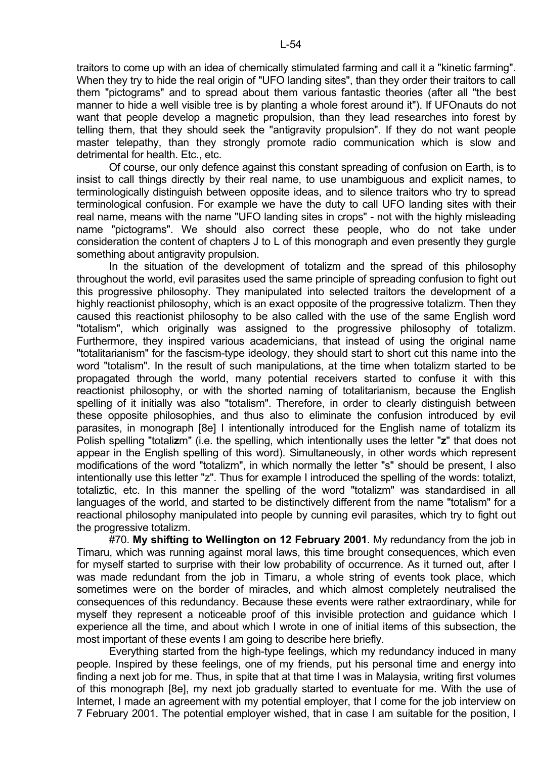traitors to come up with an idea of chemically stimulated farming and call it a "kinetic farming". When they try to hide the real origin of "UFO landing sites", than they order their traitors to call them "pictograms" and to spread about them various fantastic theories (after all "the best manner to hide a well visible tree is by planting a whole forest around it"). If UFOnauts do not want that people develop a magnetic propulsion, than they lead researches into forest by telling them, that they should seek the "antigravity propulsion". If they do not want people master telepathy, than they strongly promote radio communication which is slow and detrimental for health. Etc., etc.

 Of course, our only defence against this constant spreading of confusion on Earth, is to insist to call things directly by their real name, to use unambiguous and explicit names, to terminologically distinguish between opposite ideas, and to silence traitors who try to spread terminological confusion. For example we have the duty to call UFO landing sites with their real name, means with the name "UFO landing sites in crops" - not with the highly misleading name "pictograms". We should also correct these people, who do not take under consideration the content of chapters J to L of this monograph and even presently they gurgle something about antigravity propulsion.

 In the situation of the development of totalizm and the spread of this philosophy throughout the world, evil parasites used the same principle of spreading confusion to fight out this progressive philosophy. They manipulated into selected traitors the development of a highly reactionist philosophy, which is an exact opposite of the progressive totalizm. Then they caused this reactionist philosophy to be also called with the use of the same English word "totalism", which originally was assigned to the progressive philosophy of totalizm. Furthermore, they inspired various academicians, that instead of using the original name "totalitarianism" for the fascism-type ideology, they should start to short cut this name into the word "totalism". In the result of such manipulations, at the time when totalizm started to be propagated through the world, many potential receivers started to confuse it with this reactionist philosophy, or with the shorted naming of totalitarianism, because the English spelling of it initially was also "totalism". Therefore, in order to clearly distinguish between these opposite philosophies, and thus also to eliminate the confusion introduced by evil parasites, in monograph [8e] I intentionally introduced for the English name of totalizm its Polish spelling "totali**z**m" (i.e. the spelling, which intentionally uses the letter "**z**" that does not appear in the English spelling of this word). Simultaneously, in other words which represent modifications of the word "totalizm", in which normally the letter "s" should be present, I also intentionally use this letter "z". Thus for example I introduced the spelling of the words: totalizt, totaliztic, etc. In this manner the spelling of the word "totalizm" was standardised in all languages of the world, and started to be distinctively different from the name "totalism" for a reactional philosophy manipulated into people by cunning evil parasites, which try to fight out the progressive totalizm.

 #70. **My shifting to Wellington on 12 February 2001**. My redundancy from the job in Timaru, which was running against moral laws, this time brought consequences, which even for myself started to surprise with their low probability of occurrence. As it turned out, after I was made redundant from the job in Timaru, a whole string of events took place, which sometimes were on the border of miracles, and which almost completely neutralised the consequences of this redundancy. Because these events were rather extraordinary, while for myself they represent a noticeable proof of this invisible protection and guidance which I experience all the time, and about which I wrote in one of initial items of this subsection, the most important of these events I am going to describe here briefly.

 Everything started from the high-type feelings, which my redundancy induced in many people. Inspired by these feelings, one of my friends, put his personal time and energy into finding a next job for me. Thus, in spite that at that time I was in Malaysia, writing first volumes of this monograph [8e], my next job gradually started to eventuate for me. With the use of Internet, I made an agreement with my potential employer, that I come for the job interview on 7 February 2001. The potential employer wished, that in case I am suitable for the position, I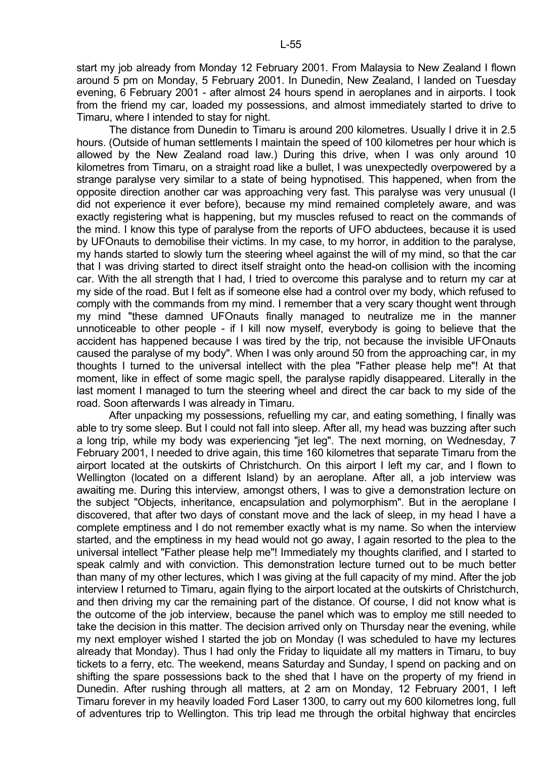start my job already from Monday 12 February 2001. From Malaysia to New Zealand I flown around 5 pm on Monday, 5 February 2001. In Dunedin, New Zealand, I landed on Tuesday evening, 6 February 2001 - after almost 24 hours spend in aeroplanes and in airports. I took from the friend my car, loaded my possessions, and almost immediately started to drive to Timaru, where I intended to stay for night.

 The distance from Dunedin to Timaru is around 200 kilometres. Usually I drive it in 2.5 hours. (Outside of human settlements I maintain the speed of 100 kilometres per hour which is allowed by the New Zealand road law.) During this drive, when I was only around 10 kilometres from Timaru, on a straight road like a bullet, I was unexpectedly overpowered by a strange paralyse very similar to a state of being hypnotised. This happened, when from the opposite direction another car was approaching very fast. This paralyse was very unusual (I did not experience it ever before), because my mind remained completely aware, and was exactly registering what is happening, but my muscles refused to react on the commands of the mind. I know this type of paralyse from the reports of UFO abductees, because it is used by UFOnauts to demobilise their victims. In my case, to my horror, in addition to the paralyse, my hands started to slowly turn the steering wheel against the will of my mind, so that the car that I was driving started to direct itself straight onto the head-on collision with the incoming car. With the all strength that I had, I tried to overcome this paralyse and to return my car at my side of the road. But I felt as if someone else had a control over my body, which refused to comply with the commands from my mind. I remember that a very scary thought went through my mind "these damned UFOnauts finally managed to neutralize me in the manner unnoticeable to other people - if I kill now myself, everybody is going to believe that the accident has happened because I was tired by the trip, not because the invisible UFOnauts caused the paralyse of my body". When I was only around 50 from the approaching car, in my thoughts I turned to the universal intellect with the plea "Father please help me"! At that moment, like in effect of some magic spell, the paralyse rapidly disappeared. Literally in the last moment I managed to turn the steering wheel and direct the car back to my side of the road. Soon afterwards I was already in Timaru.

 After unpacking my possessions, refuelling my car, and eating something, I finally was able to try some sleep. But I could not fall into sleep. After all, my head was buzzing after such a long trip, while my body was experiencing "jet leg". The next morning, on Wednesday, 7 February 2001, I needed to drive again, this time 160 kilometres that separate Timaru from the airport located at the outskirts of Christchurch. On this airport I left my car, and I flown to Wellington (located on a different Island) by an aeroplane. After all, a job interview was awaiting me. During this interview, amongst others, I was to give a demonstration lecture on the subject "Objects, inheritance, encapsulation and polymorphism". But in the aeroplane I discovered, that after two days of constant move and the lack of sleep, in my head I have a complete emptiness and I do not remember exactly what is my name. So when the interview started, and the emptiness in my head would not go away, I again resorted to the plea to the universal intellect "Father please help me"! Immediately my thoughts clarified, and I started to speak calmly and with conviction. This demonstration lecture turned out to be much better than many of my other lectures, which I was giving at the full capacity of my mind. After the job interview I returned to Timaru, again flying to the airport located at the outskirts of Christchurch, and then driving my car the remaining part of the distance. Of course, I did not know what is the outcome of the job interview, because the panel which was to employ me still needed to take the decision in this matter. The decision arrived only on Thursday near the evening, while my next employer wished I started the job on Monday (I was scheduled to have my lectures already that Monday). Thus I had only the Friday to liquidate all my matters in Timaru, to buy tickets to a ferry, etc. The weekend, means Saturday and Sunday, I spend on packing and on shifting the spare possessions back to the shed that I have on the property of my friend in Dunedin. After rushing through all matters, at 2 am on Monday, 12 February 2001, I left Timaru forever in my heavily loaded Ford Laser 1300, to carry out my 600 kilometres long, full of adventures trip to Wellington. This trip lead me through the orbital highway that encircles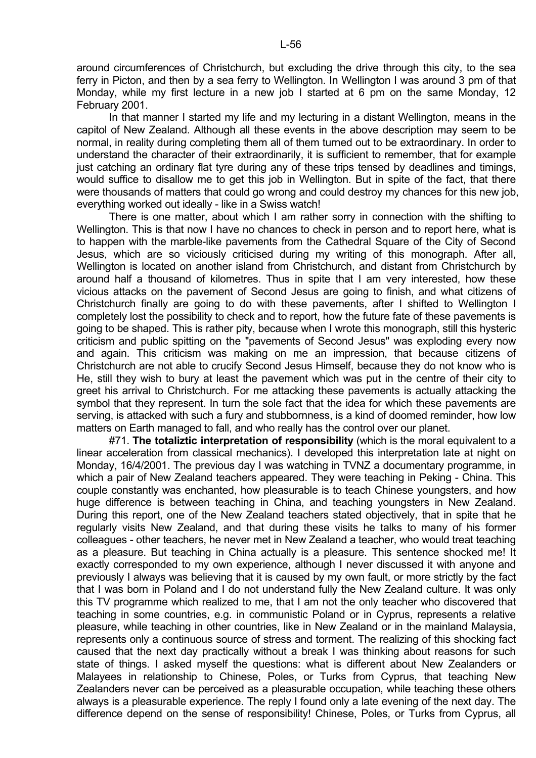around circumferences of Christchurch, but excluding the drive through this city, to the sea ferry in Picton, and then by a sea ferry to Wellington. In Wellington I was around 3 pm of that Monday, while my first lecture in a new job I started at 6 pm on the same Monday, 12 February 2001.

In that manner I started my life and my lecturing in a distant Wellington, means in the capitol of New Zealand. Although all these events in the above description may seem to be normal, in reality during completing them all of them turned out to be extraordinary. In order to understand the character of their extraordinarily, it is sufficient to remember, that for example just catching an ordinary flat tyre during any of these trips tensed by deadlines and timings, would suffice to disallow me to get this job in Wellington. But in spite of the fact, that there were thousands of matters that could go wrong and could destroy my chances for this new job, everything worked out ideally - like in a Swiss watch!

 There is one matter, about which I am rather sorry in connection with the shifting to Wellington. This is that now I have no chances to check in person and to report here, what is to happen with the marble-like pavements from the Cathedral Square of the City of Second Jesus, which are so viciously criticised during my writing of this monograph. After all, Wellington is located on another island from Christchurch, and distant from Christchurch by around half a thousand of kilometres. Thus in spite that I am very interested, how these vicious attacks on the pavement of Second Jesus are going to finish, and what citizens of Christchurch finally are going to do with these pavements, after I shifted to Wellington I completely lost the possibility to check and to report, how the future fate of these pavements is going to be shaped. This is rather pity, because when I wrote this monograph, still this hysteric criticism and public spitting on the "pavements of Second Jesus" was exploding every now and again. This criticism was making on me an impression, that because citizens of Christchurch are not able to crucify Second Jesus Himself, because they do not know who is He, still they wish to bury at least the pavement which was put in the centre of their city to greet his arrival to Christchurch. For me attacking these pavements is actually attacking the symbol that they represent. In turn the sole fact that the idea for which these pavements are serving, is attacked with such a fury and stubbornness, is a kind of doomed reminder, how low matters on Earth managed to fall, and who really has the control over our planet.

 #71. **The totaliztic interpretation of responsibility** (which is the moral equivalent to a linear acceleration from classical mechanics). I developed this interpretation late at night on Monday, 16/4/2001. The previous day I was watching in TVNZ a documentary programme, in which a pair of New Zealand teachers appeared. They were teaching in Peking - China. This couple constantly was enchanted, how pleasurable is to teach Chinese youngsters, and how huge difference is between teaching in China, and teaching youngsters in New Zealand. During this report, one of the New Zealand teachers stated objectively, that in spite that he regularly visits New Zealand, and that during these visits he talks to many of his former colleagues - other teachers, he never met in New Zealand a teacher, who would treat teaching as a pleasure. But teaching in China actually is a pleasure. This sentence shocked me! It exactly corresponded to my own experience, although I never discussed it with anyone and previously I always was believing that it is caused by my own fault, or more strictly by the fact that I was born in Poland and I do not understand fully the New Zealand culture. It was only this TV programme which realized to me, that I am not the only teacher who discovered that teaching in some countries, e.g. in communistic Poland or in Cyprus, represents a relative pleasure, while teaching in other countries, like in New Zealand or in the mainland Malaysia, represents only a continuous source of stress and torment. The realizing of this shocking fact caused that the next day practically without a break I was thinking about reasons for such state of things. I asked myself the questions: what is different about New Zealanders or Malayees in relationship to Chinese, Poles, or Turks from Cyprus, that teaching New Zealanders never can be perceived as a pleasurable occupation, while teaching these others always is a pleasurable experience. The reply I found only a late evening of the next day. The difference depend on the sense of responsibility! Chinese, Poles, or Turks from Cyprus, all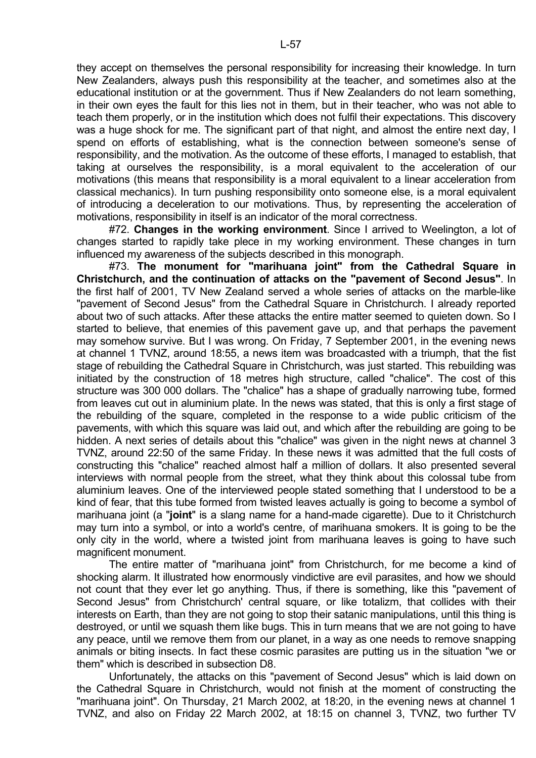they accept on themselves the personal responsibility for increasing their knowledge. In turn New Zealanders, always push this responsibility at the teacher, and sometimes also at the educational institution or at the government. Thus if New Zealanders do not learn something, in their own eyes the fault for this lies not in them, but in their teacher, who was not able to teach them properly, or in the institution which does not fulfil their expectations. This discovery was a huge shock for me. The significant part of that night, and almost the entire next day, I spend on efforts of establishing, what is the connection between someone's sense of responsibility, and the motivation. As the outcome of these efforts, I managed to establish, that taking at ourselves the responsibility, is a moral equivalent to the acceleration of our motivations (this means that responsibility is a moral equivalent to a linear acceleration from classical mechanics). In turn pushing responsibility onto someone else, is a moral equivalent of introducing a deceleration to our motivations. Thus, by representing the acceleration of motivations, responsibility in itself is an indicator of the moral correctness.

 #72. **Changes in the working environment**. Since I arrived to Weelington, a lot of changes started to rapidly take plece in my working environment. These changes in turn influenced my awareness of the subjects described in this monograph.

 #73. **The monument for "marihuana joint" from the Cathedral Square in Christchurch, and the continuation of attacks on the "pavement of Second Jesus"**. In the first half of 2001, TV New Zealand served a whole series of attacks on the marble-like "pavement of Second Jesus" from the Cathedral Square in Christchurch. I already reported about two of such attacks. After these attacks the entire matter seemed to quieten down. So I started to believe, that enemies of this pavement gave up, and that perhaps the pavement may somehow survive. But I was wrong. On Friday, 7 September 2001, in the evening news at channel 1 TVNZ, around 18:55, a news item was broadcasted with a triumph, that the fist stage of rebuilding the Cathedral Square in Christchurch, was just started. This rebuilding was initiated by the construction of 18 metres high structure, called "chalice". The cost of this structure was 300 000 dollars. The "chalice" has a shape of gradually narrowing tube, formed from leaves cut out in aluminium plate. In the news was stated, that this is only a first stage of the rebuilding of the square, completed in the response to a wide public criticism of the pavements, with which this square was laid out, and which after the rebuilding are going to be hidden. A next series of details about this "chalice" was given in the night news at channel 3 TVNZ, around 22:50 of the same Friday. In these news it was admitted that the full costs of constructing this "chalice" reached almost half a million of dollars. It also presented several interviews with normal people from the street, what they think about this colossal tube from aluminium leaves. One of the interviewed people stated something that I understood to be a kind of fear, that this tube formed from twisted leaves actually is going to become a symbol of marihuana joint (a "**joint**" is a slang name for a hand-made cigarette). Due to it Christchurch may turn into a symbol, or into a world's centre, of marihuana smokers. It is going to be the only city in the world, where a twisted joint from marihuana leaves is going to have such magnificent monument.

 The entire matter of "marihuana joint" from Christchurch, for me become a kind of shocking alarm. It illustrated how enormously vindictive are evil parasites, and how we should not count that they ever let go anything. Thus, if there is something, like this "pavement of Second Jesus" from Christchurch' central square, or like totalizm, that collides with their interests on Earth, than they are not going to stop their satanic manipulations, until this thing is destroyed, or until we squash them like bugs. This in turn means that we are not going to have any peace, until we remove them from our planet, in a way as one needs to remove snapping animals or biting insects. In fact these cosmic parasites are putting us in the situation "we or them" which is described in subsection D8.

 Unfortunately, the attacks on this "pavement of Second Jesus" which is laid down on the Cathedral Square in Christchurch, would not finish at the moment of constructing the "marihuana joint". On Thursday, 21 March 2002, at 18:20, in the evening news at channel 1 TVNZ, and also on Friday 22 March 2002, at 18:15 on channel 3, TVNZ, two further TV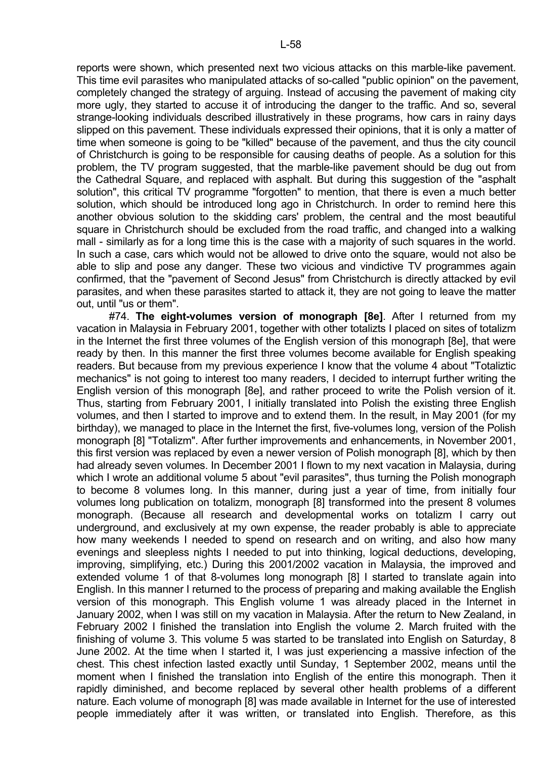reports were shown, which presented next two vicious attacks on this marble-like pavement. This time evil parasites who manipulated attacks of so-called "public opinion" on the pavement, completely changed the strategy of arguing. Instead of accusing the pavement of making city more ugly, they started to accuse it of introducing the danger to the traffic. And so, several strange-looking individuals described illustratively in these programs, how cars in rainy days slipped on this pavement. These individuals expressed their opinions, that it is only a matter of time when someone is going to be "killed" because of the pavement, and thus the city council of Christchurch is going to be responsible for causing deaths of people. As a solution for this problem, the TV program suggested, that the marble-like pavement should be dug out from the Cathedral Square, and replaced with asphalt. But during this suggestion of the "asphalt solution", this critical TV programme "forgotten" to mention, that there is even a much better solution, which should be introduced long ago in Christchurch. In order to remind here this another obvious solution to the skidding cars' problem, the central and the most beautiful square in Christchurch should be excluded from the road traffic, and changed into a walking mall - similarly as for a long time this is the case with a majority of such squares in the world. In such a case, cars which would not be allowed to drive onto the square, would not also be able to slip and pose any danger. These two vicious and vindictive TV programmes again confirmed, that the "pavement of Second Jesus" from Christchurch is directly attacked by evil parasites, and when these parasites started to attack it, they are not going to leave the matter out, until "us or them".

 #74. **The eight-volumes version of monograph [8e]**. After I returned from my vacation in Malaysia in February 2001, together with other totalizts I placed on sites of totalizm in the Internet the first three volumes of the English version of this monograph [8e], that were ready by then. In this manner the first three volumes become available for English speaking readers. But because from my previous experience I know that the volume 4 about "Totaliztic mechanics" is not going to interest too many readers, I decided to interrupt further writing the English version of this monograph [8e], and rather proceed to write the Polish version of it. Thus, starting from February 2001, I initially translated into Polish the existing three English volumes, and then I started to improve and to extend them. In the result, in May 2001 (for my birthday), we managed to place in the Internet the first, five-volumes long, version of the Polish monograph [8] "Totalizm". After further improvements and enhancements, in November 2001, this first version was replaced by even a newer version of Polish monograph [8], which by then had already seven volumes. In December 2001 I flown to my next vacation in Malaysia, during which I wrote an additional volume 5 about "evil parasites", thus turning the Polish monograph to become 8 volumes long. In this manner, during just a year of time, from initially four volumes long publication on totalizm, monograph [8] transformed into the present 8 volumes monograph. (Because all research and developmental works on totalizm I carry out underground, and exclusively at my own expense, the reader probably is able to appreciate how many weekends I needed to spend on research and on writing, and also how many evenings and sleepless nights I needed to put into thinking, logical deductions, developing, improving, simplifying, etc.) During this 2001/2002 vacation in Malaysia, the improved and extended volume 1 of that 8-volumes long monograph [8] I started to translate again into English. In this manner I returned to the process of preparing and making available the English version of this monograph. This English volume 1 was already placed in the Internet in January 2002, when I was still on my vacation in Malaysia. After the return to New Zealand, in February 2002 I finished the translation into English the volume 2. March fruited with the finishing of volume 3. This volume 5 was started to be translated into English on Saturday, 8 June 2002. At the time when I started it, I was just experiencing a massive infection of the chest. This chest infection lasted exactly until Sunday, 1 September 2002, means until the moment when I finished the translation into English of the entire this monograph. Then it rapidly diminished, and become replaced by several other health problems of a different nature. Each volume of monograph [8] was made available in Internet for the use of interested people immediately after it was written, or translated into English. Therefore, as this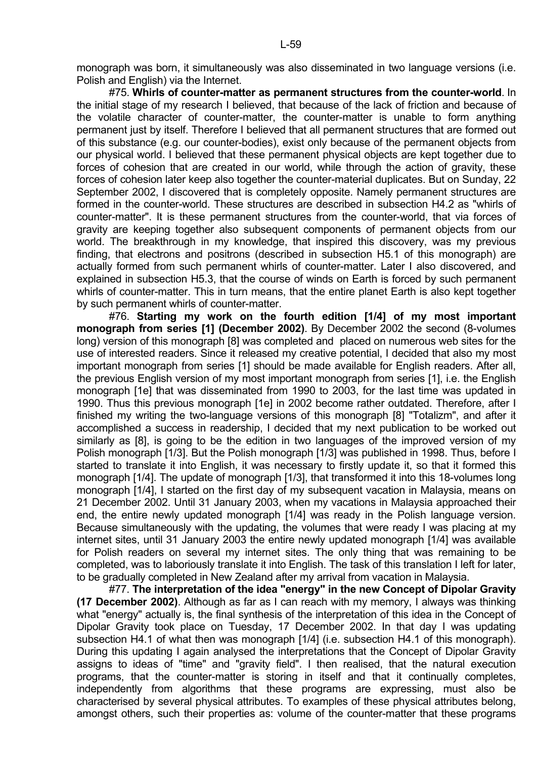#75. **Whirls of counter-matter as permanent structures from the counter-world**. In the initial stage of my research I believed, that because of the lack of friction and because of the volatile character of counter-matter, the counter-matter is unable to form anything permanent just by itself. Therefore I believed that all permanent structures that are formed out of this substance (e.g. our counter-bodies), exist only because of the permanent objects from our physical world. I believed that these permanent physical objects are kept together due to forces of cohesion that are created in our world, while through the action of gravity, these forces of cohesion later keep also together the counter-material duplicates. But on Sunday, 22 September 2002, I discovered that is completely opposite. Namely permanent structures are formed in the counter-world. These structures are described in subsection H4.2 as "whirls of counter-matter". It is these permanent structures from the counter-world, that via forces of gravity are keeping together also subsequent components of permanent objects from our world. The breakthrough in my knowledge, that inspired this discovery, was my previous finding, that electrons and positrons (described in subsection H5.1 of this monograph) are actually formed from such permanent whirls of counter-matter. Later I also discovered, and explained in subsection H5.3, that the course of winds on Earth is forced by such permanent whirls of counter-matter. This in turn means, that the entire planet Earth is also kept together by such permanent whirls of counter-matter.

 #76. **Starting my work on the fourth edition [1/4] of my most important monograph from series [1] (December 2002)**. By December 2002 the second (8-volumes long) version of this monograph [8] was completed and placed on numerous web sites for the use of interested readers. Since it released my creative potential, I decided that also my most important monograph from series [1] should be made available for English readers. After all, the previous English version of my most important monograph from series [1], i.e. the English monograph [1e] that was disseminated from 1990 to 2003, for the last time was updated in 1990. Thus this previous monograph [1e] in 2002 become rather outdated. Therefore, after I finished my writing the two-language versions of this monograph [8] "Totalizm", and after it accomplished a success in readership, I decided that my next publication to be worked out similarly as [8], is going to be the edition in two languages of the improved version of my Polish monograph [1/3]. But the Polish monograph [1/3] was published in 1998. Thus, before I started to translate it into English, it was necessary to firstly update it, so that it formed this monograph [1/4]. The update of monograph [1/3], that transformed it into this 18-volumes long monograph [1/4], I started on the first day of my subsequent vacation in Malaysia, means on 21 December 2002. Until 31 January 2003, when my vacations in Malaysia approached their end, the entire newly updated monograph [1/4] was ready in the Polish language version. Because simultaneously with the updating, the volumes that were ready I was placing at my internet sites, until 31 January 2003 the entire newly updated monograph [1/4] was available for Polish readers on several my internet sites. The only thing that was remaining to be completed, was to laboriously translate it into English. The task of this translation I left for later, to be gradually completed in New Zealand after my arrival from vacation in Malaysia.

 #77. **The interpretation of the idea "energy" in the new Concept of Dipolar Gravity (17 December 2002)**. Although as far as I can reach with my memory, I always was thinking what "energy" actually is, the final synthesis of the interpretation of this idea in the Concept of Dipolar Gravity took place on Tuesday, 17 December 2002. In that day I was updating subsection H4.1 of what then was monograph [1/4] (i.e. subsection H4.1 of this monograph). During this updating I again analysed the interpretations that the Concept of Dipolar Gravity assigns to ideas of "time" and "gravity field". I then realised, that the natural execution programs, that the counter-matter is storing in itself and that it continually completes, independently from algorithms that these programs are expressing, must also be characterised by several physical attributes. To examples of these physical attributes belong, amongst others, such their properties as: volume of the counter-matter that these programs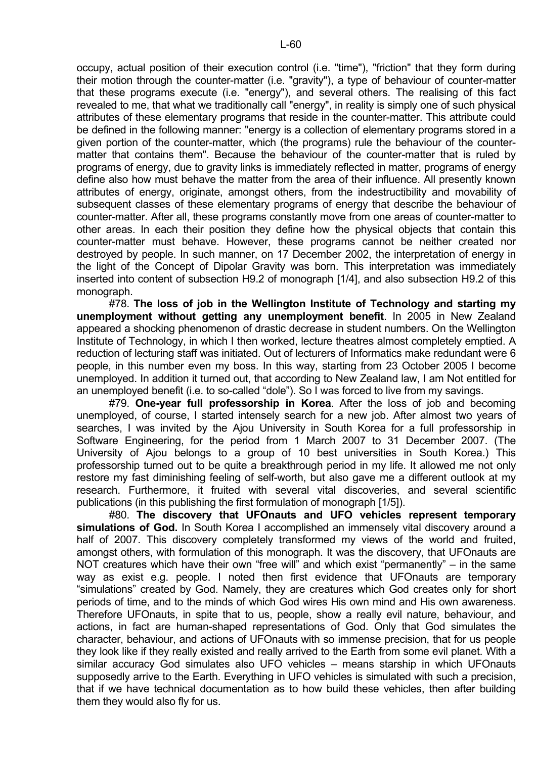occupy, actual position of their execution control (i.e. "time"), "friction" that they form during their motion through the counter-matter (i.e. "gravity"), a type of behaviour of counter-matter that these programs execute (i.e. "energy"), and several others. The realising of this fact revealed to me, that what we traditionally call "energy", in reality is simply one of such physical attributes of these elementary programs that reside in the counter-matter. This attribute could be defined in the following manner: "energy is a collection of elementary programs stored in a given portion of the counter-matter, which (the programs) rule the behaviour of the countermatter that contains them". Because the behaviour of the counter-matter that is ruled by programs of energy, due to gravity links is immediately reflected in matter, programs of energy define also how must behave the matter from the area of their influence. All presently known attributes of energy, originate, amongst others, from the indestructibility and movability of subsequent classes of these elementary programs of energy that describe the behaviour of counter-matter. After all, these programs constantly move from one areas of counter-matter to other areas. In each their position they define how the physical objects that contain this counter-matter must behave. However, these programs cannot be neither created nor destroyed by people. In such manner, on 17 December 2002, the interpretation of energy in the light of the Concept of Dipolar Gravity was born. This interpretation was immediately inserted into content of subsection H9.2 of monograph [1/4], and also subsection H9.2 of this monograph.

 #78. **The loss of job in the Wellington Institute of Technology and starting my unemployment without getting any unemployment benefit**. In 2005 in New Zealand appeared a shocking phenomenon of drastic decrease in student numbers. On the Wellington Institute of Technology, in which I then worked, lecture theatres almost completely emptied. A reduction of lecturing staff was initiated. Out of lecturers of Informatics make redundant were 6 people, in this number even my boss. In this way, starting from 23 October 2005 I become unemployed. In addition it turned out, that according to New Zealand law, I am Not entitled for an unemployed benefit (i.e. to so-called "dole"). So I was forced to live from my savings.

 #79. **One-year full professorship in Korea**. After the loss of job and becoming unemployed, of course, I started intensely search for a new job. After almost two years of searches, I was invited by the Ajou University in South Korea for a full professorship in Software Engineering, for the period from 1 March 2007 to 31 December 2007. (The University of Ajou belongs to a group of 10 best universities in South Korea.) This professorship turned out to be quite a breakthrough period in my life. It allowed me not only restore my fast diminishing feeling of self-worth, but also gave me a different outlook at my research. Furthermore, it fruited with several vital discoveries, and several scientific publications (in this publishing the first formulation of monograph [1/5]).

 #80. **The discovery that UFOnauts and UFO vehicles represent temporary simulations of God.** In South Korea I accomplished an immensely vital discovery around a half of 2007. This discovery completely transformed my views of the world and fruited. amongst others, with formulation of this monograph. It was the discovery, that UFOnauts are NOT creatures which have their own "free will" and which exist "permanently" – in the same way as exist e.g. people. I noted then first evidence that UFOnauts are temporary "simulations" created by God. Namely, they are creatures which God creates only for short periods of time, and to the minds of which God wires His own mind and His own awareness. Therefore UFOnauts, in spite that to us, people, show a really evil nature, behaviour, and actions, in fact are human-shaped representations of God. Only that God simulates the character, behaviour, and actions of UFOnauts with so immense precision, that for us people they look like if they really existed and really arrived to the Earth from some evil planet. With a similar accuracy God simulates also UFO vehicles – means starship in which UFOnauts supposedly arrive to the Earth. Everything in UFO vehicles is simulated with such a precision, that if we have technical documentation as to how build these vehicles, then after building them they would also fly for us.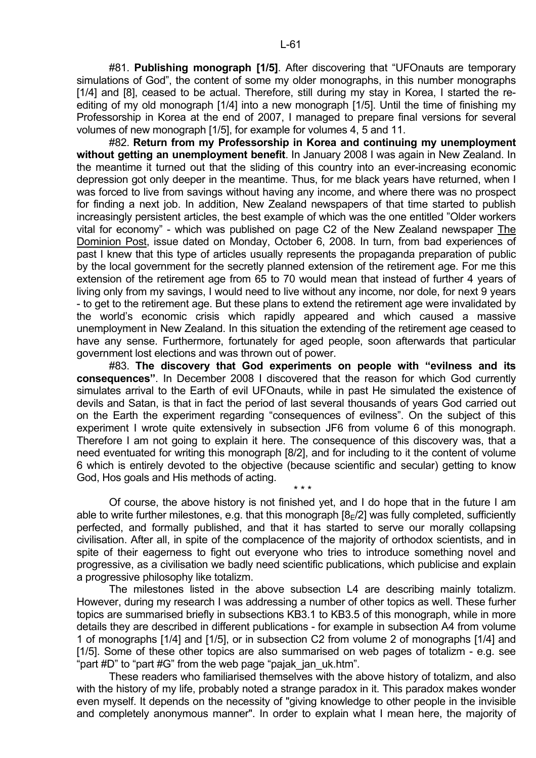#81. **Publishing monograph [1/5]**. After discovering that "UFOnauts are temporary simulations of God", the content of some my older monographs, in this number monographs [1/4] and [8], ceased to be actual. Therefore, still during my stay in Korea, I started the reediting of my old monograph [1/4] into a new monograph [1/5]. Until the time of finishing my Professorship in Korea at the end of 2007, I managed to prepare final versions for several volumes of new monograph [1/5], for example for volumes 4, 5 and 11.

 #82. **Return from my Professorship in Korea and continuing my unemployment without getting an unemployment benefit**. In January 2008 I was again in New Zealand. In the meantime it turned out that the sliding of this country into an ever-increasing economic depression got only deeper in the meantime. Thus, for me black years have returned, when I was forced to live from savings without having any income, and where there was no prospect for finding a next job. In addition, New Zealand newspapers of that time started to publish increasingly persistent articles, the best example of which was the one entitled "Older workers vital for economy" - which was published on page C2 of the New Zealand newspaper The Dominion Post, issue dated on Monday, October 6, 2008. In turn, from bad experiences of past I knew that this type of articles usually represents the propaganda preparation of public by the local government for the secretly planned extension of the retirement age. For me this extension of the retirement age from 65 to 70 would mean that instead of further 4 years of living only from my savings, I would need to live without any income, nor dole, for next 9 years - to get to the retirement age. But these plans to extend the retirement age were invalidated by the world's economic crisis which rapidly appeared and which caused a massive unemployment in New Zealand. In this situation the extending of the retirement age ceased to have any sense. Furthermore, fortunately for aged people, soon afterwards that particular government lost elections and was thrown out of power.

 #83. **The discovery that God experiments on people with "evilness and its consequences"**. In December 2008 I discovered that the reason for which God currently simulates arrival to the Earth of evil UFOnauts, while in past He simulated the existence of devils and Satan, is that in fact the period of last several thousands of years God carried out on the Earth the experiment regarding "consequences of evilness". On the subject of this experiment I wrote quite extensively in subsection JF6 from volume 6 of this monograph. Therefore I am not going to explain it here. The consequence of this discovery was, that a need eventuated for writing this monograph [8/2], and for including to it the content of volume 6 which is entirely devoted to the objective (because scientific and secular) getting to know God, Hos goals and His methods of acting.

 $\star \star \star$  Of course, the above history is not finished yet, and I do hope that in the future I am able to write further milestones, e.g. that this monograph  $[8_F/2]$  was fully completed, sufficiently perfected, and formally published, and that it has started to serve our morally collapsing civilisation. After all, in spite of the complacence of the majority of orthodox scientists, and in spite of their eagerness to fight out everyone who tries to introduce something novel and progressive, as a civilisation we badly need scientific publications, which publicise and explain a progressive philosophy like totalizm.

 The milestones listed in the above subsection L4 are describing mainly totalizm. However, during my research I was addressing a number of other topics as well. These furher topics are summarised briefly in subsections KB3.1 to KB3.5 of this monograph, while in more details they are described in different publications - for example in subsection A4 from volume 1 of monographs [1/4] and [1/5], or in subsection C2 from volume 2 of monographs [1/4] and [1/5]. Some of these other topics are also summarised on web pages of totalizm - e.g. see "part #D" to "part #G" from the web page "pajak\_jan\_uk.htm".

 These readers who familiarised themselves with the above history of totalizm, and also with the history of my life, probably noted a strange paradox in it. This paradox makes wonder even myself. It depends on the necessity of "giving knowledge to other people in the invisible and completely anonymous manner". In order to explain what I mean here, the majority of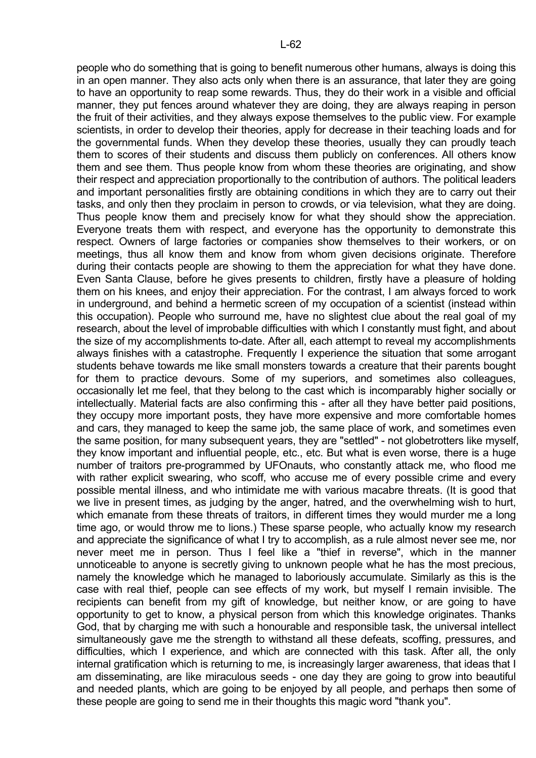people who do something that is going to benefit numerous other humans, always is doing this in an open manner. They also acts only when there is an assurance, that later they are going to have an opportunity to reap some rewards. Thus, they do their work in a visible and official manner, they put fences around whatever they are doing, they are always reaping in person the fruit of their activities, and they always expose themselves to the public view. For example scientists, in order to develop their theories, apply for decrease in their teaching loads and for the governmental funds. When they develop these theories, usually they can proudly teach them to scores of their students and discuss them publicly on conferences. All others know them and see them. Thus people know from whom these theories are originating, and show their respect and appreciation proportionally to the contribution of authors. The political leaders and important personalities firstly are obtaining conditions in which they are to carry out their tasks, and only then they proclaim in person to crowds, or via television, what they are doing. Thus people know them and precisely know for what they should show the appreciation. Everyone treats them with respect, and everyone has the opportunity to demonstrate this respect. Owners of large factories or companies show themselves to their workers, or on meetings, thus all know them and know from whom given decisions originate. Therefore during their contacts people are showing to them the appreciation for what they have done. Even Santa Clause, before he gives presents to children, firstly have a pleasure of holding them on his knees, and enjoy their appreciation. For the contrast, I am always forced to work in underground, and behind a hermetic screen of my occupation of a scientist (instead within this occupation). People who surround me, have no slightest clue about the real goal of my research, about the level of improbable difficulties with which I constantly must fight, and about the size of my accomplishments to-date. After all, each attempt to reveal my accomplishments always finishes with a catastrophe. Frequently I experience the situation that some arrogant students behave towards me like small monsters towards a creature that their parents bought for them to practice devours. Some of my superiors, and sometimes also colleagues, occasionally let me feel, that they belong to the cast which is incomparably higher socially or intellectually. Material facts are also confirming this - after all they have better paid positions, they occupy more important posts, they have more expensive and more comfortable homes and cars, they managed to keep the same job, the same place of work, and sometimes even the same position, for many subsequent years, they are "settled" - not globetrotters like myself, they know important and influential people, etc., etc. But what is even worse, there is a huge number of traitors pre-programmed by UFOnauts, who constantly attack me, who flood me with rather explicit swearing, who scoff, who accuse me of every possible crime and every possible mental illness, and who intimidate me with various macabre threats. (It is good that we live in present times, as judging by the anger, hatred, and the overwhelming wish to hurt, which emanate from these threats of traitors, in different times they would murder me a long time ago, or would throw me to lions.) These sparse people, who actually know my research and appreciate the significance of what I try to accomplish, as a rule almost never see me, nor never meet me in person. Thus I feel like a "thief in reverse", which in the manner unnoticeable to anyone is secretly giving to unknown people what he has the most precious, namely the knowledge which he managed to laboriously accumulate. Similarly as this is the case with real thief, people can see effects of my work, but myself I remain invisible. The recipients can benefit from my gift of knowledge, but neither know, or are going to have opportunity to get to know, a physical person from which this knowledge originates. Thanks God, that by charging me with such a honourable and responsible task, the universal intellect simultaneously gave me the strength to withstand all these defeats, scoffing, pressures, and difficulties, which I experience, and which are connected with this task. After all, the only internal gratification which is returning to me, is increasingly larger awareness, that ideas that I am disseminating, are like miraculous seeds - one day they are going to grow into beautiful and needed plants, which are going to be enjoyed by all people, and perhaps then some of these people are going to send me in their thoughts this magic word "thank you".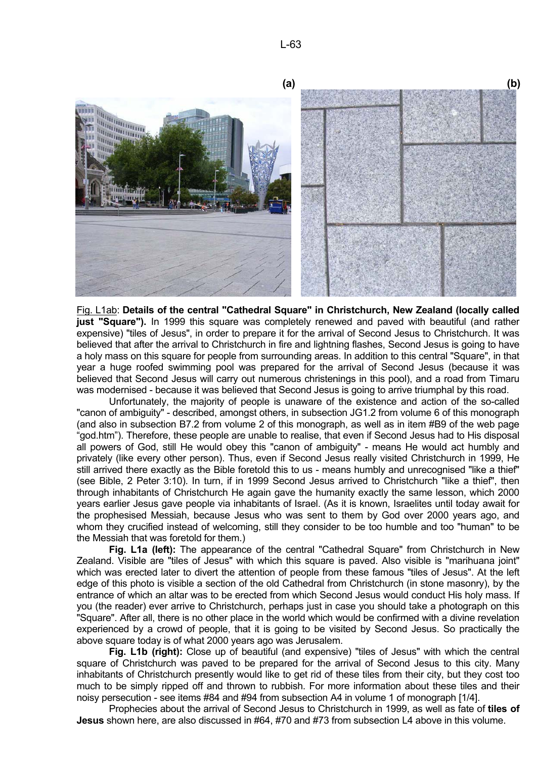

Fig. L1ab: **Details of the central "Cathedral Square" in Christchurch, New Zealand (locally called just "Square").** In 1999 this square was completely renewed and paved with beautiful (and rather expensive) "tiles of Jesus", in order to prepare it for the arrival of Second Jesus to Christchurch. It was believed that after the arrival to Christchurch in fire and lightning flashes, Second Jesus is going to have a holy mass on this square for people from surrounding areas. In addition to this central "Square", in that year a huge roofed swimming pool was prepared for the arrival of Second Jesus (because it was believed that Second Jesus will carry out numerous christenings in this pool), and a road from Timaru was modernised - because it was believed that Second Jesus is going to arrive triumphal by this road.

 Unfortunately, the majority of people is unaware of the existence and action of the so-called "canon of ambiguity" - described, amongst others, in subsection JG1.2 from volume 6 of this monograph (and also in subsection B7.2 from volume 2 of this monograph, as well as in item #B9 of the web page "god.htm"). Therefore, these people are unable to realise, that even if Second Jesus had to His disposal all powers of God, still He would obey this "canon of ambiguity" - means He would act humbly and privately (like every other person). Thus, even if Second Jesus really visited Christchurch in 1999, He still arrived there exactly as the Bible foretold this to us - means humbly and unrecognised "like a thief" (see Bible, 2 Peter 3:10). In turn, if in 1999 Second Jesus arrived to Christchurch "like a thief", then through inhabitants of Christchurch He again gave the humanity exactly the same lesson, which 2000 years earlier Jesus gave people via inhabitants of Israel. (As it is known, Israelites until today await for the prophesised Messiah, because Jesus who was sent to them by God over 2000 years ago, and whom they crucified instead of welcoming, still they consider to be too humble and too "human" to be the Messiah that was foretold for them.)

**Fig. L1a (left):** The appearance of the central "Cathedral Square" from Christchurch in New Zealand. Visible are "tiles of Jesus" with which this square is paved. Also visible is "marihuana joint" which was erected later to divert the attention of people from these famous "tiles of Jesus". At the left edge of this photo is visible a section of the old Cathedral from Christchurch (in stone masonry), by the entrance of which an altar was to be erected from which Second Jesus would conduct His holy mass. If you (the reader) ever arrive to Christchurch, perhaps just in case you should take a photograph on this "Square". After all, there is no other place in the world which would be confirmed with a divine revelation experienced by a crowd of people, that it is going to be visited by Second Jesus. So practically the above square today is of what 2000 years ago was Jerusalem.

**Fig. L1b (right):** Close up of beautiful (and expensive) "tiles of Jesus" with which the central square of Christchurch was paved to be prepared for the arrival of Second Jesus to this city. Many inhabitants of Christchurch presently would like to get rid of these tiles from their city, but they cost too much to be simply ripped off and thrown to rubbish. For more information about these tiles and their noisy persecution - see items #84 and #94 from subsection A4 in volume 1 of monograph [1/4].

 Prophecies about the arrival of Second Jesus to Christchurch in 1999, as well as fate of **tiles of Jesus** shown here, are also discussed in #64, #70 and #73 from subsection L4 above in this volume.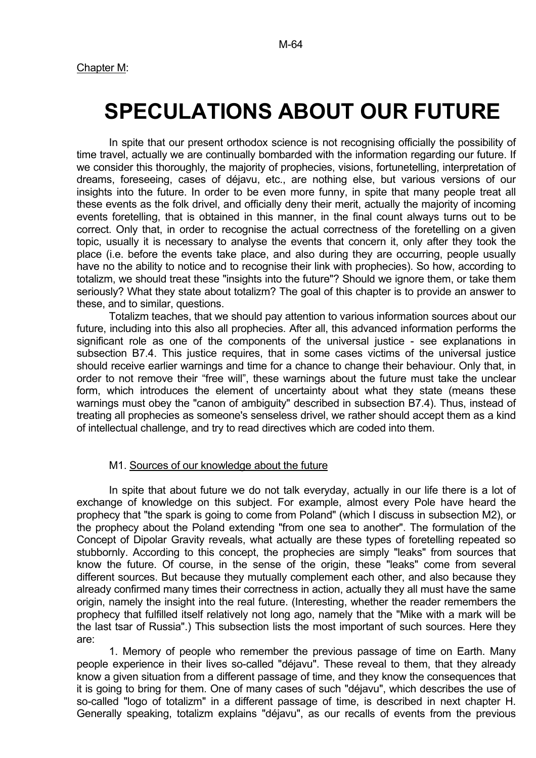## **SPECULATIONS ABOUT OUR FUTURE**

 In spite that our present orthodox science is not recognising officially the possibility of time travel, actually we are continually bombarded with the information regarding our future. If we consider this thoroughly, the majority of prophecies, visions, fortunetelling, interpretation of dreams, foreseeing, cases of déjavu, etc., are nothing else, but various versions of our insights into the future. In order to be even more funny, in spite that many people treat all these events as the folk drivel, and officially deny their merit, actually the majority of incoming events foretelling, that is obtained in this manner, in the final count always turns out to be correct. Only that, in order to recognise the actual correctness of the foretelling on a given topic, usually it is necessary to analyse the events that concern it, only after they took the place (i.e. before the events take place, and also during they are occurring, people usually have no the ability to notice and to recognise their link with prophecies). So how, according to totalizm, we should treat these "insights into the future"? Should we ignore them, or take them seriously? What they state about totalizm? The goal of this chapter is to provide an answer to these, and to similar, questions.

 Totalizm teaches, that we should pay attention to various information sources about our future, including into this also all prophecies. After all, this advanced information performs the significant role as one of the components of the universal justice - see explanations in subsection B7.4. This justice requires, that in some cases victims of the universal justice should receive earlier warnings and time for a chance to change their behaviour. Only that, in order to not remove their "free will", these warnings about the future must take the unclear form, which introduces the element of uncertainty about what they state (means these warnings must obey the "canon of ambiguity" described in subsection B7.4). Thus, instead of treating all prophecies as someone's senseless drivel, we rather should accept them as a kind of intellectual challenge, and try to read directives which are coded into them.

## M1. Sources of our knowledge about the future

 In spite that about future we do not talk everyday, actually in our life there is a lot of exchange of knowledge on this subject. For example, almost every Pole have heard the prophecy that "the spark is going to come from Poland" (which I discuss in subsection M2), or the prophecy about the Poland extending "from one sea to another". The formulation of the Concept of Dipolar Gravity reveals, what actually are these types of foretelling repeated so stubbornly. According to this concept, the prophecies are simply "leaks" from sources that know the future. Of course, in the sense of the origin, these "leaks" come from several different sources. But because they mutually complement each other, and also because they already confirmed many times their correctness in action, actually they all must have the same origin, namely the insight into the real future. (Interesting, whether the reader remembers the prophecy that fulfilled itself relatively not long ago, namely that the "Mike with a mark will be the last tsar of Russia".) This subsection lists the most important of such sources. Here they are:

 1. Memory of people who remember the previous passage of time on Earth. Many people experience in their lives so-called "déjavu". These reveal to them, that they already know a given situation from a different passage of time, and they know the consequences that it is going to bring for them. One of many cases of such "déjavu", which describes the use of so-called "logo of totalizm" in a different passage of time, is described in next chapter H. Generally speaking, totalizm explains "déjavu", as our recalls of events from the previous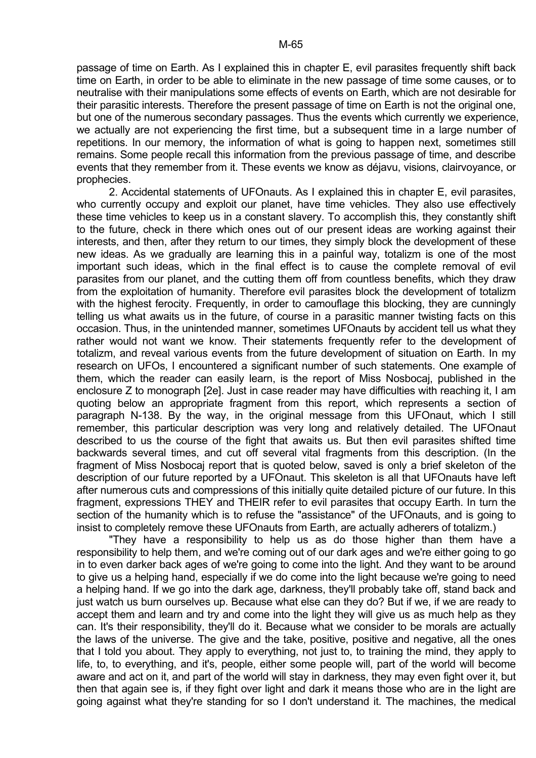passage of time on Earth. As I explained this in chapter E, evil parasites frequently shift back time on Earth, in order to be able to eliminate in the new passage of time some causes, or to neutralise with their manipulations some effects of events on Earth, which are not desirable for their parasitic interests. Therefore the present passage of time on Earth is not the original one, but one of the numerous secondary passages. Thus the events which currently we experience, we actually are not experiencing the first time, but a subsequent time in a large number of repetitions. In our memory, the information of what is going to happen next, sometimes still remains. Some people recall this information from the previous passage of time, and describe events that they remember from it. These events we know as déjavu, visions, clairvoyance, or prophecies.

 2. Accidental statements of UFOnauts. As I explained this in chapter E, evil parasites, who currently occupy and exploit our planet, have time vehicles. They also use effectively these time vehicles to keep us in a constant slavery. To accomplish this, they constantly shift to the future, check in there which ones out of our present ideas are working against their interests, and then, after they return to our times, they simply block the development of these new ideas. As we gradually are learning this in a painful way, totalizm is one of the most important such ideas, which in the final effect is to cause the complete removal of evil parasites from our planet, and the cutting them off from countless benefits, which they draw from the exploitation of humanity. Therefore evil parasites block the development of totalizm with the highest ferocity. Frequently, in order to camouflage this blocking, they are cunningly telling us what awaits us in the future, of course in a parasitic manner twisting facts on this occasion. Thus, in the unintended manner, sometimes UFOnauts by accident tell us what they rather would not want we know. Their statements frequently refer to the development of totalizm, and reveal various events from the future development of situation on Earth. In my research on UFOs, I encountered a significant number of such statements. One example of them, which the reader can easily learn, is the report of Miss Nosbocaj, published in the enclosure Z to monograph [2e]. Just in case reader may have difficulties with reaching it, I am quoting below an appropriate fragment from this report, which represents a section of paragraph N-138. By the way, in the original message from this UFOnaut, which I still remember, this particular description was very long and relatively detailed. The UFOnaut described to us the course of the fight that awaits us. But then evil parasites shifted time backwards several times, and cut off several vital fragments from this description. (In the fragment of Miss Nosbocaj report that is quoted below, saved is only a brief skeleton of the description of our future reported by a UFOnaut. This skeleton is all that UFOnauts have left after numerous cuts and compressions of this initially quite detailed picture of our future. In this fragment, expressions THEY and THEIR refer to evil parasites that occupy Earth. In turn the section of the humanity which is to refuse the "assistance" of the UFOnauts, and is going to insist to completely remove these UFOnauts from Earth, are actually adherers of totalizm.)

 "They have a responsibility to help us as do those higher than them have a responsibility to help them, and we're coming out of our dark ages and we're either going to go in to even darker back ages of we're going to come into the light. And they want to be around to give us a helping hand, especially if we do come into the light because we're going to need a helping hand. If we go into the dark age, darkness, they'll probably take off, stand back and just watch us burn ourselves up. Because what else can they do? But if we, if we are ready to accept them and learn and try and come into the light they will give us as much help as they can. It's their responsibility, they'll do it. Because what we consider to be morals are actually the laws of the universe. The give and the take, positive, positive and negative, all the ones that I told you about. They apply to everything, not just to, to training the mind, they apply to life, to, to everything, and it's, people, either some people will, part of the world will become aware and act on it, and part of the world will stay in darkness, they may even fight over it, but then that again see is, if they fight over light and dark it means those who are in the light are going against what they're standing for so I don't understand it. The machines, the medical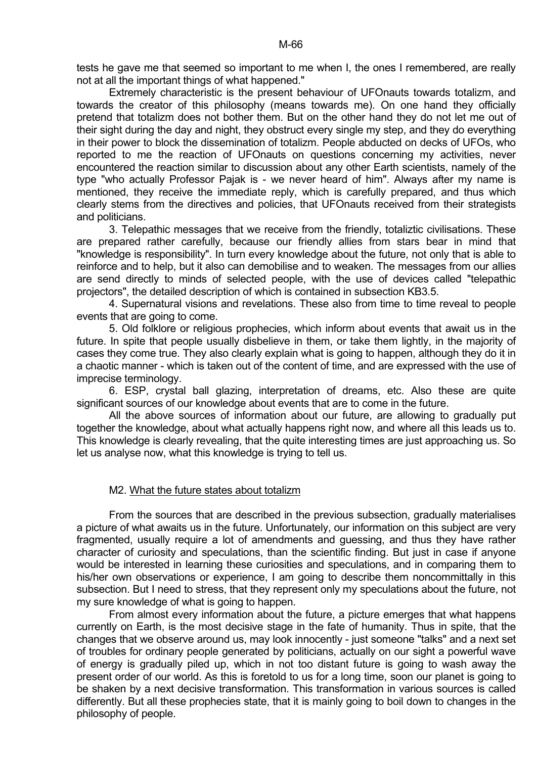tests he gave me that seemed so important to me when I, the ones I remembered, are really not at all the important things of what happened."

 Extremely characteristic is the present behaviour of UFOnauts towards totalizm, and towards the creator of this philosophy (means towards me). On one hand they officially pretend that totalizm does not bother them. But on the other hand they do not let me out of their sight during the day and night, they obstruct every single my step, and they do everything in their power to block the dissemination of totalizm. People abducted on decks of UFOs, who reported to me the reaction of UFOnauts on questions concerning my activities, never encountered the reaction similar to discussion about any other Earth scientists, namely of the type "who actually Professor Pajak is - we never heard of him". Always after my name is mentioned, they receive the immediate reply, which is carefully prepared, and thus which clearly stems from the directives and policies, that UFOnauts received from their strategists and politicians.

 3. Telepathic messages that we receive from the friendly, totaliztic civilisations. These are prepared rather carefully, because our friendly allies from stars bear in mind that "knowledge is responsibility". In turn every knowledge about the future, not only that is able to reinforce and to help, but it also can demobilise and to weaken. The messages from our allies are send directly to minds of selected people, with the use of devices called "telepathic projectors", the detailed description of which is contained in subsection KB3.5.

 4. Supernatural visions and revelations. These also from time to time reveal to people events that are going to come.

 5. Old folklore or religious prophecies, which inform about events that await us in the future. In spite that people usually disbelieve in them, or take them lightly, in the majority of cases they come true. They also clearly explain what is going to happen, although they do it in a chaotic manner - which is taken out of the content of time, and are expressed with the use of imprecise terminology.

 6. ESP, crystal ball glazing, interpretation of dreams, etc. Also these are quite significant sources of our knowledge about events that are to come in the future.

 All the above sources of information about our future, are allowing to gradually put together the knowledge, about what actually happens right now, and where all this leads us to. This knowledge is clearly revealing, that the quite interesting times are just approaching us. So let us analyse now, what this knowledge is trying to tell us.

## M2. What the future states about totalizm

 From the sources that are described in the previous subsection, gradually materialises a picture of what awaits us in the future. Unfortunately, our information on this subject are very fragmented, usually require a lot of amendments and guessing, and thus they have rather character of curiosity and speculations, than the scientific finding. But just in case if anyone would be interested in learning these curiosities and speculations, and in comparing them to his/her own observations or experience, I am going to describe them noncommittally in this subsection. But I need to stress, that they represent only my speculations about the future, not my sure knowledge of what is going to happen.

 From almost every information about the future, a picture emerges that what happens currently on Earth, is the most decisive stage in the fate of humanity. Thus in spite, that the changes that we observe around us, may look innocently - just someone "talks" and a next set of troubles for ordinary people generated by politicians, actually on our sight a powerful wave of energy is gradually piled up, which in not too distant future is going to wash away the present order of our world. As this is foretold to us for a long time, soon our planet is going to be shaken by a next decisive transformation. This transformation in various sources is called differently. But all these prophecies state, that it is mainly going to boil down to changes in the philosophy of people.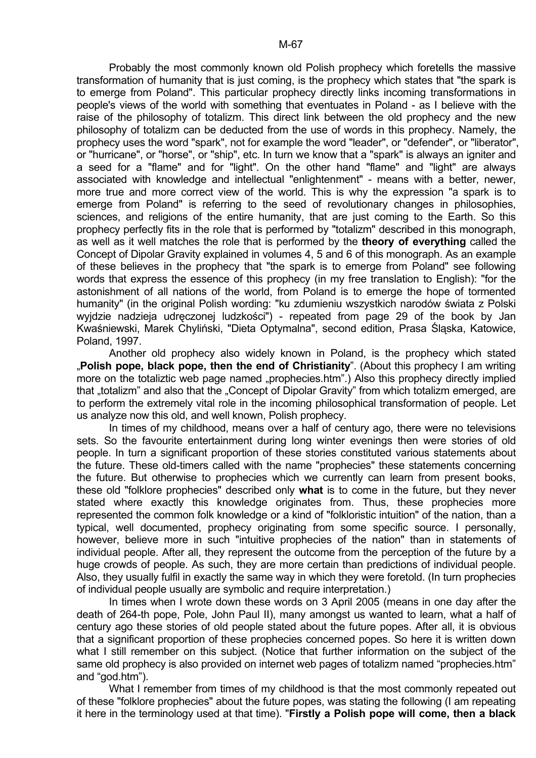Probably the most commonly known old Polish prophecy which foretells the massive transformation of humanity that is just coming, is the prophecy which states that "the spark is to emerge from Poland". This particular prophecy directly links incoming transformations in people's views of the world with something that eventuates in Poland - as I believe with the raise of the philosophy of totalizm. This direct link between the old prophecy and the new philosophy of totalizm can be deducted from the use of words in this prophecy. Namely, the prophecy uses the word "spark", not for example the word "leader", or "defender", or "liberator", or "hurricane", or "horse", or "ship", etc. In turn we know that a "spark" is always an igniter and a seed for a "flame" and for "light". On the other hand "flame" and "light" are always associated with knowledge and intellectual "enlightenment" - means with a better, newer, more true and more correct view of the world. This is why the expression "a spark is to emerge from Poland" is referring to the seed of revolutionary changes in philosophies, sciences, and religions of the entire humanity, that are just coming to the Earth. So this prophecy perfectly fits in the role that is performed by "totalizm" described in this monograph, as well as it well matches the role that is performed by the **theory of everything** called the Concept of Dipolar Gravity explained in volumes 4, 5 and 6 of this monograph. As an example of these believes in the prophecy that "the spark is to emerge from Poland" see following words that express the essence of this prophecy (in my free translation to English): "for the astonishment of all nations of the world, from Poland is to emerge the hope of tormented humanity" (in the original Polish wording: "ku zdumieniu wszystkich narodów świata z Polski wyjdzie nadzieja udręczonej ludzkości") - repeated from page 29 of the book by Jan Kwaśniewski, Marek Chyliński, "Dieta Optymalna", second edition, Prasa Śląska, Katowice, Poland, 1997.

 Another old prophecy also widely known in Poland, is the prophecy which stated "**Polish pope, black pope, then the end of Christianity**". (About this prophecy I am writing more on the totaliztic web page named "prophecies.htm".) Also this prophecy directly implied that ..totalizm" and also that the ..Concept of Dipolar Gravity" from which totalizm emerged, are to perform the extremely vital role in the incoming philosophical transformation of people. Let us analyze now this old, and well known, Polish prophecy.

In times of my childhood, means over a half of century ago, there were no televisions sets. So the favourite entertainment during long winter evenings then were stories of old people. In turn a significant proportion of these stories constituted various statements about the future. These old-timers called with the name "prophecies" these statements concerning the future. But otherwise to prophecies which we currently can learn from present books, these old "folklore prophecies" described only **what** is to come in the future, but they never stated where exactly this knowledge originates from. Thus, these prophecies more represented the common folk knowledge or a kind of "folkloristic intuition" of the nation, than a typical, well documented, prophecy originating from some specific source. I personally, however, believe more in such "intuitive prophecies of the nation" than in statements of individual people. After all, they represent the outcome from the perception of the future by a huge crowds of people. As such, they are more certain than predictions of individual people. Also, they usually fulfil in exactly the same way in which they were foretold. (In turn prophecies of individual people usually are symbolic and require interpretation.)

 In times when I wrote down these words on 3 April 2005 (means in one day after the death of 264-th pope, Pole, John Paul II), many amongst us wanted to learn, what a half of century ago these stories of old people stated about the future popes. After all, it is obvious that a significant proportion of these prophecies concerned popes. So here it is written down what I still remember on this subject. (Notice that further information on the subject of the same old prophecy is also provided on internet web pages of totalizm named "prophecies.htm" and "god.htm").

What I remember from times of my childhood is that the most commonly repeated out of these "folklore prophecies" about the future popes, was stating the following (I am repeating it here in the terminology used at that time). "**Firstly a Polish pope will come, then a black**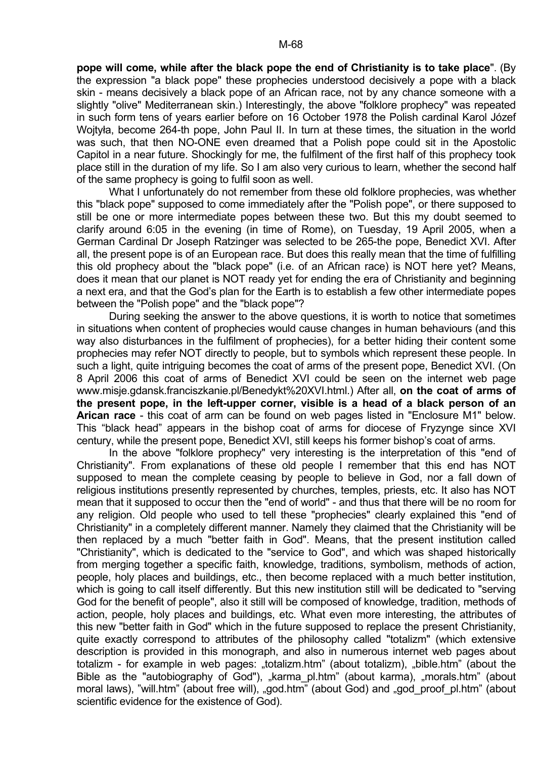**pope will come, while after the black pope the end of Christianity is to take place**". (By the expression "a black pope" these prophecies understood decisively a pope with a black skin - means decisively a black pope of an African race, not by any chance someone with a slightly "olive" Mediterranean skin.) Interestingly, the above "folklore prophecy" was repeated in such form tens of years earlier before on 16 October 1978 the Polish cardinal Karol Józef Wojtyła, become 264-th pope, John Paul II. In turn at these times, the situation in the world was such, that then NO-ONE even dreamed that a Polish pope could sit in the Apostolic Capitol in a near future. Shockingly for me, the fulfilment of the first half of this prophecy took place still in the duration of my life. So I am also very curious to learn, whether the second half of the same prophecy is going to fulfil soon as well.

 What I unfortunately do not remember from these old folklore prophecies, was whether this "black pope" supposed to come immediately after the "Polish pope", or there supposed to still be one or more intermediate popes between these two. But this my doubt seemed to clarify around 6:05 in the evening (in time of Rome), on Tuesday, 19 April 2005, when a German Cardinal Dr Joseph Ratzinger was selected to be 265-the pope, Benedict XVI. After all, the present pope is of an European race. But does this really mean that the time of fulfilling this old prophecy about the "black pope" (i.e. of an African race) is NOT here yet? Means, does it mean that our planet is NOT ready yet for ending the era of Christianity and beginning a next era, and that the God's plan for the Earth is to establish a few other intermediate popes between the "Polish pope" and the "black pope"?

 During seeking the answer to the above questions, it is worth to notice that sometimes in situations when content of prophecies would cause changes in human behaviours (and this way also disturbances in the fulfilment of prophecies), for a better hiding their content some prophecies may refer NOT directly to people, but to symbols which represent these people. In such a light, quite intriguing becomes the coat of arms of the present pope, Benedict XVI. (On 8 April 2006 this coat of arms of Benedict XVI could be seen on the internet web page www.misje.gdansk.franciszkanie.pl/Benedykt%20XVI.html.) After all, **on the coat of arms of the present pope, in the left-upper corner, visible is a head of a black person of an Arican race** - this coat of arm can be found on web pages listed in "Enclosure M1" below. This "black head" appears in the bishop coat of arms for diocese of Fryzynge since XVI century, while the present pope, Benedict XVI, still keeps his former bishop's coat of arms.

 In the above "folklore prophecy" very interesting is the interpretation of this "end of Christianity". From explanations of these old people I remember that this end has NOT supposed to mean the complete ceasing by people to believe in God, nor a fall down of religious institutions presently represented by churches, temples, priests, etc. It also has NOT mean that it supposed to occur then the "end of world" - and thus that there will be no room for any religion. Old people who used to tell these "prophecies" clearly explained this "end of Christianity" in a completely different manner. Namely they claimed that the Christianity will be then replaced by a much "better faith in God". Means, that the present institution called "Christianity", which is dedicated to the "service to God", and which was shaped historically from merging together a specific faith, knowledge, traditions, symbolism, methods of action, people, holy places and buildings, etc., then become replaced with a much better institution, which is going to call itself differently. But this new institution still will be dedicated to "serving God for the benefit of people", also it still will be composed of knowledge, tradition, methods of action, people, holy places and buildings, etc. What even more interesting, the attributes of this new "better faith in God" which in the future supposed to replace the present Christianity, quite exactly correspond to attributes of the philosophy called "totalizm" (which extensive description is provided in this monograph, and also in numerous internet web pages about totalizm - for example in web pages: "totalizm.htm" (about totalizm), "bible.htm" (about the Bible as the "autobiography of God"), "karma pl.htm" (about karma), "morals.htm" (about moral laws), "will.htm" (about free will), "god.htm" (about God) and "god proof pl.htm" (about scientific evidence for the existence of God).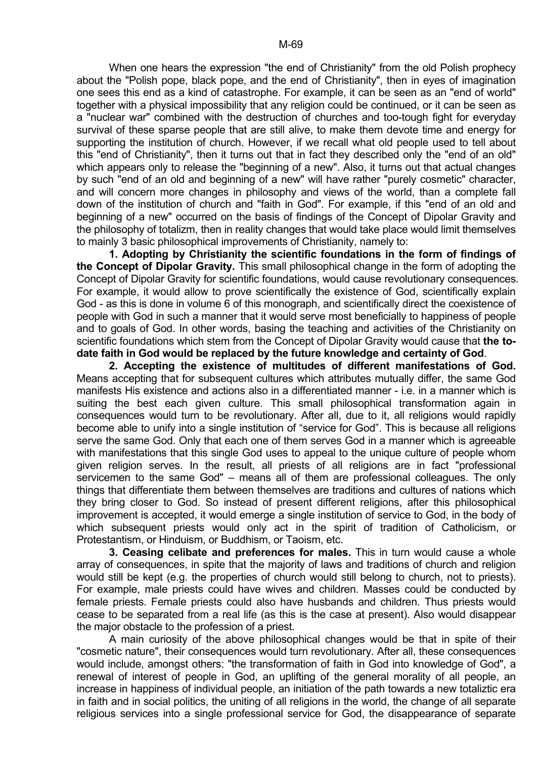When one hears the expression "the end of Christianity" from the old Polish prophecy about the "Polish pope, black pope, and the end of Christianity", then in eyes of imagination one sees this end as a kind of catastrophe. For example, it can be seen as an "end of world" together with a physical impossibility that any religion could be continued, or it can be seen as a "nuclear war" combined with the destruction of churches and too-tough fight for everyday survival of these sparse people that are still alive, to make them devote time and energy for supporting the institution of church. However, if we recall what old people used to tell about this "end of Christianity", then it turns out that in fact they described only the "end of an old" which appears only to release the "beginning of a new". Also, it turns out that actual changes by such "end of an old and beginning of a new" will have rather "purely cosmetic" character, and will concern more changes in philosophy and views of the world, than a complete fall down of the institution of church and "faith in God". For example, if this "end of an old and beginning of a new" occurred on the basis of findings of the Concept of Dipolar Gravity and the philosophy of totalizm, then in reality changes that would take place would limit themselves to mainly 3 basic philosophical improvements of Christianity, namely to:

 **1. Adopting by Christianity the scientific foundations in the form of findings of the Concept of Dipolar Gravity.** This small philosophical change in the form of adopting the Concept of Dipolar Gravity for scientific foundations, would cause revolutionary consequences. For example, it would allow to prove scientifically the existence of God, scientifically explain God - as this is done in volume 6 of this monograph, and scientifically direct the coexistence of people with God in such a manner that it would serve most beneficially to happiness of people and to goals of God. In other words, basing the teaching and activities of the Christianity on scientific foundations which stem from the Concept of Dipolar Gravity would cause that **the todate faith in God would be replaced by the future knowledge and certainty of God**.

 **2. Accepting the existence of multitudes of different manifestations of God.** Means accepting that for subsequent cultures which attributes mutually differ, the same God manifests His existence and actions also in a differentiated manner - i.e. in a manner which is suiting the best each given culture. This small philosophical transformation again in consequences would turn to be revolutionary. After all, due to it, all religions would rapidly become able to unify into a single institution of "service for God". This is because all religions serve the same God. Only that each one of them serves God in a manner which is agreeable with manifestations that this single God uses to appeal to the unique culture of people whom given religion serves. In the result, all priests of all religions are in fact "professional servicemen to the same God" – means all of them are professional colleagues. The only things that differentiate them between themselves are traditions and cultures of nations which they bring closer to God. So instead of present different religions, after this philosophical improvement is accepted, it would emerge a single institution of service to God, in the body of which subsequent priests would only act in the spirit of tradition of Catholicism, or Protestantism, or Hinduism, or Buddhism, or Taoism, etc.

 **3. Ceasing celibate and preferences for males.** This in turn would cause a whole array of consequences, in spite that the majority of laws and traditions of church and religion would still be kept (e.g. the properties of church would still belong to church, not to priests). For example, male priests could have wives and children. Masses could be conducted by female priests. Female priests could also have husbands and children. Thus priests would cease to be separated from a real life (as this is the case at present). Also would disappear the major obstacle to the profession of a priest.

 A main curiosity of the above philosophical changes would be that in spite of their "cosmetic nature", their consequences would turn revolutionary. After all, these consequences would include, amongst others: "the transformation of faith in God into knowledge of God", a renewal of interest of people in God, an uplifting of the general morality of all people, an increase in happiness of individual people, an initiation of the path towards a new totaliztic era in faith and in social politics, the uniting of all religions in the world, the change of all separate religious services into a single professional service for God, the disappearance of separate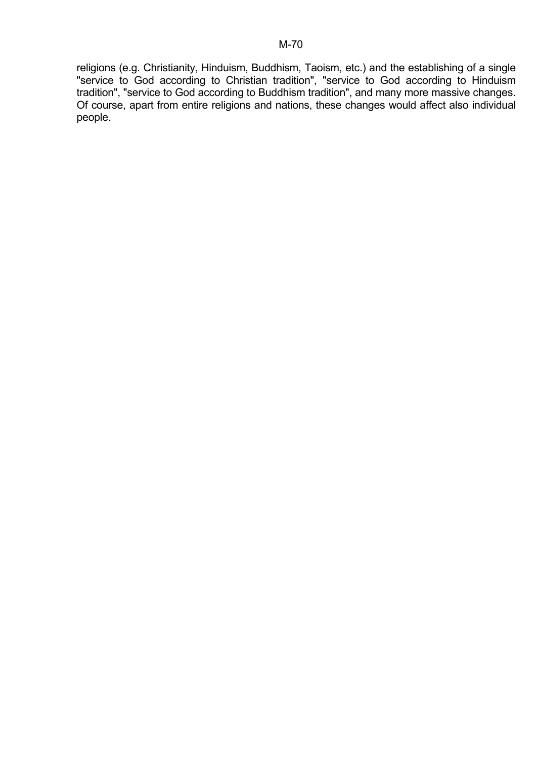religions (e.g. Christianity, Hinduism, Buddhism, Taoism, etc.) and the establishing of a single "service to God according to Christian tradition", "service to God according to Hinduism tradition", "service to God according to Buddhism tradition", and many more massive changes. Of course, apart from entire religions and nations, these changes would affect also individual people.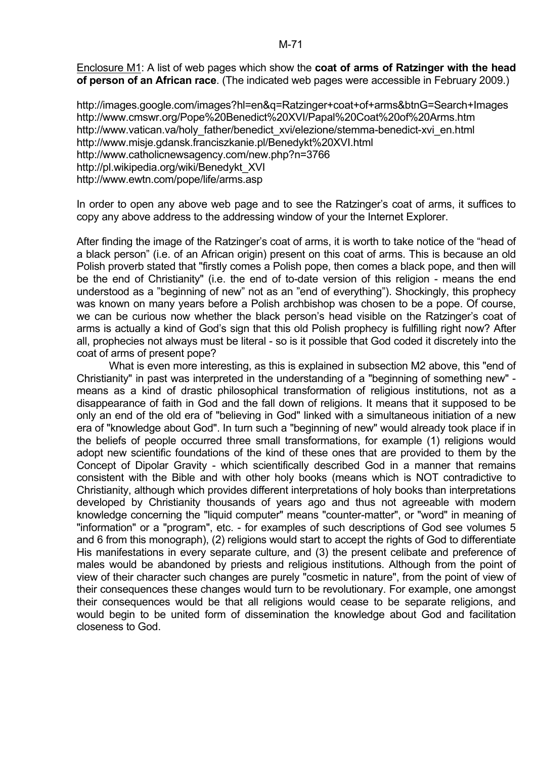Enclosure M1: A list of web pages which show the **coat of arms of Ratzinger with the head of person of an African race**. (The indicated web pages were accessible in February 2009.)

http://images.google.com/images?hl=en&q=Ratzinger+coat+of+arms&btnG=Search+Images http://www.cmswr.org/Pope%20Benedict%20XVI/Papal%20Coat%20of%20Arms.htm http://www.vatican.va/holy\_father/benedict\_xvi/elezione/stemma-benedict-xvi\_en.html http://www.misje.gdansk.franciszkanie.pl/Benedykt%20XVI.html http://www.catholicnewsagency.com/new.php?n=3766 http://pl.wikipedia.org/wiki/Benedykt\_XVI http://www.ewtn.com/pope/life/arms.asp

In order to open any above web page and to see the Ratzinger's coat of arms, it suffices to copy any above address to the addressing window of your the Internet Explorer.

After finding the image of the Ratzinger's coat of arms, it is worth to take notice of the "head of a black person" (i.e. of an African origin) present on this coat of arms. This is because an old Polish proverb stated that "firstly comes a Polish pope, then comes a black pope, and then will be the end of Christianity" (i.e. the end of to-date version of this religion - means the end understood as a "beginning of new" not as an "end of everything"). Shockingly, this prophecy was known on many years before a Polish archbishop was chosen to be a pope. Of course, we can be curious now whether the black person's head visible on the Ratzinger's coat of arms is actually a kind of God's sign that this old Polish prophecy is fulfilling right now? After all, prophecies not always must be literal - so is it possible that God coded it discretely into the coat of arms of present pope?

 What is even more interesting, as this is explained in subsection M2 above, this "end of Christianity" in past was interpreted in the understanding of a "beginning of something new" means as a kind of drastic philosophical transformation of religious institutions, not as a disappearance of faith in God and the fall down of religions. It means that it supposed to be only an end of the old era of "believing in God" linked with a simultaneous initiation of a new era of "knowledge about God". In turn such a "beginning of new" would already took place if in the beliefs of people occurred three small transformations, for example (1) religions would adopt new scientific foundations of the kind of these ones that are provided to them by the Concept of Dipolar Gravity - which scientifically described God in a manner that remains consistent with the Bible and with other holy books (means which is NOT contradictive to Christianity, although which provides different interpretations of holy books than interpretations developed by Christianity thousands of years ago and thus not agreeable with modern knowledge concerning the "liquid computer" means "counter-matter", or "word" in meaning of "information" or a "program", etc. - for examples of such descriptions of God see volumes 5 and 6 from this monograph), (2) religions would start to accept the rights of God to differentiate His manifestations in every separate culture, and (3) the present celibate and preference of males would be abandoned by priests and religious institutions. Although from the point of view of their character such changes are purely "cosmetic in nature", from the point of view of their consequences these changes would turn to be revolutionary. For example, one amongst their consequences would be that all religions would cease to be separate religions, and would begin to be united form of dissemination the knowledge about God and facilitation closeness to God.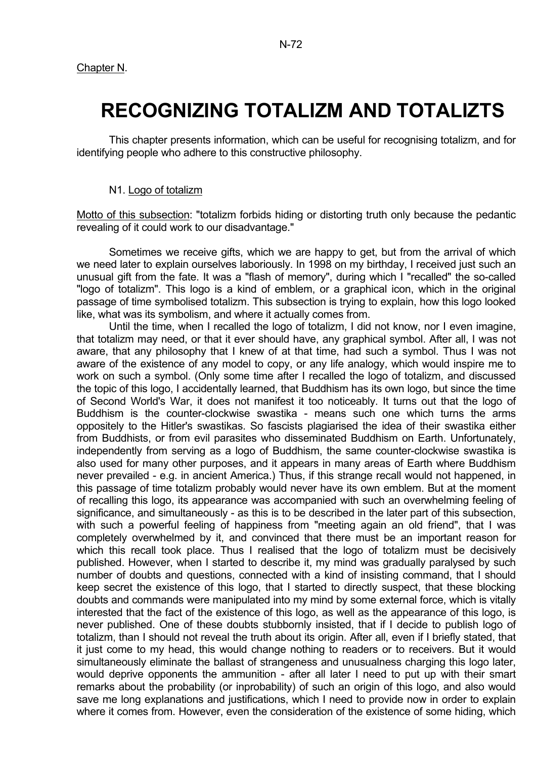## **RECOGNIZING TOTALIZM AND TOTALIZTS**

 This chapter presents information, which can be useful for recognising totalizm, and for identifying people who adhere to this constructive philosophy.

### N1. Logo of totalizm

Motto of this subsection: "totalizm forbids hiding or distorting truth only because the pedantic revealing of it could work to our disadvantage."

 Sometimes we receive gifts, which we are happy to get, but from the arrival of which we need later to explain ourselves laboriously. In 1998 on my birthday, I received just such an unusual gift from the fate. It was a "flash of memory", during which I "recalled" the so-called "logo of totalizm". This logo is a kind of emblem, or a graphical icon, which in the original passage of time symbolised totalizm. This subsection is trying to explain, how this logo looked like, what was its symbolism, and where it actually comes from.

 Until the time, when I recalled the logo of totalizm, I did not know, nor I even imagine, that totalizm may need, or that it ever should have, any graphical symbol. After all, I was not aware, that any philosophy that I knew of at that time, had such a symbol. Thus I was not aware of the existence of any model to copy, or any life analogy, which would inspire me to work on such a symbol. (Only some time after I recalled the logo of totalizm, and discussed the topic of this logo, I accidentally learned, that Buddhism has its own logo, but since the time of Second World's War, it does not manifest it too noticeably. It turns out that the logo of Buddhism is the counter-clockwise swastika - means such one which turns the arms oppositely to the Hitler's swastikas. So fascists plagiarised the idea of their swastika either from Buddhists, or from evil parasites who disseminated Buddhism on Earth. Unfortunately, independently from serving as a logo of Buddhism, the same counter-clockwise swastika is also used for many other purposes, and it appears in many areas of Earth where Buddhism never prevailed - e.g. in ancient America.) Thus, if this strange recall would not happened, in this passage of time totalizm probably would never have its own emblem. But at the moment of recalling this logo, its appearance was accompanied with such an overwhelming feeling of significance, and simultaneously - as this is to be described in the later part of this subsection, with such a powerful feeling of happiness from "meeting again an old friend", that I was completely overwhelmed by it, and convinced that there must be an important reason for which this recall took place. Thus I realised that the logo of totalizm must be decisively published. However, when I started to describe it, my mind was gradually paralysed by such number of doubts and questions, connected with a kind of insisting command, that I should keep secret the existence of this logo, that I started to directly suspect, that these blocking doubts and commands were manipulated into my mind by some external force, which is vitally interested that the fact of the existence of this logo, as well as the appearance of this logo, is never published. One of these doubts stubbornly insisted, that if I decide to publish logo of totalizm, than I should not reveal the truth about its origin. After all, even if I briefly stated, that it just come to my head, this would change nothing to readers or to receivers. But it would simultaneously eliminate the ballast of strangeness and unusualness charging this logo later, would deprive opponents the ammunition - after all later I need to put up with their smart remarks about the probability (or inprobability) of such an origin of this logo, and also would save me long explanations and justifications, which I need to provide now in order to explain where it comes from. However, even the consideration of the existence of some hiding, which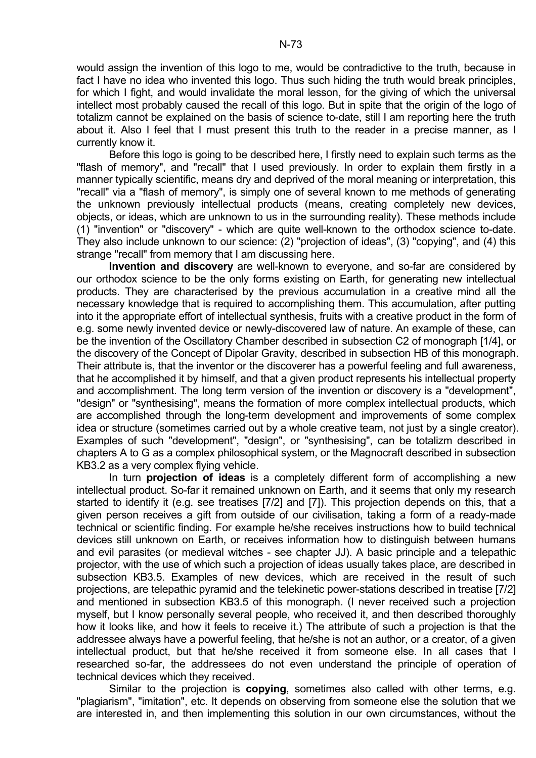would assign the invention of this logo to me, would be contradictive to the truth, because in fact I have no idea who invented this logo. Thus such hiding the truth would break principles, for which I fight, and would invalidate the moral lesson, for the giving of which the universal intellect most probably caused the recall of this logo. But in spite that the origin of the logo of totalizm cannot be explained on the basis of science to-date, still I am reporting here the truth about it. Also I feel that I must present this truth to the reader in a precise manner, as I currently know it.

 Before this logo is going to be described here, I firstly need to explain such terms as the "flash of memory", and "recall" that I used previously. In order to explain them firstly in a manner typically scientific, means dry and deprived of the moral meaning or interpretation, this "recall" via a "flash of memory", is simply one of several known to me methods of generating the unknown previously intellectual products (means, creating completely new devices, objects, or ideas, which are unknown to us in the surrounding reality). These methods include (1) "invention" or "discovery" - which are quite well-known to the orthodox science to-date. They also include unknown to our science: (2) "projection of ideas", (3) "copying", and (4) this strange "recall" from memory that I am discussing here.

 **Invention and discovery** are well-known to everyone, and so-far are considered by our orthodox science to be the only forms existing on Earth, for generating new intellectual products. They are characterised by the previous accumulation in a creative mind all the necessary knowledge that is required to accomplishing them. This accumulation, after putting into it the appropriate effort of intellectual synthesis, fruits with a creative product in the form of e.g. some newly invented device or newly-discovered law of nature. An example of these, can be the invention of the Oscillatory Chamber described in subsection C2 of monograph [1/4], or the discovery of the Concept of Dipolar Gravity, described in subsection HB of this monograph. Their attribute is, that the inventor or the discoverer has a powerful feeling and full awareness, that he accomplished it by himself, and that a given product represents his intellectual property and accomplishment. The long term version of the invention or discovery is a "development", "design" or "synthesising", means the formation of more complex intellectual products, which are accomplished through the long-term development and improvements of some complex idea or structure (sometimes carried out by a whole creative team, not just by a single creator). Examples of such "development", "design", or "synthesising", can be totalizm described in chapters A to G as a complex philosophical system, or the Magnocraft described in subsection KB3.2 as a very complex flying vehicle.

 In turn **projection of ideas** is a completely different form of accomplishing a new intellectual product. So-far it remained unknown on Earth, and it seems that only my research started to identify it (e.g. see treatises [7/2] and [7]). This projection depends on this, that a given person receives a gift from outside of our civilisation, taking a form of a ready-made technical or scientific finding. For example he/she receives instructions how to build technical devices still unknown on Earth, or receives information how to distinguish between humans and evil parasites (or medieval witches - see chapter JJ). A basic principle and a telepathic projector, with the use of which such a projection of ideas usually takes place, are described in subsection KB3.5. Examples of new devices, which are received in the result of such projections, are telepathic pyramid and the telekinetic power-stations described in treatise [7/2] and mentioned in subsection KB3.5 of this monograph. (I never received such a projection myself, but I know personally several people, who received it, and then described thoroughly how it looks like, and how it feels to receive it.) The attribute of such a projection is that the addressee always have a powerful feeling, that he/she is not an author, or a creator, of a given intellectual product, but that he/she received it from someone else. In all cases that I researched so-far, the addressees do not even understand the principle of operation of technical devices which they received.

 Similar to the projection is **copying**, sometimes also called with other terms, e.g. "plagiarism", "imitation", etc. It depends on observing from someone else the solution that we are interested in, and then implementing this solution in our own circumstances, without the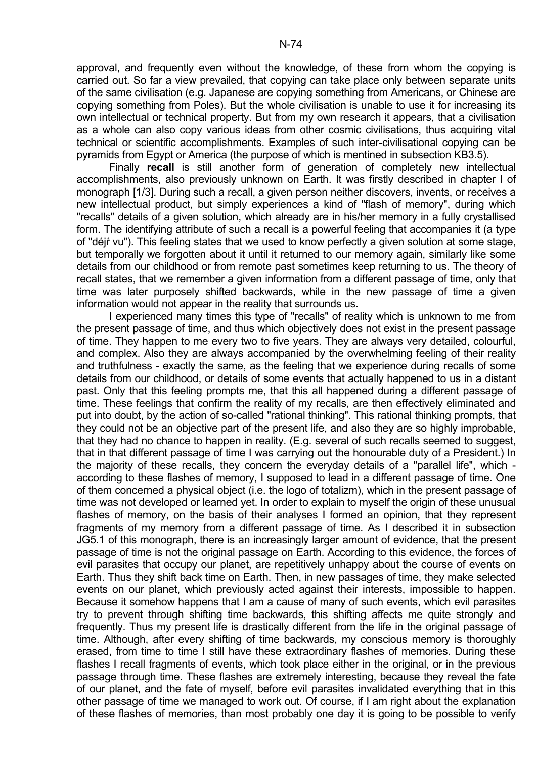approval, and frequently even without the knowledge, of these from whom the copying is carried out. So far a view prevailed, that copying can take place only between separate units of the same civilisation (e.g. Japanese are copying something from Americans, or Chinese are copying something from Poles). But the whole civilisation is unable to use it for increasing its own intellectual or technical property. But from my own research it appears, that a civilisation as a whole can also copy various ideas from other cosmic civilisations, thus acquiring vital technical or scientific accomplishments. Examples of such inter-civilisational copying can be pyramids from Egypt or America (the purpose of which is mentined in subsection KB3.5).

 Finally **recall** is still another form of generation of completely new intellectual accomplishments, also previously unknown on Earth. It was firstly described in chapter I of monograph [1/3]. During such a recall, a given person neither discovers, invents, or receives a new intellectual product, but simply experiences a kind of "flash of memory", during which "recalls" details of a given solution, which already are in his/her memory in a fully crystallised form. The identifying attribute of such a recall is a powerful feeling that accompanies it (a type of "déjŕ vu"). This feeling states that we used to know perfectly a given solution at some stage, but temporally we forgotten about it until it returned to our memory again, similarly like some details from our childhood or from remote past sometimes keep returning to us. The theory of recall states, that we remember a given information from a different passage of time, only that time was later purposely shifted backwards, while in the new passage of time a given information would not appear in the reality that surrounds us.

 I experienced many times this type of "recalls" of reality which is unknown to me from the present passage of time, and thus which objectively does not exist in the present passage of time. They happen to me every two to five years. They are always very detailed, colourful, and complex. Also they are always accompanied by the overwhelming feeling of their reality and truthfulness - exactly the same, as the feeling that we experience during recalls of some details from our childhood, or details of some events that actually happened to us in a distant past. Only that this feeling prompts me, that this all happened during a different passage of time. These feelings that confirm the reality of my recalls, are then effectively eliminated and put into doubt, by the action of so-called "rational thinking". This rational thinking prompts, that they could not be an objective part of the present life, and also they are so highly improbable, that they had no chance to happen in reality. (E.g. several of such recalls seemed to suggest, that in that different passage of time I was carrying out the honourable duty of a President.) In the majority of these recalls, they concern the everyday details of a "parallel life", which according to these flashes of memory, I supposed to lead in a different passage of time. One of them concerned a physical object (i.e. the logo of totalizm), which in the present passage of time was not developed or learned yet. In order to explain to myself the origin of these unusual flashes of memory, on the basis of their analyses I formed an opinion, that they represent fragments of my memory from a different passage of time. As I described it in subsection JG5.1 of this monograph, there is an increasingly larger amount of evidence, that the present passage of time is not the original passage on Earth. According to this evidence, the forces of evil parasites that occupy our planet, are repetitively unhappy about the course of events on Earth. Thus they shift back time on Earth. Then, in new passages of time, they make selected events on our planet, which previously acted against their interests, impossible to happen. Because it somehow happens that I am a cause of many of such events, which evil parasites try to prevent through shifting time backwards, this shifting affects me quite strongly and frequently. Thus my present life is drastically different from the life in the original passage of time. Although, after every shifting of time backwards, my conscious memory is thoroughly erased, from time to time I still have these extraordinary flashes of memories. During these flashes I recall fragments of events, which took place either in the original, or in the previous passage through time. These flashes are extremely interesting, because they reveal the fate of our planet, and the fate of myself, before evil parasites invalidated everything that in this other passage of time we managed to work out. Of course, if I am right about the explanation of these flashes of memories, than most probably one day it is going to be possible to verify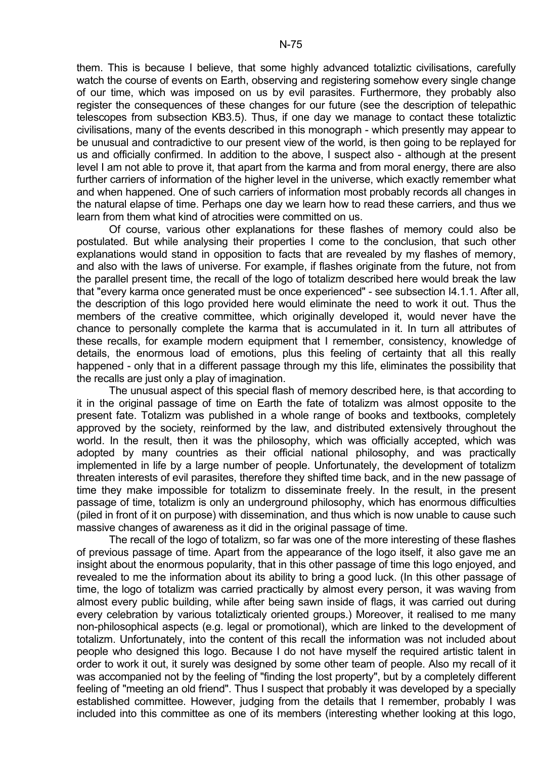them. This is because I believe, that some highly advanced totaliztic civilisations, carefully watch the course of events on Earth, observing and registering somehow every single change of our time, which was imposed on us by evil parasites. Furthermore, they probably also register the consequences of these changes for our future (see the description of telepathic telescopes from subsection KB3.5). Thus, if one day we manage to contact these totaliztic civilisations, many of the events described in this monograph - which presently may appear to be unusual and contradictive to our present view of the world, is then going to be replayed for us and officially confirmed. In addition to the above, I suspect also - although at the present level I am not able to prove it, that apart from the karma and from moral energy, there are also further carriers of information of the higher level in the universe, which exactly remember what and when happened. One of such carriers of information most probably records all changes in the natural elapse of time. Perhaps one day we learn how to read these carriers, and thus we learn from them what kind of atrocities were committed on us.

 Of course, various other explanations for these flashes of memory could also be postulated. But while analysing their properties I come to the conclusion, that such other explanations would stand in opposition to facts that are revealed by my flashes of memory, and also with the laws of universe. For example, if flashes originate from the future, not from the parallel present time, the recall of the logo of totalizm described here would break the law that "every karma once generated must be once experienced" - see subsection I4.1.1. After all, the description of this logo provided here would eliminate the need to work it out. Thus the members of the creative committee, which originally developed it, would never have the chance to personally complete the karma that is accumulated in it. In turn all attributes of these recalls, for example modern equipment that I remember, consistency, knowledge of details, the enormous load of emotions, plus this feeling of certainty that all this really happened - only that in a different passage through my this life, eliminates the possibility that the recalls are just only a play of imagination.

 The unusual aspect of this special flash of memory described here, is that according to it in the original passage of time on Earth the fate of totalizm was almost opposite to the present fate. Totalizm was published in a whole range of books and textbooks, completely approved by the society, reinformed by the law, and distributed extensively throughout the world. In the result, then it was the philosophy, which was officially accepted, which was adopted by many countries as their official national philosophy, and was practically implemented in life by a large number of people. Unfortunately, the development of totalizm threaten interests of evil parasites, therefore they shifted time back, and in the new passage of time they make impossible for totalizm to disseminate freely. In the result, in the present passage of time, totalizm is only an underground philosophy, which has enormous difficulties (piled in front of it on purpose) with dissemination, and thus which is now unable to cause such massive changes of awareness as it did in the original passage of time.

 The recall of the logo of totalizm, so far was one of the more interesting of these flashes of previous passage of time. Apart from the appearance of the logo itself, it also gave me an insight about the enormous popularity, that in this other passage of time this logo enjoyed, and revealed to me the information about its ability to bring a good luck. (In this other passage of time, the logo of totalizm was carried practically by almost every person, it was waving from almost every public building, while after being sawn inside of flags, it was carried out during every celebration by various totalizticaly oriented groups.) Moreover, it realised to me many non-philosophical aspects (e.g. legal or promotional), which are linked to the development of totalizm. Unfortunately, into the content of this recall the information was not included about people who designed this logo. Because I do not have myself the required artistic talent in order to work it out, it surely was designed by some other team of people. Also my recall of it was accompanied not by the feeling of "finding the lost property", but by a completely different feeling of "meeting an old friend". Thus I suspect that probably it was developed by a specially established committee. However, judging from the details that I remember, probably I was included into this committee as one of its members (interesting whether looking at this logo,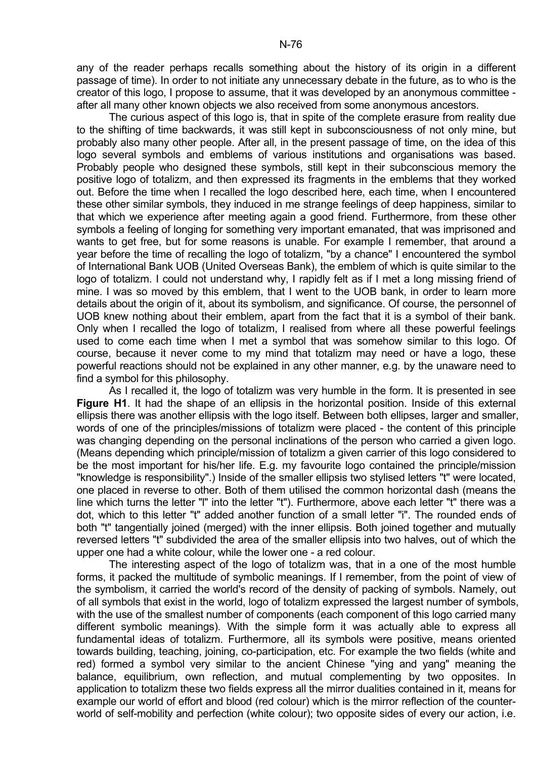any of the reader perhaps recalls something about the history of its origin in a different passage of time). In order to not initiate any unnecessary debate in the future, as to who is the creator of this logo, I propose to assume, that it was developed by an anonymous committee after all many other known objects we also received from some anonymous ancestors.

 The curious aspect of this logo is, that in spite of the complete erasure from reality due to the shifting of time backwards, it was still kept in subconsciousness of not only mine, but probably also many other people. After all, in the present passage of time, on the idea of this logo several symbols and emblems of various institutions and organisations was based. Probably people who designed these symbols, still kept in their subconscious memory the positive logo of totalizm, and then expressed its fragments in the emblems that they worked out. Before the time when I recalled the logo described here, each time, when I encountered these other similar symbols, they induced in me strange feelings of deep happiness, similar to that which we experience after meeting again a good friend. Furthermore, from these other symbols a feeling of longing for something very important emanated, that was imprisoned and wants to get free, but for some reasons is unable. For example I remember, that around a year before the time of recalling the logo of totalizm, "by a chance" I encountered the symbol of International Bank UOB (United Overseas Bank), the emblem of which is quite similar to the logo of totalizm. I could not understand why, I rapidly felt as if I met a long missing friend of mine. I was so moved by this emblem, that I went to the UOB bank, in order to learn more details about the origin of it, about its symbolism, and significance. Of course, the personnel of UOB knew nothing about their emblem, apart from the fact that it is a symbol of their bank. Only when I recalled the logo of totalizm, I realised from where all these powerful feelings used to come each time when I met a symbol that was somehow similar to this logo. Of course, because it never come to my mind that totalizm may need or have a logo, these powerful reactions should not be explained in any other manner, e.g. by the unaware need to find a symbol for this philosophy.

 As I recalled it, the logo of totalizm was very humble in the form. It is presented in see **Figure H1**. It had the shape of an ellipsis in the horizontal position. Inside of this external ellipsis there was another ellipsis with the logo itself. Between both ellipses, larger and smaller, words of one of the principles/missions of totalizm were placed - the content of this principle was changing depending on the personal inclinations of the person who carried a given logo. (Means depending which principle/mission of totalizm a given carrier of this logo considered to be the most important for his/her life. E.g. my favourite logo contained the principle/mission "knowledge is responsibility".) Inside of the smaller ellipsis two stylised letters "t" were located, one placed in reverse to other. Both of them utilised the common horizontal dash (means the line which turns the letter "l" into the letter "t"). Furthermore, above each letter "t" there was a dot, which to this letter "t" added another function of a small letter "i". The rounded ends of both "t" tangentially joined (merged) with the inner ellipsis. Both joined together and mutually reversed letters "t" subdivided the area of the smaller ellipsis into two halves, out of which the upper one had a white colour, while the lower one - a red colour.

 The interesting aspect of the logo of totalizm was, that in a one of the most humble forms, it packed the multitude of symbolic meanings. If I remember, from the point of view of the symbolism, it carried the world's record of the density of packing of symbols. Namely, out of all symbols that exist in the world, logo of totalizm expressed the largest number of symbols, with the use of the smallest number of components (each component of this logo carried many different symbolic meanings). With the simple form it was actually able to express all fundamental ideas of totalizm. Furthermore, all its symbols were positive, means oriented towards building, teaching, joining, co-participation, etc. For example the two fields (white and red) formed a symbol very similar to the ancient Chinese "ying and yang" meaning the balance, equilibrium, own reflection, and mutual complementing by two opposites. In application to totalizm these two fields express all the mirror dualities contained in it, means for example our world of effort and blood (red colour) which is the mirror reflection of the counterworld of self-mobility and perfection (white colour); two opposite sides of every our action, i.e.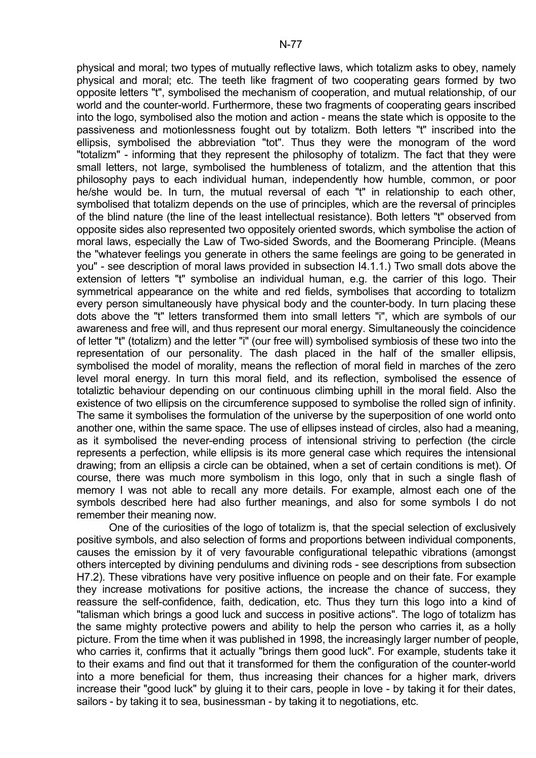physical and moral; two types of mutually reflective laws, which totalizm asks to obey, namely physical and moral; etc. The teeth like fragment of two cooperating gears formed by two opposite letters "t", symbolised the mechanism of cooperation, and mutual relationship, of our world and the counter-world. Furthermore, these two fragments of cooperating gears inscribed into the logo, symbolised also the motion and action - means the state which is opposite to the passiveness and motionlessness fought out by totalizm. Both letters "t" inscribed into the ellipsis, symbolised the abbreviation "tot". Thus they were the monogram of the word "totalizm" - informing that they represent the philosophy of totalizm. The fact that they were small letters, not large, symbolised the humbleness of totalizm, and the attention that this philosophy pays to each individual human, independently how humble, common, or poor he/she would be. In turn, the mutual reversal of each "t" in relationship to each other, symbolised that totalizm depends on the use of principles, which are the reversal of principles of the blind nature (the line of the least intellectual resistance). Both letters "t" observed from opposite sides also represented two oppositely oriented swords, which symbolise the action of moral laws, especially the Law of Two-sided Swords, and the Boomerang Principle. (Means the "whatever feelings you generate in others the same feelings are going to be generated in you" - see description of moral laws provided in subsection I4.1.1.) Two small dots above the extension of letters "t" symbolise an individual human, e.g. the carrier of this logo. Their symmetrical appearance on the white and red fields, symbolises that according to totalizm every person simultaneously have physical body and the counter-body. In turn placing these dots above the "t" letters transformed them into small letters "i", which are symbols of our awareness and free will, and thus represent our moral energy. Simultaneously the coincidence of letter "t" (totalizm) and the letter "i" (our free will) symbolised symbiosis of these two into the representation of our personality. The dash placed in the half of the smaller ellipsis, symbolised the model of morality, means the reflection of moral field in marches of the zero level moral energy. In turn this moral field, and its reflection, symbolised the essence of totaliztic behaviour depending on our continuous climbing uphill in the moral field. Also the existence of two ellipsis on the circumference supposed to symbolise the rolled sign of infinity. The same it symbolises the formulation of the universe by the superposition of one world onto another one, within the same space. The use of ellipses instead of circles, also had a meaning, as it symbolised the never-ending process of intensional striving to perfection (the circle represents a perfection, while ellipsis is its more general case which requires the intensional drawing; from an ellipsis a circle can be obtained, when a set of certain conditions is met). Of course, there was much more symbolism in this logo, only that in such a single flash of memory I was not able to recall any more details. For example, almost each one of the symbols described here had also further meanings, and also for some symbols I do not remember their meaning now.

 One of the curiosities of the logo of totalizm is, that the special selection of exclusively positive symbols, and also selection of forms and proportions between individual components, causes the emission by it of very favourable configurational telepathic vibrations (amongst others intercepted by divining pendulums and divining rods - see descriptions from subsection H7.2). These vibrations have very positive influence on people and on their fate. For example they increase motivations for positive actions, the increase the chance of success, they reassure the self-confidence, faith, dedication, etc. Thus they turn this logo into a kind of "talisman which brings a good luck and success in positive actions". The logo of totalizm has the same mighty protective powers and ability to help the person who carries it, as a holly picture. From the time when it was published in 1998, the increasingly larger number of people, who carries it, confirms that it actually "brings them good luck". For example, students take it to their exams and find out that it transformed for them the configuration of the counter-world into a more beneficial for them, thus increasing their chances for a higher mark, drivers increase their "good luck" by gluing it to their cars, people in love - by taking it for their dates, sailors - by taking it to sea, businessman - by taking it to negotiations, etc.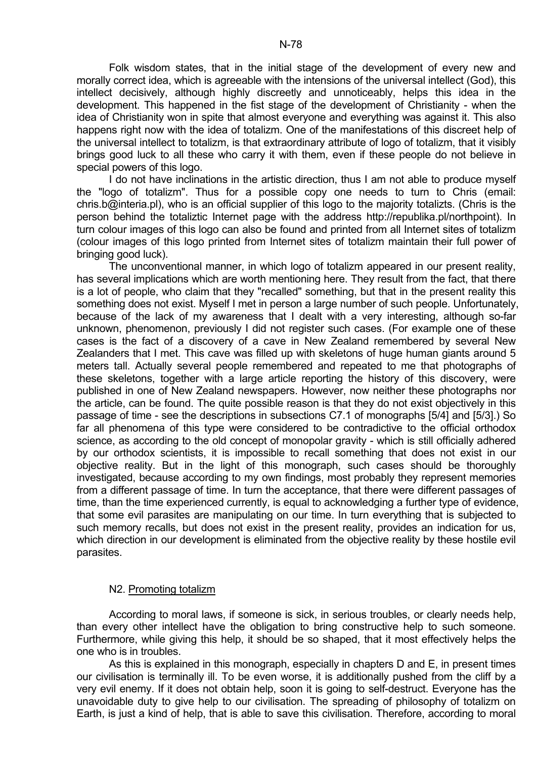Folk wisdom states, that in the initial stage of the development of every new and morally correct idea, which is agreeable with the intensions of the universal intellect (God), this intellect decisively, although highly discreetly and unnoticeably, helps this idea in the development. This happened in the fist stage of the development of Christianity - when the idea of Christianity won in spite that almost everyone and everything was against it. This also happens right now with the idea of totalizm. One of the manifestations of this discreet help of the universal intellect to totalizm, is that extraordinary attribute of logo of totalizm, that it visibly brings good luck to all these who carry it with them, even if these people do not believe in special powers of this logo.

 I do not have inclinations in the artistic direction, thus I am not able to produce myself the "logo of totalizm". Thus for a possible copy one needs to turn to Chris (email: chris.b@interia.pl), who is an official supplier of this logo to the majority totalizts. (Chris is the person behind the totaliztic Internet page with the address http://republika.pl/northpoint). In turn colour images of this logo can also be found and printed from all Internet sites of totalizm (colour images of this logo printed from Internet sites of totalizm maintain their full power of bringing good luck).

 The unconventional manner, in which logo of totalizm appeared in our present reality, has several implications which are worth mentioning here. They result from the fact, that there is a lot of people, who claim that they "recalled" something, but that in the present reality this something does not exist. Myself I met in person a large number of such people. Unfortunately, because of the lack of my awareness that I dealt with a very interesting, although so-far unknown, phenomenon, previously I did not register such cases. (For example one of these cases is the fact of a discovery of a cave in New Zealand remembered by several New Zealanders that I met. This cave was filled up with skeletons of huge human giants around 5 meters tall. Actually several people remembered and repeated to me that photographs of these skeletons, together with a large article reporting the history of this discovery, were published in one of New Zealand newspapers. However, now neither these photographs nor the article, can be found. The quite possible reason is that they do not exist objectively in this passage of time - see the descriptions in subsections C7.1 of monographs [5/4] and [5/3].) So far all phenomena of this type were considered to be contradictive to the official orthodox science, as according to the old concept of monopolar gravity - which is still officially adhered by our orthodox scientists, it is impossible to recall something that does not exist in our objective reality. But in the light of this monograph, such cases should be thoroughly investigated, because according to my own findings, most probably they represent memories from a different passage of time. In turn the acceptance, that there were different passages of time, than the time experienced currently, is equal to acknowledging a further type of evidence, that some evil parasites are manipulating on our time. In turn everything that is subjected to such memory recalls, but does not exist in the present reality, provides an indication for us, which direction in our development is eliminated from the objective reality by these hostile evil parasites.

### N2. Promoting totalizm

 According to moral laws, if someone is sick, in serious troubles, or clearly needs help, than every other intellect have the obligation to bring constructive help to such someone. Furthermore, while giving this help, it should be so shaped, that it most effectively helps the one who is in troubles.

 As this is explained in this monograph, especially in chapters D and E, in present times our civilisation is terminally ill. To be even worse, it is additionally pushed from the cliff by a very evil enemy. If it does not obtain help, soon it is going to self-destruct. Everyone has the unavoidable duty to give help to our civilisation. The spreading of philosophy of totalizm on Earth, is just a kind of help, that is able to save this civilisation. Therefore, according to moral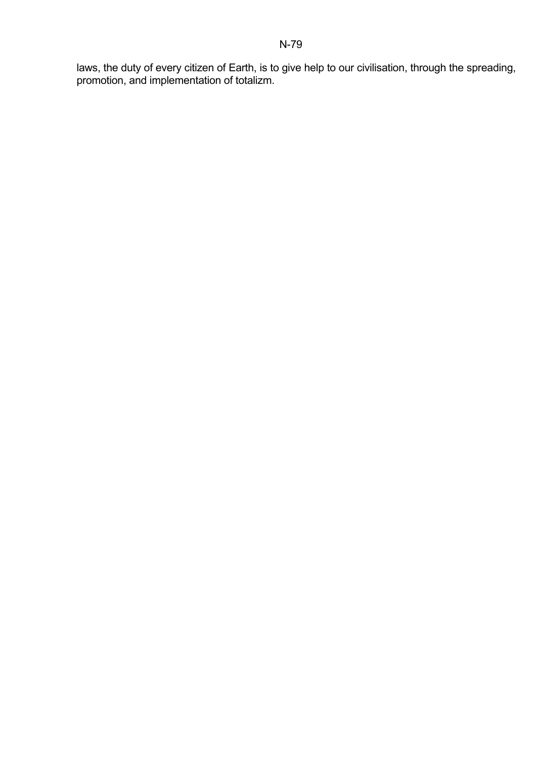laws, the duty of every citizen of Earth, is to give help to our civilisation, through the spreading, promotion, and implementation of totalizm.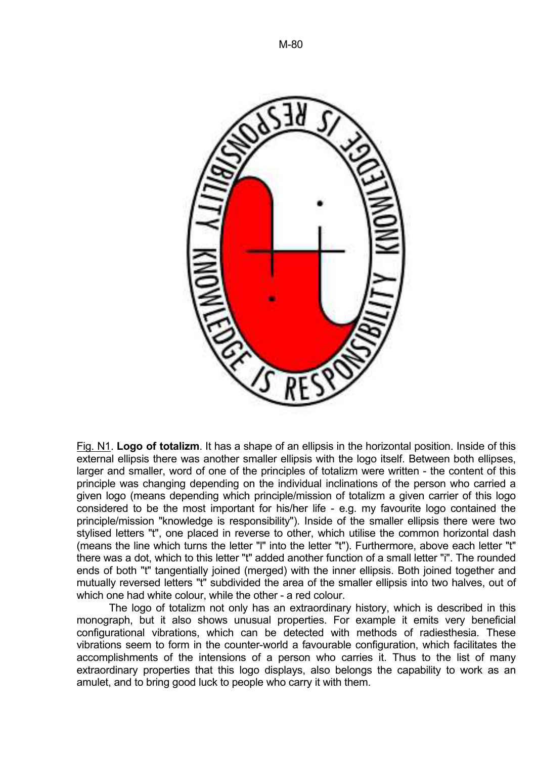

Fig. N1. **Logo of totalizm**. It has a shape of an ellipsis in the horizontal position. Inside of this external ellipsis there was another smaller ellipsis with the logo itself. Between both ellipses, larger and smaller, word of one of the principles of totalizm were written - the content of this principle was changing depending on the individual inclinations of the person who carried a given logo (means depending which principle/mission of totalizm a given carrier of this logo considered to be the most important for his/her life - e.g. my favourite logo contained the principle/mission "knowledge is responsibility"). Inside of the smaller ellipsis there were two stylised letters "t", one placed in reverse to other, which utilise the common horizontal dash (means the line which turns the letter "l" into the letter "t"). Furthermore, above each letter "t" there was a dot, which to this letter "t" added another function of a small letter "i". The rounded ends of both "t" tangentially joined (merged) with the inner ellipsis. Both joined together and mutually reversed letters "t" subdivided the area of the smaller ellipsis into two halves, out of which one had white colour, while the other - a red colour.

 The logo of totalizm not only has an extraordinary history, which is described in this monograph, but it also shows unusual properties. For example it emits very beneficial configurational vibrations, which can be detected with methods of radiesthesia. These vibrations seem to form in the counter-world a favourable configuration, which facilitates the accomplishments of the intensions of a person who carries it. Thus to the list of many extraordinary properties that this logo displays, also belongs the capability to work as an amulet, and to bring good luck to people who carry it with them.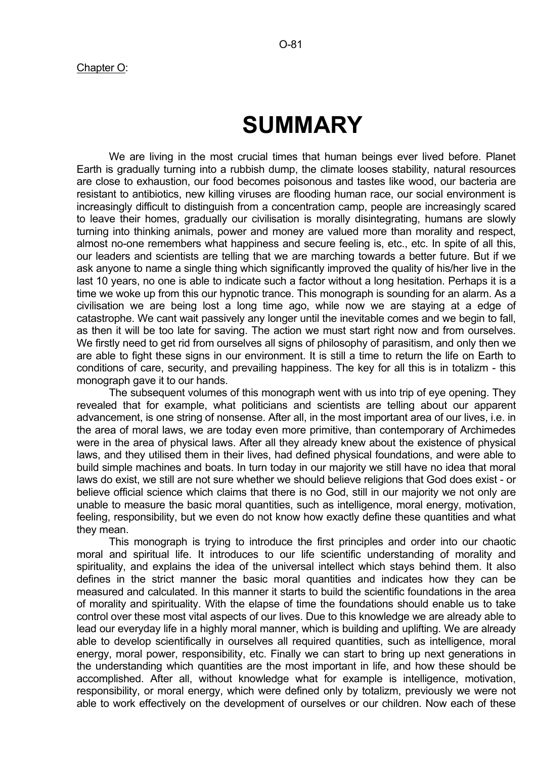# **SUMMARY**

 We are living in the most crucial times that human beings ever lived before. Planet Earth is gradually turning into a rubbish dump, the climate looses stability, natural resources are close to exhaustion, our food becomes poisonous and tastes like wood, our bacteria are resistant to antibiotics, new killing viruses are flooding human race, our social environment is increasingly difficult to distinguish from a concentration camp, people are increasingly scared to leave their homes, gradually our civilisation is morally disintegrating, humans are slowly turning into thinking animals, power and money are valued more than morality and respect, almost no-one remembers what happiness and secure feeling is, etc., etc. In spite of all this, our leaders and scientists are telling that we are marching towards a better future. But if we ask anyone to name a single thing which significantly improved the quality of his/her live in the last 10 years, no one is able to indicate such a factor without a long hesitation. Perhaps it is a time we woke up from this our hypnotic trance. This monograph is sounding for an alarm. As a civilisation we are being lost a long time ago, while now we are staying at a edge of catastrophe. We cant wait passively any longer until the inevitable comes and we begin to fall, as then it will be too late for saving. The action we must start right now and from ourselves. We firstly need to get rid from ourselves all signs of philosophy of parasitism, and only then we are able to fight these signs in our environment. It is still a time to return the life on Earth to conditions of care, security, and prevailing happiness. The key for all this is in totalizm - this monograph gave it to our hands.

 The subsequent volumes of this monograph went with us into trip of eye opening. They revealed that for example, what politicians and scientists are telling about our apparent advancement, is one string of nonsense. After all, in the most important area of our lives, i.e. in the area of moral laws, we are today even more primitive, than contemporary of Archimedes were in the area of physical laws. After all they already knew about the existence of physical laws, and they utilised them in their lives, had defined physical foundations, and were able to build simple machines and boats. In turn today in our majority we still have no idea that moral laws do exist, we still are not sure whether we should believe religions that God does exist - or believe official science which claims that there is no God, still in our majority we not only are unable to measure the basic moral quantities, such as intelligence, moral energy, motivation, feeling, responsibility, but we even do not know how exactly define these quantities and what they mean.

 This monograph is trying to introduce the first principles and order into our chaotic moral and spiritual life. It introduces to our life scientific understanding of morality and spirituality, and explains the idea of the universal intellect which stays behind them. It also defines in the strict manner the basic moral quantities and indicates how they can be measured and calculated. In this manner it starts to build the scientific foundations in the area of morality and spirituality. With the elapse of time the foundations should enable us to take control over these most vital aspects of our lives. Due to this knowledge we are already able to lead our everyday life in a highly moral manner, which is building and uplifting. We are already able to develop scientifically in ourselves all required quantities, such as intelligence, moral energy, moral power, responsibility, etc. Finally we can start to bring up next generations in the understanding which quantities are the most important in life, and how these should be accomplished. After all, without knowledge what for example is intelligence, motivation, responsibility, or moral energy, which were defined only by totalizm, previously we were not able to work effectively on the development of ourselves or our children. Now each of these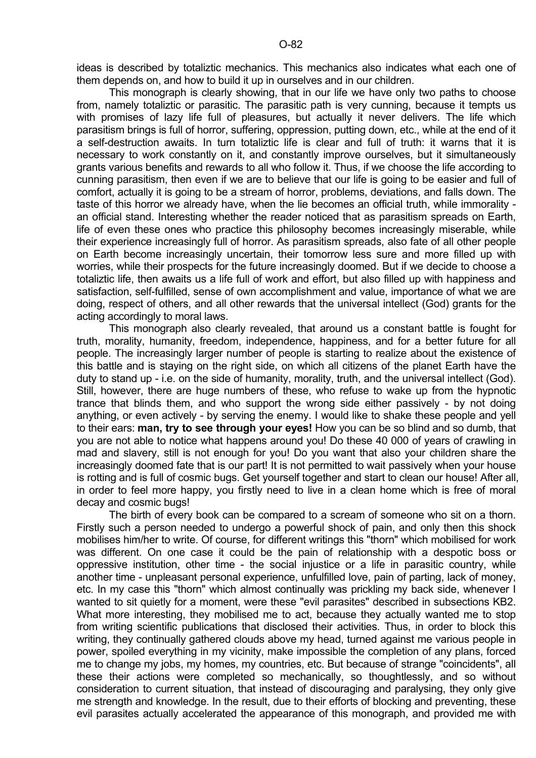ideas is described by totaliztic mechanics. This mechanics also indicates what each one of them depends on, and how to build it up in ourselves and in our children.

 This monograph is clearly showing, that in our life we have only two paths to choose from, namely totaliztic or parasitic. The parasitic path is very cunning, because it tempts us with promises of lazy life full of pleasures, but actually it never delivers. The life which parasitism brings is full of horror, suffering, oppression, putting down, etc., while at the end of it a self-destruction awaits. In turn totaliztic life is clear and full of truth: it warns that it is necessary to work constantly on it, and constantly improve ourselves, but it simultaneously grants various benefits and rewards to all who follow it. Thus, if we choose the life according to cunning parasitism, then even if we are to believe that our life is going to be easier and full of comfort, actually it is going to be a stream of horror, problems, deviations, and falls down. The taste of this horror we already have, when the lie becomes an official truth, while immorality an official stand. Interesting whether the reader noticed that as parasitism spreads on Earth, life of even these ones who practice this philosophy becomes increasingly miserable, while their experience increasingly full of horror. As parasitism spreads, also fate of all other people on Earth become increasingly uncertain, their tomorrow less sure and more filled up with worries, while their prospects for the future increasingly doomed. But if we decide to choose a totaliztic life, then awaits us a life full of work and effort, but also filled up with happiness and satisfaction, self-fulfilled, sense of own accomplishment and value, importance of what we are doing, respect of others, and all other rewards that the universal intellect (God) grants for the acting accordingly to moral laws.

 This monograph also clearly revealed, that around us a constant battle is fought for truth, morality, humanity, freedom, independence, happiness, and for a better future for all people. The increasingly larger number of people is starting to realize about the existence of this battle and is staying on the right side, on which all citizens of the planet Earth have the duty to stand up - i.e. on the side of humanity, morality, truth, and the universal intellect (God). Still, however, there are huge numbers of these, who refuse to wake up from the hypnotic trance that blinds them, and who support the wrong side either passively - by not doing anything, or even actively - by serving the enemy. I would like to shake these people and yell to their ears: **man, try to see through your eyes!** How you can be so blind and so dumb, that you are not able to notice what happens around you! Do these 40 000 of years of crawling in mad and slavery, still is not enough for you! Do you want that also your children share the increasingly doomed fate that is our part! It is not permitted to wait passively when your house is rotting and is full of cosmic bugs. Get yourself together and start to clean our house! After all, in order to feel more happy, you firstly need to live in a clean home which is free of moral decay and cosmic bugs!

 The birth of every book can be compared to a scream of someone who sit on a thorn. Firstly such a person needed to undergo a powerful shock of pain, and only then this shock mobilises him/her to write. Of course, for different writings this "thorn" which mobilised for work was different. On one case it could be the pain of relationship with a despotic boss or oppressive institution, other time - the social injustice or a life in parasitic country, while another time - unpleasant personal experience, unfulfilled love, pain of parting, lack of money, etc. In my case this "thorn" which almost continually was prickling my back side, whenever I wanted to sit quietly for a moment, were these "evil parasites" described in subsections KB2. What more interesting, they mobilised me to act, because they actually wanted me to stop from writing scientific publications that disclosed their activities. Thus, in order to block this writing, they continually gathered clouds above my head, turned against me various people in power, spoiled everything in my vicinity, make impossible the completion of any plans, forced me to change my jobs, my homes, my countries, etc. But because of strange "coincidents", all these their actions were completed so mechanically, so thoughtlessly, and so without consideration to current situation, that instead of discouraging and paralysing, they only give me strength and knowledge. In the result, due to their efforts of blocking and preventing, these evil parasites actually accelerated the appearance of this monograph, and provided me with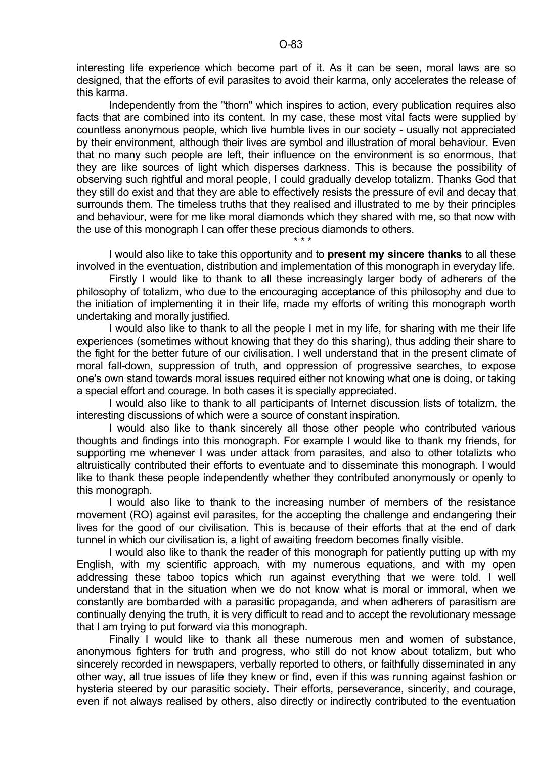Independently from the "thorn" which inspires to action, every publication requires also facts that are combined into its content. In my case, these most vital facts were supplied by countless anonymous people, which live humble lives in our society - usually not appreciated by their environment, although their lives are symbol and illustration of moral behaviour. Even that no many such people are left, their influence on the environment is so enormous, that they are like sources of light which disperses darkness. This is because the possibility of observing such rightful and moral people, I could gradually develop totalizm. Thanks God that they still do exist and that they are able to effectively resists the pressure of evil and decay that surrounds them. The timeless truths that they realised and illustrated to me by their principles and behaviour, were for me like moral diamonds which they shared with me, so that now with the use of this monograph I can offer these precious diamonds to others.

 $\star \star \star$ 

 I would also like to take this opportunity and to **present my sincere thanks** to all these involved in the eventuation, distribution and implementation of this monograph in everyday life.

 Firstly I would like to thank to all these increasingly larger body of adherers of the philosophy of totalizm, who due to the encouraging acceptance of this philosophy and due to the initiation of implementing it in their life, made my efforts of writing this monograph worth undertaking and morally justified.

 I would also like to thank to all the people I met in my life, for sharing with me their life experiences (sometimes without knowing that they do this sharing), thus adding their share to the fight for the better future of our civilisation. I well understand that in the present climate of moral fall-down, suppression of truth, and oppression of progressive searches, to expose one's own stand towards moral issues required either not knowing what one is doing, or taking a special effort and courage. In both cases it is specially appreciated.

 I would also like to thank to all participants of Internet discussion lists of totalizm, the interesting discussions of which were a source of constant inspiration.

 I would also like to thank sincerely all those other people who contributed various thoughts and findings into this monograph. For example I would like to thank my friends, for supporting me whenever I was under attack from parasites, and also to other totalizts who altruistically contributed their efforts to eventuate and to disseminate this monograph. I would like to thank these people independently whether they contributed anonymously or openly to this monograph.

 I would also like to thank to the increasing number of members of the resistance movement (RO) against evil parasites, for the accepting the challenge and endangering their lives for the good of our civilisation. This is because of their efforts that at the end of dark tunnel in which our civilisation is, a light of awaiting freedom becomes finally visible.

 I would also like to thank the reader of this monograph for patiently putting up with my English, with my scientific approach, with my numerous equations, and with my open addressing these taboo topics which run against everything that we were told. I well understand that in the situation when we do not know what is moral or immoral, when we constantly are bombarded with a parasitic propaganda, and when adherers of parasitism are continually denying the truth, it is very difficult to read and to accept the revolutionary message that I am trying to put forward via this monograph.

 Finally I would like to thank all these numerous men and women of substance, anonymous fighters for truth and progress, who still do not know about totalizm, but who sincerely recorded in newspapers, verbally reported to others, or faithfully disseminated in any other way, all true issues of life they knew or find, even if this was running against fashion or hysteria steered by our parasitic society. Their efforts, perseverance, sincerity, and courage, even if not always realised by others, also directly or indirectly contributed to the eventuation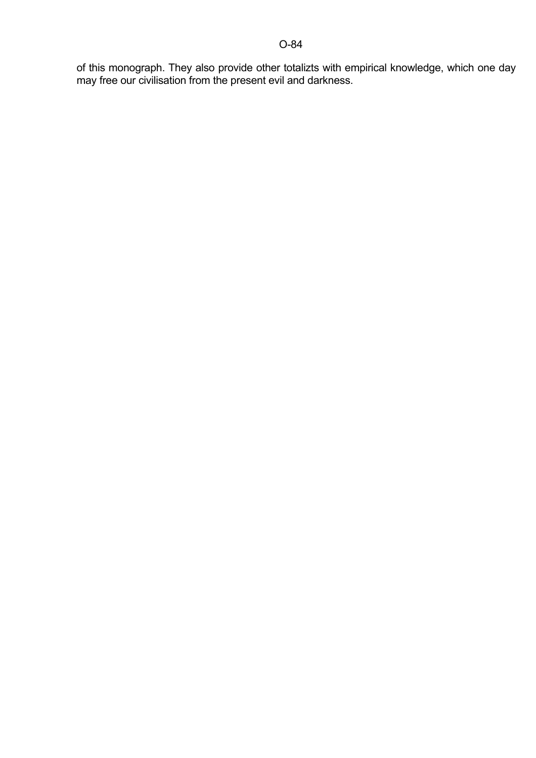of this monograph. They also provide other totalizts with empirical knowledge, which one day may free our civilisation from the present evil and darkness.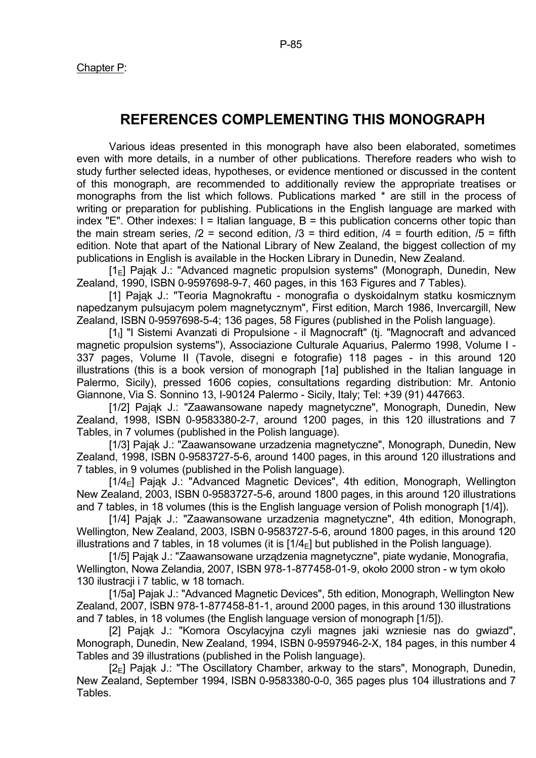### **REFERENCES COMPLEMENTING THIS MONOGRAPH**

 Various ideas presented in this monograph have also been elaborated, sometimes even with more details, in a number of other publications. Therefore readers who wish to study further selected ideas, hypotheses, or evidence mentioned or discussed in the content of this monograph, are recommended to additionally review the appropriate treatises or monographs from the list which follows. Publications marked \* are still in the process of writing or preparation for publishing. Publications in the English language are marked with index "E". Other indexes:  $I = Italian language$ ,  $B = this publication concerns other topic than$ the main stream series,  $/2$  = second edition,  $/3$  = third edition,  $/4$  = fourth edition,  $/5$  = fifth edition. Note that apart of the National Library of New Zealand, the biggest collection of my publications in English is available in the Hocken Library in Dunedin, New Zealand.

 $[1_F]$  Pajak J.: "Advanced magnetic propulsion systems" (Monograph, Dunedin, New Zealand, 1990, ISBN 0-9597698-9-7, 460 pages, in this 163 Figures and 7 Tables).

 [1] Pająk J.: "Teoria Magnokraftu - monografia o dyskoidalnym statku kosmicznym napedzanym pulsujacym polem magnetycznym", First edition, March 1986, Invercargill, New Zealand, ISBN 0-9597698-5-4; 136 pages, 58 Figures (published in the Polish language).

[1<sub>1</sub>] "I Sistemi Avanzati di Propulsione - il Magnocraft" (tj. "Magnocraft and advanced magnetic propulsion systems"), Associazione Culturale Aquarius, Palermo 1998, Volume I - 337 pages, Volume II (Tavole, disegni e fotografie) 118 pages - in this around 120 illustrations (this is a book version of monograph [1a] published in the Italian language in Palermo, Sicily), pressed 1606 copies, consultations regarding distribution: Mr. Antonio Giannone, Via S. Sonnino 13, I-90124 Palermo - Sicily, Italy; Tel: +39 (91) 447663.

[1/2] Pająk J.: "Zaawansowane napedy magnetyczne", Monograph, Dunedin, New Zealand, 1998, ISBN 0-9583380-2-7, around 1200 pages, in this 120 illustrations and 7 Tables, in 7 volumes (published in the Polish language).

 [1/3] Pająk J.: "Zaawansowane urzadzenia magnetyczne", Monograph, Dunedin, New Zealand, 1998, ISBN 0-9583727-5-6, around 1400 pages, in this around 120 illustrations and 7 tables, in 9 volumes (published in the Polish language).

[1/4<sub>F</sub>] Pajak J.: "Advanced Magnetic Devices", 4th edition, Monograph, Wellington New Zealand, 2003, ISBN 0-9583727-5-6, around 1800 pages, in this around 120 illustrations and 7 tables, in 18 volumes (this is the English language version of Polish monograph [1/4]).

[1/4] Pająk J.: "Zaawansowane urzadzenia magnetyczne", 4th edition, Monograph, Wellington, New Zealand, 2003, ISBN 0-9583727-5-6, around 1800 pages, in this around 120 illustrations and 7 tables, in 18 volumes (it is  $[1/4<sub>E</sub>]$  but published in the Polish language).

 [1/5] Pająk J.: "Zaawansowane urządzenia magnetyczne", piate wydanie, Monografia, Wellington, Nowa Zelandia, 2007, ISBN 978-1-877458-01-9, około 2000 stron - w tym około 130 ilustracji i 7 tablic, w 18 tomach.

 [1/5a] Pajak J.: "Advanced Magnetic Devices", 5th edition, Monograph, Wellington New Zealand, 2007, ISBN 978-1-877458-81-1, around 2000 pages, in this around 130 illustrations and 7 tables, in 18 volumes (the English language version of monograph [1/5]).

 [2] Pająk J.: "Komora Oscylacyjna czyli magnes jaki wzniesie nas do gwiazd", Monograph, Dunedin, New Zealand, 1994, ISBN 0-9597946-2-X, 184 pages, in this number 4 Tables and 39 illustrations (published in the Polish language).

 $[2_{E}]$  Pająk J.: "The Oscillatory Chamber, arkway to the stars", Monograph, Dunedin, New Zealand, September 1994, ISBN 0-9583380-0-0, 365 pages plus 104 illustrations and 7 Tables.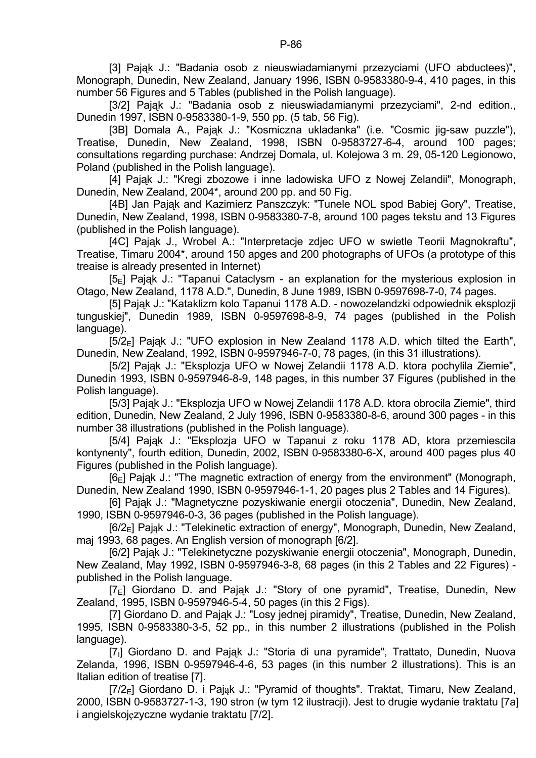[3] Pająk J.: "Badania osob z nieuswiadamianymi przezyciami (UFO abductees)", Monograph, Dunedin, New Zealand, January 1996, ISBN 0-9583380-9-4, 410 pages, in this number 56 Figures and 5 Tables (published in the Polish language).

 [3/2] Pająk J.: "Badania osob z nieuswiadamianymi przezyciami", 2-nd edition., Dunedin 1997, ISBN 0-9583380-1-9, 550 pp. (5 tab, 56 Fig).

 [3B] Domala A., Pająk J.: "Kosmiczna ukladanka" (i.e. "Cosmic jig-saw puzzle"), Treatise, Dunedin, New Zealand, 1998, ISBN 0-9583727-6-4, around 100 pages; consultations regarding purchase: Andrzej Domala, ul. Kolejowa 3 m. 29, 05-120 Legionowo, Poland (published in the Polish language).

 [4] Pająk J.: "Kregi zbozowe i inne ladowiska UFO z Nowej Zelandii", Monograph, Dunedin, New Zealand, 2004\*, around 200 pp. and 50 Fig.

 [4B] Jan Pająk and Kazimierz Panszczyk: "Tunele NOL spod Babiej Gory", Treatise, Dunedin, New Zealand, 1998, ISBN 0-9583380-7-8, around 100 pages tekstu and 13 Figures (published in the Polish language).

 [4C] Pająk J., Wrobel A.: "Interpretacje zdjec UFO w swietle Teorii Magnokraftu", Treatise, Timaru 2004\*, around 150 apges and 200 photographs of UFOs (a prototype of this treaise is already presented in Internet)

 $[5<sub>E</sub>]$  Pająk J.: "Tapanui Cataclysm - an explanation for the mysterious explosion in Otago, New Zealand, 1178 A.D.", Dunedin, 8 June 1989, ISBN 0-9597698-7-0, 74 pages.

 [5] Pająk J.: "Kataklizm kolo Tapanui 1178 A.D. - nowozelandzki odpowiednik eksplozji tunguskiej", Dunedin 1989, ISBN 0-9597698-8-9, 74 pages (published in the Polish language).

 $[5/2_F]$  Pajak J.: "UFO explosion in New Zealand 1178 A.D. which tilted the Earth", Dunedin, New Zealand, 1992, ISBN 0-9597946-7-0, 78 pages, (in this 31 illustrations).

 [5/2] Pająk J.: "Eksplozja UFO w Nowej Zelandii 1178 A.D. ktora pochylila Ziemie", Dunedin 1993, ISBN 0-9597946-8-9, 148 pages, in this number 37 Figures (published in the Polish language).

 [5/3] Pająk J.: "Eksplozja UFO w Nowej Zelandii 1178 A.D. ktora obrocila Ziemie", third edition, Dunedin, New Zealand, 2 July 1996, ISBN 0-9583380-8-6, around 300 pages - in this number 38 illustrations (published in the Polish language).

 [5/4] Pająk J.: "Eksplozja UFO w Tapanui z roku 1178 AD, ktora przemiescila kontynenty", fourth edition, Dunedin, 2002, ISBN 0-9583380-6-X, around 400 pages plus 40 Figures (published in the Polish language).

 $[6F]$  Pajak J.: "The magnetic extraction of energy from the environment" (Monograph, Dunedin, New Zealand 1990, ISBN 0-9597946-1-1, 20 pages plus 2 Tables and 14 Figures).

 [6] Pająk J.: "Magnetyczne pozyskiwanie energii otoczenia", Dunedin, New Zealand, 1990, ISBN 0-9597946-0-3, 36 pages (published in the Polish language).

 $[6/2_F]$  Pajak J.: "Telekinetic extraction of energy", Monograph, Dunedin, New Zealand, maj 1993, 68 pages. An English version of monograph [6/2].

 [6/2] Pająk J.: "Telekinetyczne pozyskiwanie energii otoczenia", Monograph, Dunedin, New Zealand, May 1992, ISBN 0-9597946-3-8, 68 pages (in this 2 Tables and 22 Figures) published in the Polish language.

 $[7_F]$  Giordano D. and Pajak J.: "Story of one pyramid", Treatise, Dunedin, New Zealand, 1995, ISBN 0-9597946-5-4, 50 pages (in this 2 Figs).

[7] Giordano D. and Pająk J.: "Losy jednej piramidy", Treatise, Dunedin, New Zealand, 1995, ISBN 0-9583380-3-5, 52 pp., in this number 2 illustrations (published in the Polish language).

[7<sub>I</sub>] Giordano D. and Pająk J.: "Storia di una pyramide", Trattato, Dunedin, Nuova Zelanda, 1996, ISBN 0-9597946-4-6, 53 pages (in this number 2 illustrations). This is an Italian edition of treatise [7].

 $[7/2<sub>E</sub>]$  Giordano D. i Pajak J.: "Pyramid of thoughts". Traktat, Timaru, New Zealand, 2000, ISBN 0-9583727-1-3, 190 stron (w tym 12 ilustracji). Jest to drugie wydanie traktatu [7a] i angielskojęzyczne wydanie traktatu [7/2].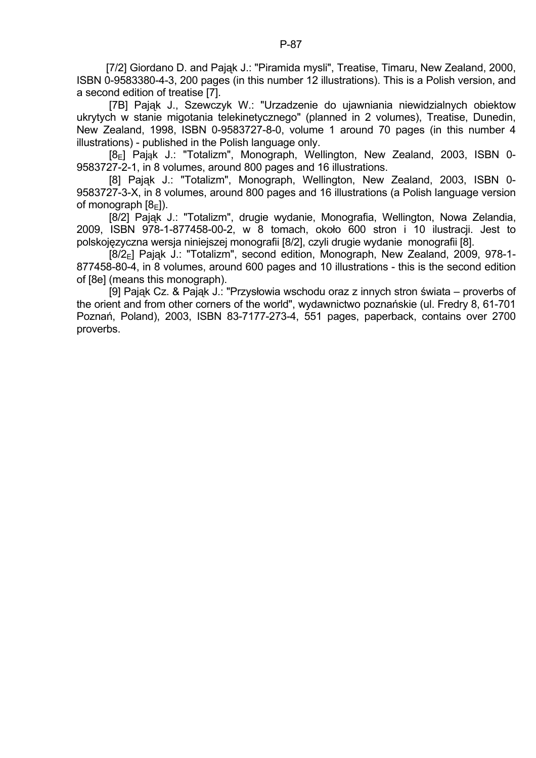[7/2] Giordano D. and Pajak J.: "Piramida mysli", Treatise, Timaru, New Zealand, 2000, ISBN 0-9583380-4-3, 200 pages (in this number 12 illustrations). This is a Polish version, and a second edition of treatise [7].

 [7B] Pająk J., Szewczyk W.: "Urzadzenie do ujawniania niewidzialnych obiektow ukrytych w stanie migotania telekinetycznego" (planned in 2 volumes), Treatise, Dunedin, New Zealand, 1998, ISBN 0-9583727-8-0, volume 1 around 70 pages (in this number 4 illustrations) - published in the Polish language only.

[8<sub>F</sub>] Pajak J.: "Totalizm", Monograph, Wellington, New Zealand, 2003, ISBN 0-9583727-2-1, in 8 volumes, around 800 pages and 16 illustrations.

 [8] Pająk J.: "Totalizm", Monograph, Wellington, New Zealand, 2003, ISBN 0- 9583727-3-X, in 8 volumes, around 800 pages and 16 illustrations (a Polish language version of monograph  $[8_F]$ ).

 [8/2] Pająk J.: "Totalizm", drugie wydanie, Monografia, Wellington, Nowa Zelandia, 2009, ISBN 978-1-877458-00-2, w 8 tomach, około 600 stron i 10 ilustracji. Jest to polskojęzyczna wersja niniejszej monografii [8/2], czyli drugie wydanie monografii [8].

[8/2<sub>F</sub>] Pajak J.: "Totalizm", second edition, Monograph, New Zealand, 2009, 978-1-877458-80-4, in 8 volumes, around 600 pages and 10 illustrations - this is the second edition of [8e] (means this monograph).

 [9] Pająk Cz. & Pająk J.: "Przysłowia wschodu oraz z innych stron świata – proverbs of the orient and from other corners of the world", wydawnictwo poznańskie (ul. Fredry 8, 61-701 Poznań, Poland), 2003, ISBN 83-7177-273-4, 551 pages, paperback, contains over 2700 proverbs.